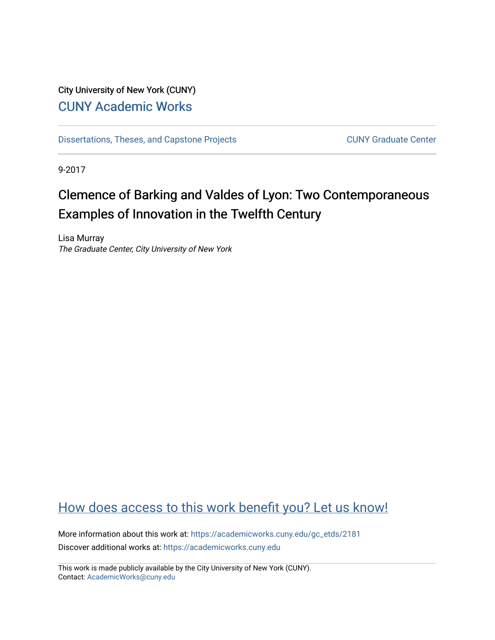## City University of New York (CUNY) [CUNY Academic Works](https://academicworks.cuny.edu/)

[Dissertations, Theses, and Capstone Projects](https://academicworks.cuny.edu/gc_etds) CUNY Graduate Center

9-2017

# Clemence of Barking and Valdes of Lyon: Two Contemporaneous Examples of Innovation in the Twelfth Century

Lisa Murray The Graduate Center, City University of New York

# [How does access to this work benefit you? Let us know!](http://ols.cuny.edu/academicworks/?ref=https://academicworks.cuny.edu/gc_etds/2181)

More information about this work at: [https://academicworks.cuny.edu/gc\\_etds/2181](https://academicworks.cuny.edu/gc_etds/2181) Discover additional works at: [https://academicworks.cuny.edu](https://academicworks.cuny.edu/?)

This work is made publicly available by the City University of New York (CUNY). Contact: [AcademicWorks@cuny.edu](mailto:AcademicWorks@cuny.edu)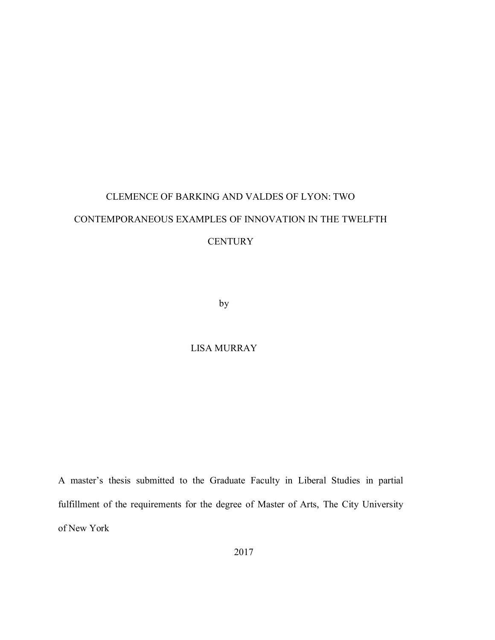# CLEMENCE OF BARKING AND VALDES OF LYON: TWO CONTEMPORANEOUS EXAMPLES OF INNOVATION IN THE TWELFTH **CENTURY**

by

### LISA MURRAY

A master's thesis submitted to the Graduate Faculty in Liberal Studies in partial fulfillment of the requirements for the degree of Master of Arts, The City University of New York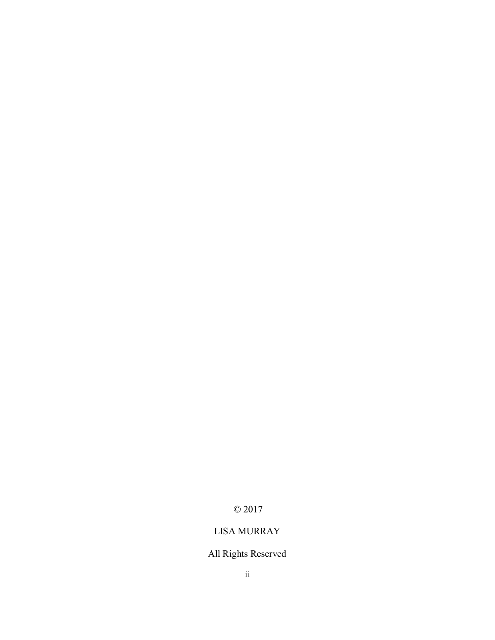# © 2017

## LISA MURRAY

# All Rights Reserved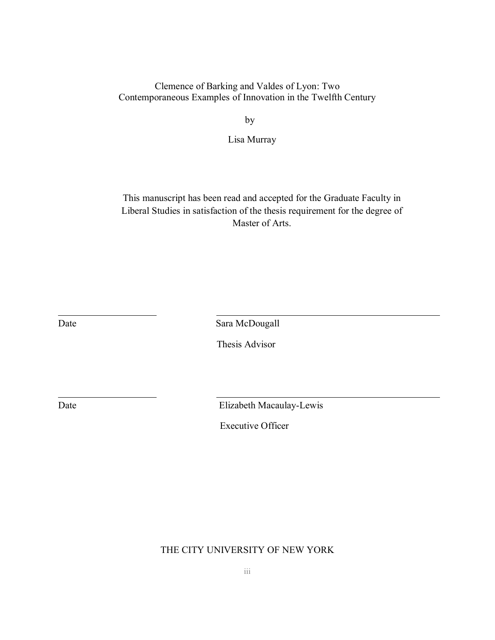### Clemence of Barking and Valdes of Lyon: Two Contemporaneous Examples of Innovation in the Twelfth Century

by

Lisa Murray

This manuscript has been read and accepted for the Graduate Faculty in Liberal Studies in satisfaction of the thesis requirement for the degree of Master of Arts.

Date Sara McDougall

Thesis Advisor

Date Elizabeth Macaulay-Lewis

Executive Officer

### THE CITY UNIVERSITY OF NEW YORK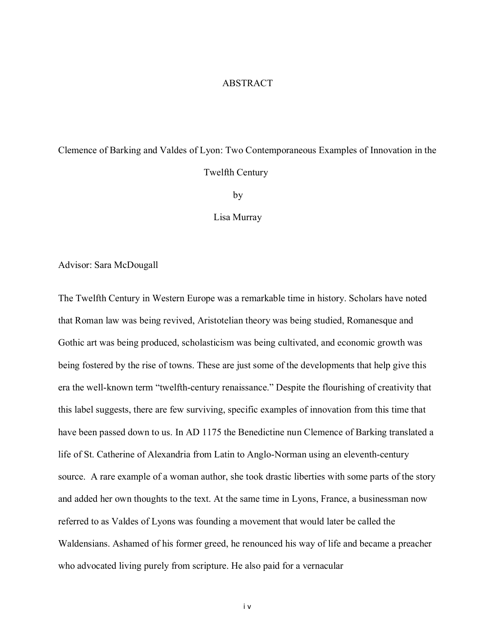#### ABSTRACT

# Clemence of Barking and Valdes of Lyon: Two Contemporaneous Examples of Innovation in the Twelfth Century

by

Lisa Murray

Advisor: Sara McDougall

The Twelfth Century in Western Europe was a remarkable time in history. Scholars have noted that Roman law was being revived, Aristotelian theory was being studied, Romanesque and Gothic art was being produced, scholasticism was being cultivated, and economic growth was being fostered by the rise of towns. These are just some of the developments that help give this era the well-known term "twelfth-century renaissance." Despite the flourishing of creativity that this label suggests, there are few surviving, specific examples of innovation from this time that have been passed down to us. In AD 1175 the Benedictine nun Clemence of Barking translated a life of St. Catherine of Alexandria from Latin to Anglo-Norman using an eleventh-century source. A rare example of a woman author, she took drastic liberties with some parts of the story and added her own thoughts to the text. At the same time in Lyons, France, a businessman now referred to as Valdes of Lyons was founding a movement that would later be called the Waldensians. Ashamed of his former greed, he renounced his way of life and became a preacher who advocated living purely from scripture. He also paid for a vernacular

i v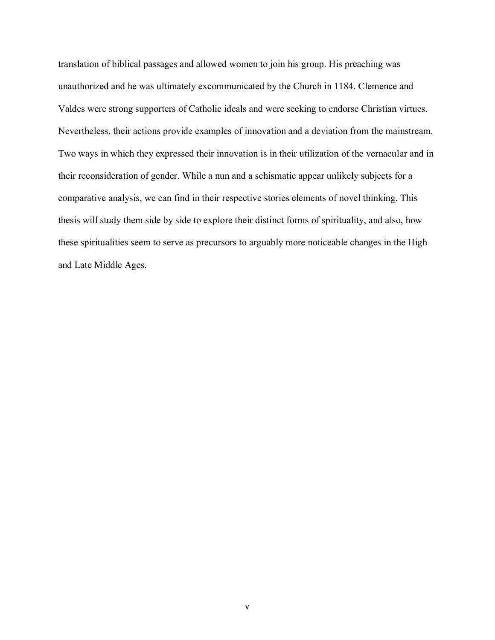translation of biblical passages and allowed women to join his group. His preaching was unauthorized and he was ultimately excommunicated by the Church in 1184. Clemence and Valdes were strong supporters of Catholic ideals and were seeking to endorse Christian virtues. Nevertheless, their actions provide examples of innovation and a deviation from the mainstream. Two ways in which they expressed their innovation is in their utilization of the vernacular and in their reconsideration of gender. While a nun and a schismatic appear unlikely subjects for a comparative analysis, we can find in their respective stories elements of novel thinking. This thesis will study them side by side to explore their distinct forms of spirituality, and also, how these spiritualities seem to serve as precursors to arguably more noticeable changes in the High and Late Middle Ages.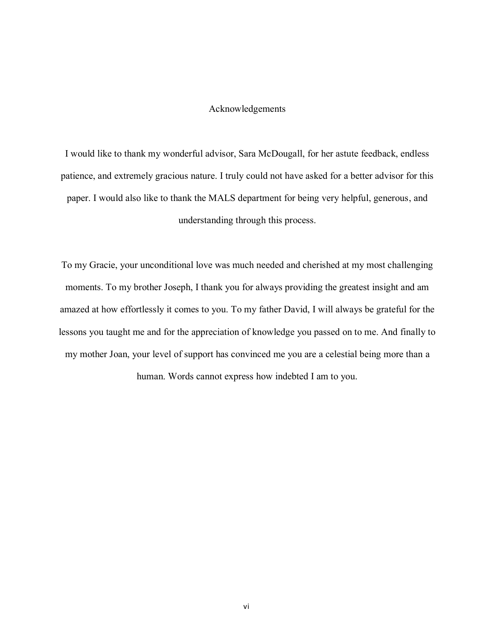#### Acknowledgements

I would like to thank my wonderful advisor, Sara McDougall, for her astute feedback, endless patience, and extremely gracious nature. I truly could not have asked for a better advisor for this paper. I would also like to thank the MALS department for being very helpful, generous, and understanding through this process.

To my Gracie, your unconditional love was much needed and cherished at my most challenging moments. To my brother Joseph, I thank you for always providing the greatest insight and am amazed at how effortlessly it comes to you. To my father David, I will always be grateful for the lessons you taught me and for the appreciation of knowledge you passed on to me. And finally to my mother Joan, your level of support has convinced me you are a celestial being more than a human. Words cannot express how indebted I am to you.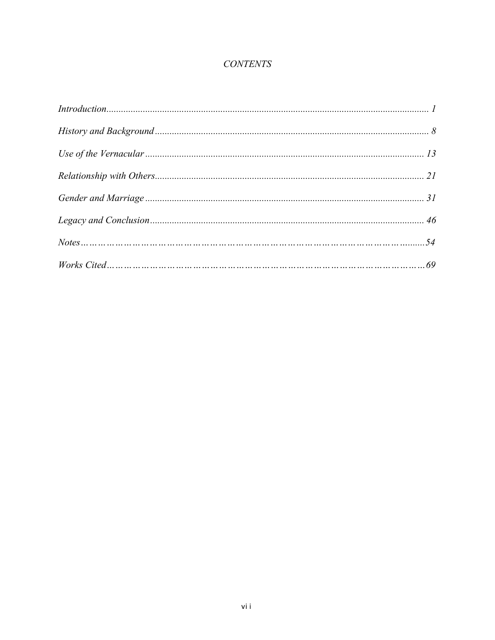### **CONTENTS**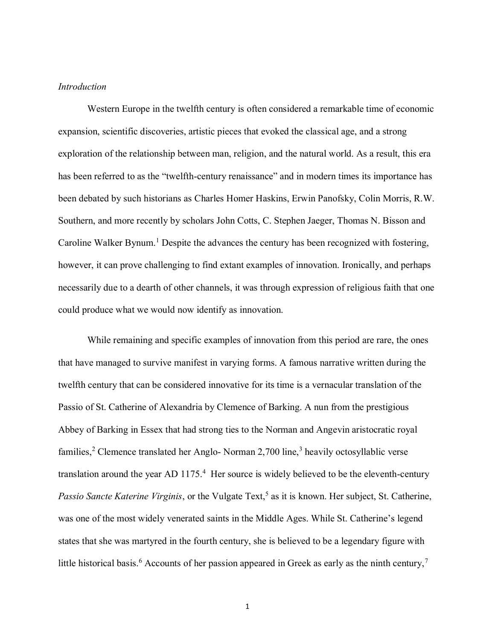#### *Introduction*

Western Europe in the twelfth century is often considered a remarkable time of economic expansion, scientific discoveries, artistic pieces that evoked the classical age, and a strong exploration of the relationship between man, religion, and the natural world. As a result, this era has been referred to as the "twelfth-century renaissance" and in modern times its importance has been debated by such historians as Charles Homer Haskins, Erwin Panofsky, Colin Morris, R.W. Southern, and more recently by scholars John Cotts, C. Stephen Jaeger, Thomas N. Bisson and Caroline Walker Bynum.<sup>1</sup> Despite the advances the century has been recognized with fostering, however, it can prove challenging to find extant examples of innovation. Ironically, and perhaps necessarily due to a dearth of other channels, it was through expression of religious faith that one could produce what we would now identify as innovation.

While remaining and specific examples of innovation from this period are rare, the ones that have managed to survive manifest in varying forms. A famous narrative written during the twelfth century that can be considered innovative for its time is a vernacular translation of the Passio of St. Catherine of Alexandria by Clemence of Barking. A nun from the prestigious Abbey of Barking in Essex that had strong ties to the Norman and Angevin aristocratic royal families,<sup>2</sup> Clemence translated her Anglo- Norman 2,700 line,<sup>3</sup> heavily octosyllablic verse translation around the year AD  $1175<sup>4</sup>$  Her source is widely believed to be the eleventh-century Passio Sancte Katerine Virginis, or the Vulgate Text,<sup>5</sup> as it is known. Her subject, St. Catherine, was one of the most widely venerated saints in the Middle Ages. While St. Catherine's legend states that she was martyred in the fourth century, she is believed to be a legendary figure with little historical basis.<sup>6</sup> Accounts of her passion appeared in Greek as early as the ninth century,<sup>7</sup>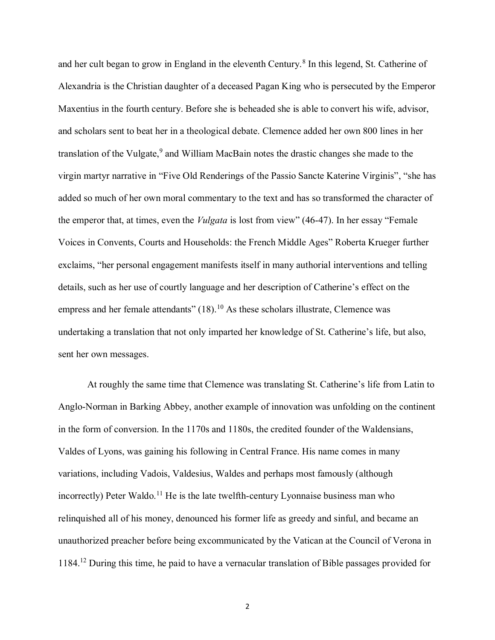and her cult began to grow in England in the eleventh Century.<sup>8</sup> In this legend, St. Catherine of Alexandria is the Christian daughter of a deceased Pagan King who is persecuted by the Emperor Maxentius in the fourth century. Before she is beheaded she is able to convert his wife, advisor, and scholars sent to beat her in a theological debate. Clemence added her own 800 lines in her translation of the Vulgate,<sup>9</sup> and William MacBain notes the drastic changes she made to the virgin martyr narrative in "Five Old Renderings of the Passio Sancte Katerine Virginis", "she has added so much of her own moral commentary to the text and has so transformed the character of the emperor that, at times, even the *Vulgata* is lost from view" (46-47). In her essay "Female Voices in Convents, Courts and Households: the French Middle Ages" Roberta Krueger further exclaims, "her personal engagement manifests itself in many authorial interventions and telling details, such as her use of courtly language and her description of Catherine's effect on the empress and her female attendants"  $(18)$ .<sup>10</sup> As these scholars illustrate, Clemence was undertaking a translation that not only imparted her knowledge of St. Catherine's life, but also, sent her own messages.

At roughly the same time that Clemence was translating St. Catherine's life from Latin to Anglo-Norman in Barking Abbey, another example of innovation was unfolding on the continent in the form of conversion. In the 1170s and 1180s, the credited founder of the Waldensians, Valdes of Lyons, was gaining his following in Central France. His name comes in many variations, including Vadois, Valdesius, Waldes and perhaps most famously (although incorrectly) Peter Waldo.<sup>11</sup> He is the late twelfth-century Lyonnaise business man who relinquished all of his money, denounced his former life as greedy and sinful, and became an unauthorized preacher before being excommunicated by the Vatican at the Council of Verona in 1184.<sup>12</sup> During this time, he paid to have a vernacular translation of Bible passages provided for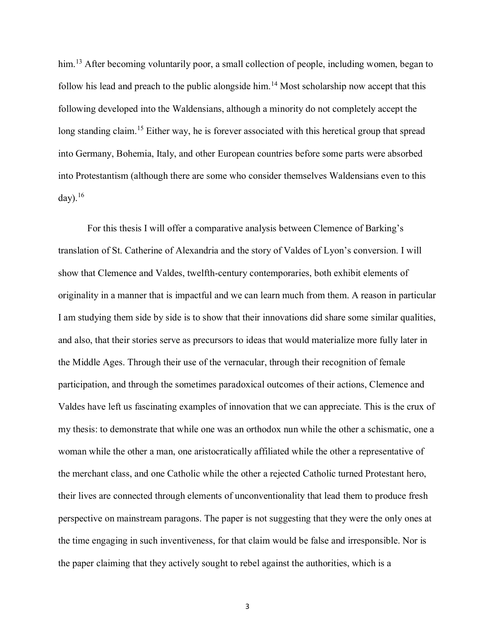him.<sup>13</sup> After becoming voluntarily poor, a small collection of people, including women, began to follow his lead and preach to the public alongside him.<sup>14</sup> Most scholarship now accept that this following developed into the Waldensians, although a minority do not completely accept the long standing claim.<sup>15</sup> Either way, he is forever associated with this heretical group that spread into Germany, Bohemia, Italy, and other European countries before some parts were absorbed into Protestantism (although there are some who consider themselves Waldensians even to this day). $16$ 

For this thesis I will offer a comparative analysis between Clemence of Barking's translation of St. Catherine of Alexandria and the story of Valdes of Lyon's conversion. I will show that Clemence and Valdes, twelfth-century contemporaries, both exhibit elements of originality in a manner that is impactful and we can learn much from them. A reason in particular I am studying them side by side is to show that their innovations did share some similar qualities, and also, that their stories serve as precursors to ideas that would materialize more fully later in the Middle Ages. Through their use of the vernacular, through their recognition of female participation, and through the sometimes paradoxical outcomes of their actions, Clemence and Valdes have left us fascinating examples of innovation that we can appreciate. This is the crux of my thesis: to demonstrate that while one was an orthodox nun while the other a schismatic, one a woman while the other a man, one aristocratically affiliated while the other a representative of the merchant class, and one Catholic while the other a rejected Catholic turned Protestant hero, their lives are connected through elements of unconventionality that lead them to produce fresh perspective on mainstream paragons. The paper is not suggesting that they were the only ones at the time engaging in such inventiveness, for that claim would be false and irresponsible. Nor is the paper claiming that they actively sought to rebel against the authorities, which is a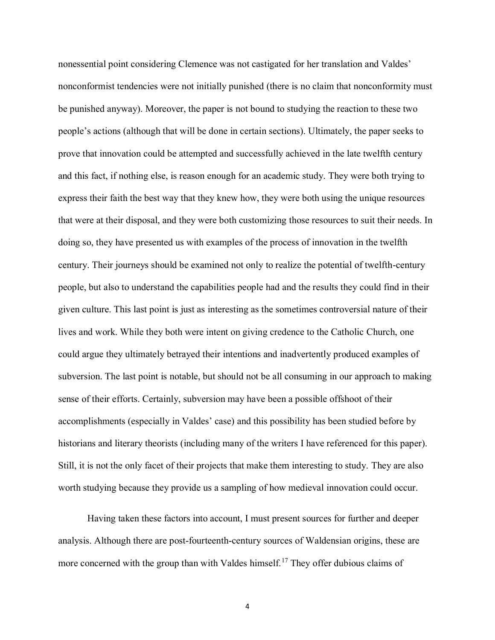nonessential point considering Clemence was not castigated for her translation and Valdes' nonconformist tendencies were not initially punished (there is no claim that nonconformity must be punished anyway). Moreover, the paper is not bound to studying the reaction to these two people's actions (although that will be done in certain sections). Ultimately, the paper seeks to prove that innovation could be attempted and successfully achieved in the late twelfth century and this fact, if nothing else, is reason enough for an academic study. They were both trying to express their faith the best way that they knew how, they were both using the unique resources that were at their disposal, and they were both customizing those resources to suit their needs. In doing so, they have presented us with examples of the process of innovation in the twelfth century. Their journeys should be examined not only to realize the potential of twelfth-century people, but also to understand the capabilities people had and the results they could find in their given culture. This last point is just as interesting as the sometimes controversial nature of their lives and work. While they both were intent on giving credence to the Catholic Church, one could argue they ultimately betrayed their intentions and inadvertently produced examples of subversion. The last point is notable, but should not be all consuming in our approach to making sense of their efforts. Certainly, subversion may have been a possible offshoot of their accomplishments (especially in Valdes' case) and this possibility has been studied before by historians and literary theorists (including many of the writers I have referenced for this paper). Still, it is not the only facet of their projects that make them interesting to study. They are also worth studying because they provide us a sampling of how medieval innovation could occur.

Having taken these factors into account, I must present sources for further and deeper analysis. Although there are post-fourteenth-century sources of Waldensian origins, these are more concerned with the group than with Valdes himself.<sup>17</sup> They offer dubious claims of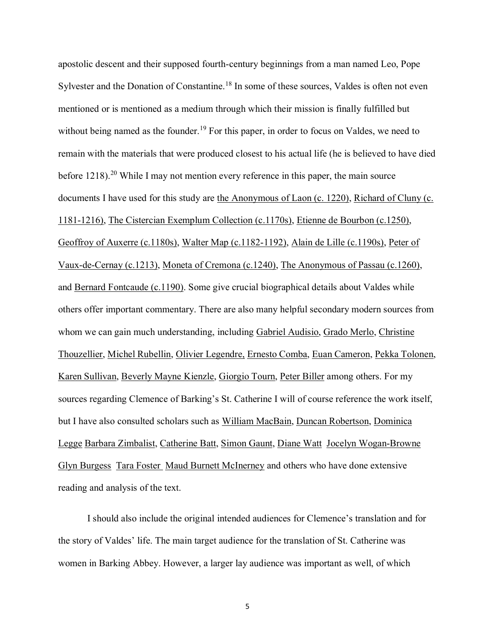apostolic descent and their supposed fourth-century beginnings from a man named Leo, Pope Sylvester and the Donation of Constantine.<sup>18</sup> In some of these sources, Valdes is often not even mentioned or is mentioned as a medium through which their mission is finally fulfilled but without being named as the founder.<sup>19</sup> For this paper, in order to focus on Valdes, we need to remain with the materials that were produced closest to his actual life (he is believed to have died before  $1218$ ).<sup>20</sup> While I may not mention every reference in this paper, the main source documents I have used for this study are the Anonymous of Laon (c. 1220), Richard of Cluny (c. 1181-1216), The Cistercian Exemplum Collection (c.1170s), Etienne de Bourbon (c.1250), Geoffroy of Auxerre (c.1180s), Walter Map (c.1182-1192), Alain de Lille (c.1190s), Peter of Vaux-de-Cernay (c.1213), Moneta of Cremona (c.1240), The Anonymous of Passau (c.1260), and Bernard Fontcaude (c.1190). Some give crucial biographical details about Valdes while others offer important commentary. There are also many helpful secondary modern sources from whom we can gain much understanding, including Gabriel Audisio, Grado Merlo, Christine Thouzellier, Michel Rubellin, Olivier Legendre, Ernesto Comba, Euan Cameron, Pekka Tolonen, Karen Sullivan, Beverly Mayne Kienzle, Giorgio Tourn, Peter Biller among others. For my sources regarding Clemence of Barking's St. Catherine I will of course reference the work itself, but I have also consulted scholars such as William MacBain, Duncan Robertson, Dominica Legge Barbara Zimbalist, Catherine Batt, Simon Gaunt, Diane Watt Jocelyn Wogan-Browne Glyn Burgess Tara Foster Maud Burnett McInerney and others who have done extensive reading and analysis of the text.

I should also include the original intended audiences for Clemence's translation and for the story of Valdes' life. The main target audience for the translation of St. Catherine was women in Barking Abbey. However, a larger lay audience was important as well, of which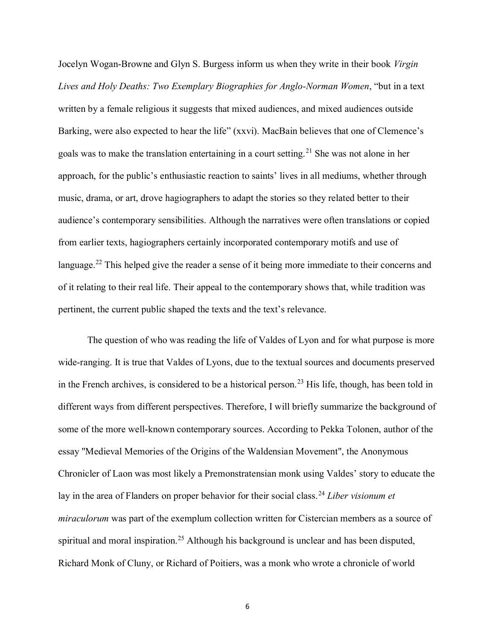Jocelyn Wogan-Browne and Glyn S. Burgess inform us when they write in their book *Virgin Lives and Holy Deaths: Two Exemplary Biographies for Anglo-Norman Women*, "but in a text written by a female religious it suggests that mixed audiences, and mixed audiences outside Barking, were also expected to hear the life" (xxvi). MacBain believes that one of Clemence's goals was to make the translation entertaining in a court setting.<sup>21</sup> She was not alone in her approach, for the public's enthusiastic reaction to saints' lives in all mediums, whether through music, drama, or art, drove hagiographers to adapt the stories so they related better to their audience's contemporary sensibilities. Although the narratives were often translations or copied from earlier texts, hagiographers certainly incorporated contemporary motifs and use of language.<sup>22</sup> This helped give the reader a sense of it being more immediate to their concerns and of it relating to their real life. Their appeal to the contemporary shows that, while tradition was pertinent, the current public shaped the texts and the text's relevance.

The question of who was reading the life of Valdes of Lyon and for what purpose is more wide-ranging. It is true that Valdes of Lyons, due to the textual sources and documents preserved in the French archives, is considered to be a historical person.<sup>23</sup> His life, though, has been told in different ways from different perspectives. Therefore, I will briefly summarize the background of some of the more well-known contemporary sources. According to Pekka Tolonen, author of the essay "Medieval Memories of the Origins of the Waldensian Movement", the Anonymous Chronicler of Laon was most likely a Premonstratensian monk using Valdes' story to educate the lay in the area of Flanders on proper behavior for their social class.<sup>24</sup> *Liber visionum et miraculorum* was part of the exemplum collection written for Cistercian members as a source of spiritual and moral inspiration.<sup>25</sup> Although his background is unclear and has been disputed, Richard Monk of Cluny, or Richard of Poitiers, was a monk who wrote a chronicle of world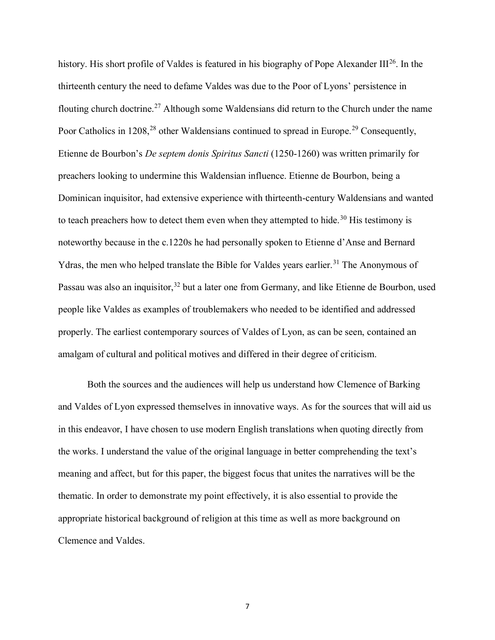history. His short profile of Valdes is featured in his biography of Pope Alexander  $III^{26}$ . In the thirteenth century the need to defame Valdes was due to the Poor of Lyons' persistence in flouting church doctrine.<sup>27</sup> Although some Waldensians did return to the Church under the name Poor Catholics in 1208,<sup>28</sup> other Waldensians continued to spread in Europe.<sup>29</sup> Consequently, Etienne de Bourbon's *De septem donis Spiritus Sancti* (1250-1260) was written primarily for preachers looking to undermine this Waldensian influence. Etienne de Bourbon, being a Dominican inquisitor, had extensive experience with thirteenth-century Waldensians and wanted to teach preachers how to detect them even when they attempted to hide.<sup>30</sup> His testimony is noteworthy because in the c.1220s he had personally spoken to Etienne d'Anse and Bernard Ydras, the men who helped translate the Bible for Valdes years earlier.<sup>31</sup> The Anonymous of Passau was also an inquisitor,<sup>32</sup> but a later one from Germany, and like Etienne de Bourbon, used people like Valdes as examples of troublemakers who needed to be identified and addressed properly. The earliest contemporary sources of Valdes of Lyon, as can be seen, contained an amalgam of cultural and political motives and differed in their degree of criticism.

Both the sources and the audiences will help us understand how Clemence of Barking and Valdes of Lyon expressed themselves in innovative ways. As for the sources that will aid us in this endeavor, I have chosen to use modern English translations when quoting directly from the works. I understand the value of the original language in better comprehending the text's meaning and affect, but for this paper, the biggest focus that unites the narratives will be the thematic. In order to demonstrate my point effectively, it is also essential to provide the appropriate historical background of religion at this time as well as more background on Clemence and Valdes.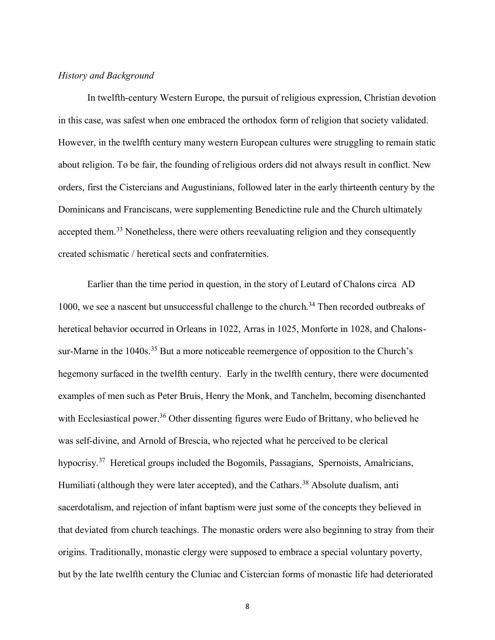#### *History and Background*

In twelfth-century Western Europe, the pursuit of religious expression, Christian devotion in this case, was safest when one embraced the orthodox form of religion that society validated. However, in the twelfth century many western European cultures were struggling to remain static about religion. To be fair, the founding of religious orders did not always result in conflict. New orders, first the Cistercians and Augustinians, followed later in the early thirteenth century by the Dominicans and Franciscans, were supplementing Benedictine rule and the Church ultimately accepted them.<sup>33</sup> Nonetheless, there were others reevaluating religion and they consequently created schismatic / heretical sects and confraternities.

Earlier than the time period in question, in the story of Leutard of Chalons circa AD 1000, we see a nascent but unsuccessful challenge to the church.<sup>34</sup> Then recorded outbreaks of heretical behavior occurred in Orleans in 1022, Arras in 1025, Monforte in 1028, and Chalonssur-Marne in the 1040s.<sup>35</sup> But a more noticeable reemergence of opposition to the Church's hegemony surfaced in the twelfth century. Early in the twelfth century, there were documented examples of men such as Peter Bruis, Henry the Monk, and Tanchelm, becoming disenchanted with Ecclesiastical power.<sup>36</sup> Other dissenting figures were Eudo of Brittany, who believed he was self-divine, and Arnold of Brescia, who rejected what he perceived to be clerical hypocrisy.<sup>37</sup> Heretical groups included the Bogomils, Passagians, Spernoists, Amalricians, Humiliati (although they were later accepted), and the Cathars.<sup>38</sup> Absolute dualism, anti sacerdotalism, and rejection of infant baptism were just some of the concepts they believed in that deviated from church teachings. The monastic orders were also beginning to stray from their origins. Traditionally, monastic clergy were supposed to embrace a special voluntary poverty, but by the late twelfth century the Cluniac and Cistercian forms of monastic life had deteriorated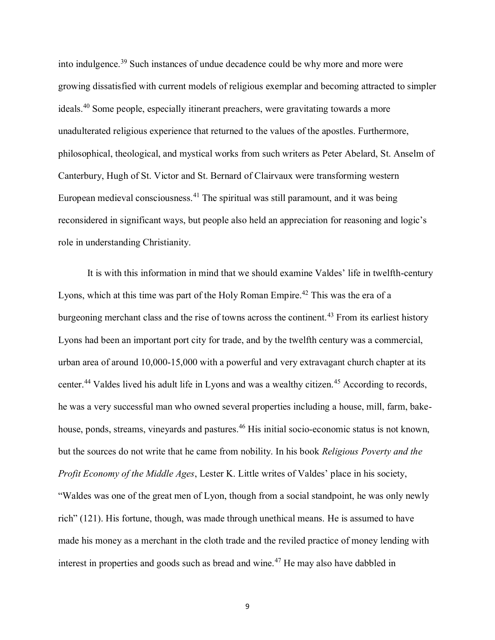into indulgence.<sup>39</sup> Such instances of undue decadence could be why more and more were growing dissatisfied with current models of religious exemplar and becoming attracted to simpler ideals.<sup>40</sup> Some people, especially itinerant preachers, were gravitating towards a more unadulterated religious experience that returned to the values of the apostles. Furthermore, philosophical, theological, and mystical works from such writers as Peter Abelard, St. Anselm of Canterbury, Hugh of St. Victor and St. Bernard of Clairvaux were transforming western European medieval consciousness.<sup>41</sup> The spiritual was still paramount, and it was being reconsidered in significant ways, but people also held an appreciation for reasoning and logic's role in understanding Christianity.

It is with this information in mind that we should examine Valdes' life in twelfth-century Lyons, which at this time was part of the Holy Roman Empire.<sup>42</sup> This was the era of a burgeoning merchant class and the rise of towns across the continent.<sup>43</sup> From its earliest history Lyons had been an important port city for trade, and by the twelfth century was a commercial, urban area of around 10,000-15,000 with a powerful and very extravagant church chapter at its center.<sup>44</sup> Valdes lived his adult life in Lyons and was a wealthy citizen.<sup>45</sup> According to records, he was a very successful man who owned several properties including a house, mill, farm, bakehouse, ponds, streams, vineyards and pastures.<sup>46</sup> His initial socio-economic status is not known, but the sources do not write that he came from nobility. In his book *Religious Poverty and the Profit Economy of the Middle Ages*, Lester K. Little writes of Valdes' place in his society, "Waldes was one of the great men of Lyon, though from a social standpoint, he was only newly rich" (121). His fortune, though, was made through unethical means. He is assumed to have made his money as a merchant in the cloth trade and the reviled practice of money lending with interest in properties and goods such as bread and wine.<sup>47</sup> He may also have dabbled in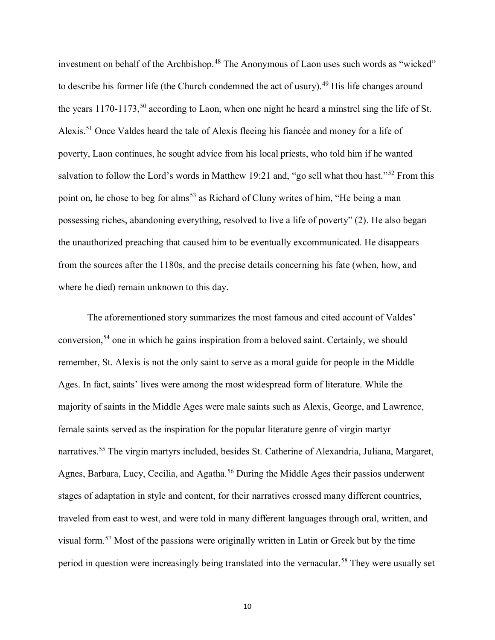investment on behalf of the Archbishop.<sup>48</sup> The Anonymous of Laon uses such words as "wicked" to describe his former life (the Church condemned the act of usury).<sup>49</sup> His life changes around the years 1170-1173,<sup>50</sup> according to Laon, when one night he heard a minstrel sing the life of St. Alexis.<sup>51</sup> Once Valdes heard the tale of Alexis fleeing his fiancée and money for a life of poverty, Laon continues, he sought advice from his local priests, who told him if he wanted salvation to follow the Lord's words in Matthew 19:21 and, "go sell what thou hast."<sup>52</sup> From this point on, he chose to beg for alms<sup>53</sup> as Richard of Cluny writes of him, "He being a man possessing riches, abandoning everything, resolved to live a life of poverty" (2). He also began the unauthorized preaching that caused him to be eventually excommunicated. He disappears from the sources after the 1180s, and the precise details concerning his fate (when, how, and where he died) remain unknown to this day.

The aforementioned story summarizes the most famous and cited account of Valdes' conversion,<sup>54</sup> one in which he gains inspiration from a beloved saint. Certainly, we should remember, St. Alexis is not the only saint to serve as a moral guide for people in the Middle Ages. In fact, saints' lives were among the most widespread form of literature. While the majority of saints in the Middle Ages were male saints such as Alexis, George, and Lawrence, female saints served as the inspiration for the popular literature genre of virgin martyr narratives.<sup>55</sup> The virgin martyrs included, besides St. Catherine of Alexandria, Juliana, Margaret, Agnes, Barbara, Lucy, Cecilia, and Agatha.<sup>56</sup> During the Middle Ages their passios underwent stages of adaptation in style and content, for their narratives crossed many different countries, traveled from east to west, and were told in many different languages through oral, written, and visual form.<sup>57</sup> Most of the passions were originally written in Latin or Greek but by the time period in question were increasingly being translated into the vernacular.<sup>58</sup> They were usually set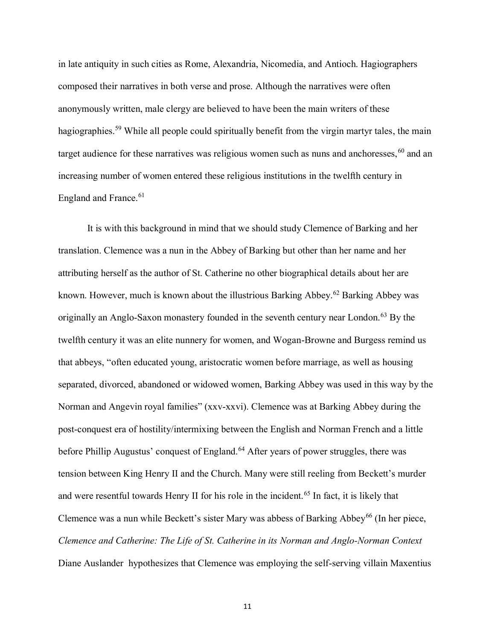in late antiquity in such cities as Rome, Alexandria, Nicomedia, and Antioch. Hagiographers composed their narratives in both verse and prose. Although the narratives were often anonymously written, male clergy are believed to have been the main writers of these hagiographies.<sup>59</sup> While all people could spiritually benefit from the virgin martyr tales, the main target audience for these narratives was religious women such as nuns and anchoresses,  $60$  and an increasing number of women entered these religious institutions in the twelfth century in England and France.<sup>61</sup>

It is with this background in mind that we should study Clemence of Barking and her translation. Clemence was a nun in the Abbey of Barking but other than her name and her attributing herself as the author of St. Catherine no other biographical details about her are known. However, much is known about the illustrious Barking Abbey.<sup>62</sup> Barking Abbey was originally an Anglo-Saxon monastery founded in the seventh century near London.<sup>63</sup> By the twelfth century it was an elite nunnery for women, and Wogan-Browne and Burgess remind us that abbeys, "often educated young, aristocratic women before marriage, as well as housing separated, divorced, abandoned or widowed women, Barking Abbey was used in this way by the Norman and Angevin royal families" (xxv-xxvi). Clemence was at Barking Abbey during the post-conquest era of hostility/intermixing between the English and Norman French and a little before Phillip Augustus' conquest of England.<sup>64</sup> After years of power struggles, there was tension between King Henry II and the Church. Many were still reeling from Beckett's murder and were resentful towards Henry II for his role in the incident.<sup>65</sup> In fact, it is likely that Clemence was a nun while Beckett's sister Mary was abbess of Barking Abbey<sup>66</sup> (In her piece, *Clemence and Catherine: The Life of St. Catherine in its Norman and Anglo-Norman Context* Diane Auslander hypothesizes that Clemence was employing the self-serving villain Maxentius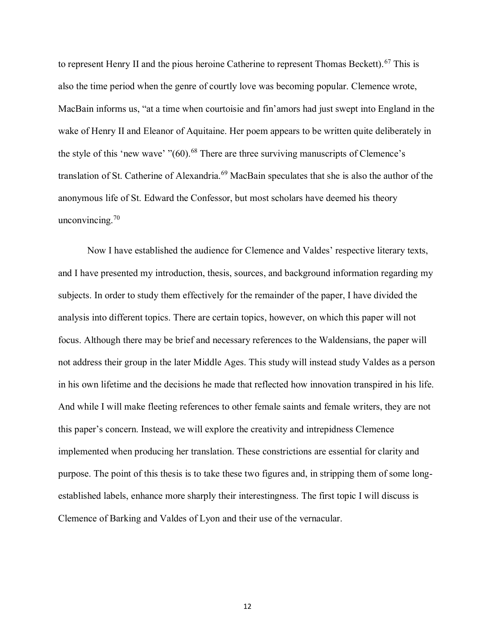to represent Henry II and the pious heroine Catherine to represent Thomas Beckett).<sup>67</sup> This is also the time period when the genre of courtly love was becoming popular. Clemence wrote, MacBain informs us, "at a time when courtoisie and fin'amors had just swept into England in the wake of Henry II and Eleanor of Aquitaine. Her poem appears to be written quite deliberately in the style of this 'new wave'  $" (60)$ <sup>68</sup>. There are three surviving manuscripts of Clemence's translation of St. Catherine of Alexandria.<sup>69</sup> MacBain speculates that she is also the author of the anonymous life of St. Edward the Confessor, but most scholars have deemed his theory unconvincing. $70$ 

Now I have established the audience for Clemence and Valdes' respective literary texts, and I have presented my introduction, thesis, sources, and background information regarding my subjects. In order to study them effectively for the remainder of the paper, I have divided the analysis into different topics. There are certain topics, however, on which this paper will not focus. Although there may be brief and necessary references to the Waldensians, the paper will not address their group in the later Middle Ages. This study will instead study Valdes as a person in his own lifetime and the decisions he made that reflected how innovation transpired in his life. And while I will make fleeting references to other female saints and female writers, they are not this paper's concern. Instead, we will explore the creativity and intrepidness Clemence implemented when producing her translation. These constrictions are essential for clarity and purpose. The point of this thesis is to take these two figures and, in stripping them of some longestablished labels, enhance more sharply their interestingness. The first topic I will discuss is Clemence of Barking and Valdes of Lyon and their use of the vernacular.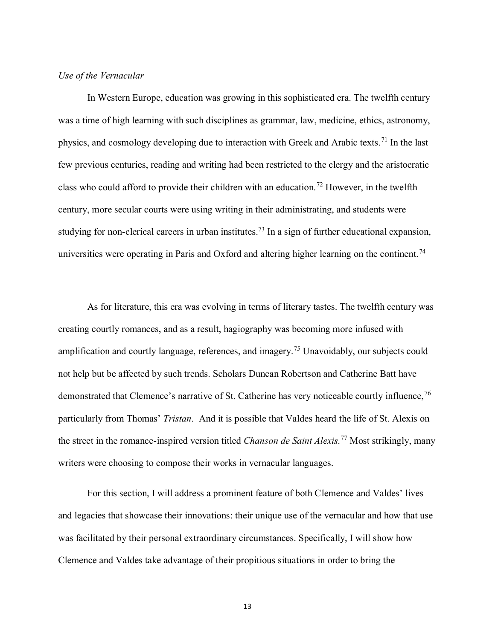### *Use of the Vernacular*

In Western Europe, education was growing in this sophisticated era. The twelfth century was a time of high learning with such disciplines as grammar, law, medicine, ethics, astronomy, physics, and cosmology developing due to interaction with Greek and Arabic texts.<sup>71</sup> In the last few previous centuries, reading and writing had been restricted to the clergy and the aristocratic class who could afford to provide their children with an education.<sup>72</sup> However, in the twelfth century, more secular courts were using writing in their administrating, and students were studying for non-clerical careers in urban institutes.<sup>73</sup> In a sign of further educational expansion, universities were operating in Paris and Oxford and altering higher learning on the continent.<sup>74</sup>

As for literature, this era was evolving in terms of literary tastes. The twelfth century was creating courtly romances, and as a result, hagiography was becoming more infused with amplification and courtly language, references, and imagery.<sup>75</sup> Unavoidably, our subjects could not help but be affected by such trends. Scholars Duncan Robertson and Catherine Batt have demonstrated that Clemence's narrative of St. Catherine has very noticeable courtly influence,<sup>76</sup> particularly from Thomas' *Tristan*. And it is possible that Valdes heard the life of St. Alexis on the street in the romance-inspired version titled *Chanson de Saint Alexis.*<sup>77</sup> Most strikingly, many writers were choosing to compose their works in vernacular languages.

For this section, I will address a prominent feature of both Clemence and Valdes' lives and legacies that showcase their innovations: their unique use of the vernacular and how that use was facilitated by their personal extraordinary circumstances. Specifically, I will show how Clemence and Valdes take advantage of their propitious situations in order to bring the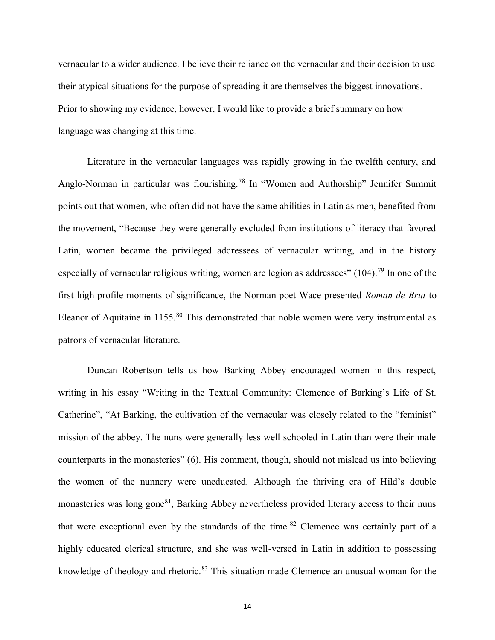vernacular to a wider audience. I believe their reliance on the vernacular and their decision to use their atypical situations for the purpose of spreading it are themselves the biggest innovations. Prior to showing my evidence, however, I would like to provide a brief summary on how language was changing at this time.

Literature in the vernacular languages was rapidly growing in the twelfth century, and Anglo-Norman in particular was flourishing.<sup>78</sup> In "Women and Authorship" Jennifer Summit points out that women, who often did not have the same abilities in Latin as men, benefited from the movement, "Because they were generally excluded from institutions of literacy that favored Latin, women became the privileged addressees of vernacular writing, and in the history especially of vernacular religious writing, women are legion as addressees"  $(104)$ <sup>79</sup>. In one of the first high profile moments of significance, the Norman poet Wace presented *Roman de Brut* to Eleanor of Aquitaine in 1155.<sup>80</sup> This demonstrated that noble women were very instrumental as patrons of vernacular literature.

Duncan Robertson tells us how Barking Abbey encouraged women in this respect, writing in his essay "Writing in the Textual Community: Clemence of Barking's Life of St. Catherine", "At Barking, the cultivation of the vernacular was closely related to the "feminist" mission of the abbey. The nuns were generally less well schooled in Latin than were their male counterparts in the monasteries" (6). His comment, though, should not mislead us into believing the women of the nunnery were uneducated. Although the thriving era of Hild's double monasteries was long gone<sup>81</sup>, Barking Abbey nevertheless provided literary access to their nuns that were exceptional even by the standards of the time.<sup>82</sup> Clemence was certainly part of a highly educated clerical structure, and she was well-versed in Latin in addition to possessing knowledge of theology and rhetoric.<sup>83</sup> This situation made Clemence an unusual woman for the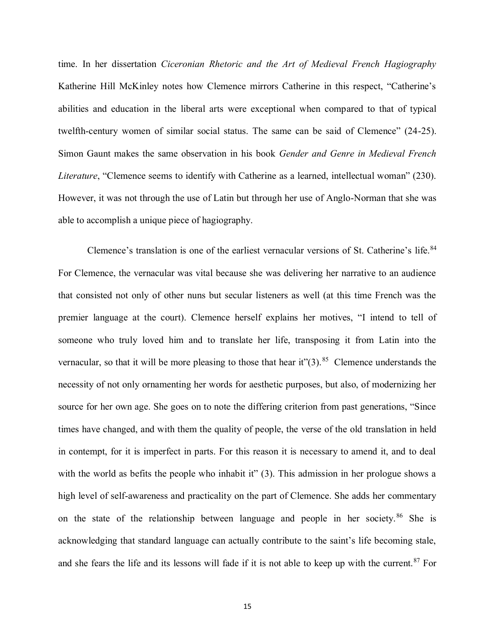time. In her dissertation *Ciceronian Rhetoric and the Art of Medieval French Hagiography* Katherine Hill McKinley notes how Clemence mirrors Catherine in this respect, "Catherine's abilities and education in the liberal arts were exceptional when compared to that of typical twelfth-century women of similar social status. The same can be said of Clemence" (24-25). Simon Gaunt makes the same observation in his book *Gender and Genre in Medieval French Literature*, "Clemence seems to identify with Catherine as a learned, intellectual woman" (230). However, it was not through the use of Latin but through her use of Anglo-Norman that she was able to accomplish a unique piece of hagiography.

Clemence's translation is one of the earliest vernacular versions of St. Catherine's life.<sup>84</sup> For Clemence, the vernacular was vital because she was delivering her narrative to an audience that consisted not only of other nuns but secular listeners as well (at this time French was the premier language at the court). Clemence herself explains her motives, "I intend to tell of someone who truly loved him and to translate her life, transposing it from Latin into the vernacular, so that it will be more pleasing to those that hear it" $(3)$ .<sup>85</sup> Clemence understands the necessity of not only ornamenting her words for aesthetic purposes, but also, of modernizing her source for her own age. She goes on to note the differing criterion from past generations, "Since times have changed, and with them the quality of people, the verse of the old translation in held in contempt, for it is imperfect in parts. For this reason it is necessary to amend it, and to deal with the world as befits the people who inhabit it" (3). This admission in her prologue shows a high level of self-awareness and practicality on the part of Clemence. She adds her commentary on the state of the relationship between language and people in her society.<sup>86</sup> She is acknowledging that standard language can actually contribute to the saint's life becoming stale, and she fears the life and its lessons will fade if it is not able to keep up with the current.<sup>87</sup> For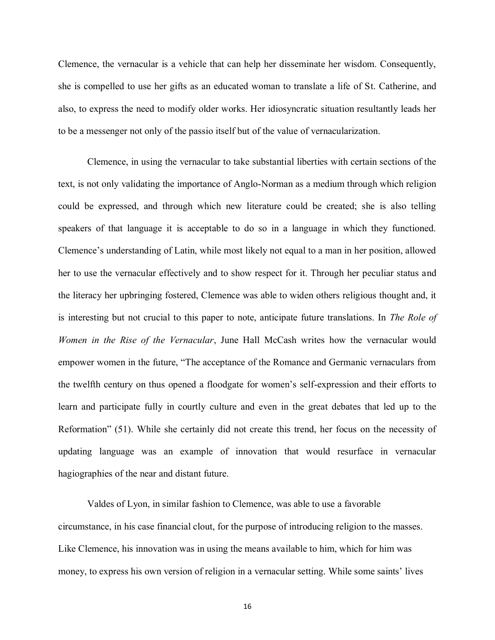Clemence, the vernacular is a vehicle that can help her disseminate her wisdom. Consequently, she is compelled to use her gifts as an educated woman to translate a life of St. Catherine, and also, to express the need to modify older works. Her idiosyncratic situation resultantly leads her to be a messenger not only of the passio itself but of the value of vernacularization.

Clemence, in using the vernacular to take substantial liberties with certain sections of the text, is not only validating the importance of Anglo-Norman as a medium through which religion could be expressed, and through which new literature could be created; she is also telling speakers of that language it is acceptable to do so in a language in which they functioned. Clemence's understanding of Latin, while most likely not equal to a man in her position, allowed her to use the vernacular effectively and to show respect for it. Through her peculiar status and the literacy her upbringing fostered, Clemence was able to widen others religious thought and, it is interesting but not crucial to this paper to note, anticipate future translations. In *The Role of Women in the Rise of the Vernacular*, June Hall McCash writes how the vernacular would empower women in the future, "The acceptance of the Romance and Germanic vernaculars from the twelfth century on thus opened a floodgate for women's self-expression and their efforts to learn and participate fully in courtly culture and even in the great debates that led up to the Reformation" (51). While she certainly did not create this trend, her focus on the necessity of updating language was an example of innovation that would resurface in vernacular hagiographies of the near and distant future.

Valdes of Lyon, in similar fashion to Clemence, was able to use a favorable circumstance, in his case financial clout, for the purpose of introducing religion to the masses. Like Clemence, his innovation was in using the means available to him, which for him was money, to express his own version of religion in a vernacular setting. While some saints' lives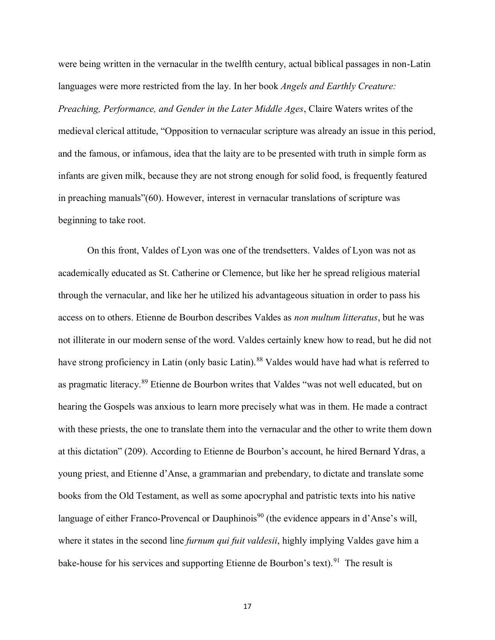were being written in the vernacular in the twelfth century, actual biblical passages in non-Latin languages were more restricted from the lay. In her book *Angels and Earthly Creature:* 

*Preaching, Performance, and Gender in the Later Middle Ages*, Claire Waters writes of the medieval clerical attitude, "Opposition to vernacular scripture was already an issue in this period, and the famous, or infamous, idea that the laity are to be presented with truth in simple form as infants are given milk, because they are not strong enough for solid food, is frequently featured in preaching manuals"(60). However, interest in vernacular translations of scripture was beginning to take root.

On this front, Valdes of Lyon was one of the trendsetters. Valdes of Lyon was not as academically educated as St. Catherine or Clemence, but like her he spread religious material through the vernacular, and like her he utilized his advantageous situation in order to pass his access on to others. Etienne de Bourbon describes Valdes as *non multum litteratus*, but he was not illiterate in our modern sense of the word. Valdes certainly knew how to read, but he did not have strong proficiency in Latin (only basic Latin).<sup>88</sup> Valdes would have had what is referred to as pragmatic literacy.<sup>89</sup> Etienne de Bourbon writes that Valdes "was not well educated, but on hearing the Gospels was anxious to learn more precisely what was in them. He made a contract with these priests, the one to translate them into the vernacular and the other to write them down at this dictation" (209). According to Etienne de Bourbon's account, he hired Bernard Ydras, a young priest, and Etienne d'Anse, a grammarian and prebendary, to dictate and translate some books from the Old Testament, as well as some apocryphal and patristic texts into his native language of either Franco-Provencal or Dauphinois<sup>90</sup> (the evidence appears in d'Anse's will, where it states in the second line *furnum qui fuit valdesii*, highly implying Valdes gave him a bake-house for his services and supporting Etienne de Bourbon's text). <sup>91</sup> The result is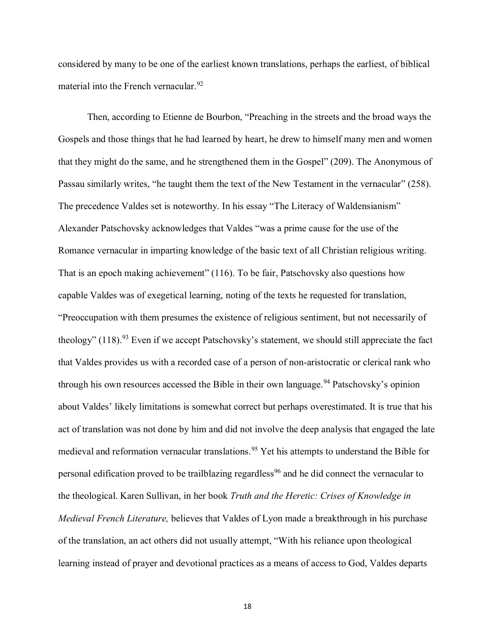considered by many to be one of the earliest known translations, perhaps the earliest, of biblical material into the French vernacular.<sup>92</sup>

Then, according to Etienne de Bourbon, "Preaching in the streets and the broad ways the Gospels and those things that he had learned by heart, he drew to himself many men and women that they might do the same, and he strengthened them in the Gospel" (209). The Anonymous of Passau similarly writes, "he taught them the text of the New Testament in the vernacular" (258). The precedence Valdes set is noteworthy. In his essay "The Literacy of Waldensianism" Alexander Patschovsky acknowledges that Valdes "was a prime cause for the use of the Romance vernacular in imparting knowledge of the basic text of all Christian religious writing. That is an epoch making achievement" (116). To be fair, Patschovsky also questions how capable Valdes was of exegetical learning, noting of the texts he requested for translation, "Preoccupation with them presumes the existence of religious sentiment, but not necessarily of theology"  $(118)$ .<sup>93</sup> Even if we accept Patschovsky's statement, we should still appreciate the fact that Valdes provides us with a recorded case of a person of non-aristocratic or clerical rank who through his own resources accessed the Bible in their own language.<sup>94</sup> Patschovsky's opinion about Valdes' likely limitations is somewhat correct but perhaps overestimated. It is true that his act of translation was not done by him and did not involve the deep analysis that engaged the late medieval and reformation vernacular translations.<sup>95</sup> Yet his attempts to understand the Bible for personal edification proved to be trailblazing regardless<sup>96</sup> and he did connect the vernacular to the theological. Karen Sullivan, in her book *Truth and the Heretic: Crises of Knowledge in Medieval French Literature,* believes that Valdes of Lyon made a breakthrough in his purchase of the translation, an act others did not usually attempt, "With his reliance upon theological learning instead of prayer and devotional practices as a means of access to God, Valdes departs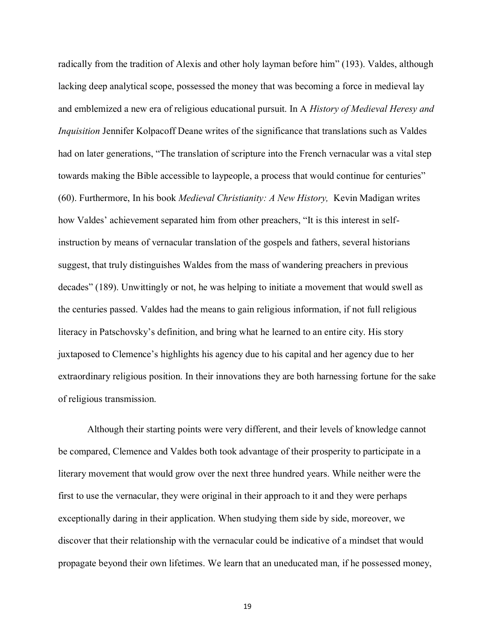radically from the tradition of Alexis and other holy layman before him" (193). Valdes, although lacking deep analytical scope, possessed the money that was becoming a force in medieval lay and emblemized a new era of religious educational pursuit. In A *History of Medieval Heresy and Inquisition* Jennifer Kolpacoff Deane writes of the significance that translations such as Valdes had on later generations, "The translation of scripture into the French vernacular was a vital step towards making the Bible accessible to laypeople, a process that would continue for centuries" (60). Furthermore, In his book *Medieval Christianity: A New History,* Kevin Madigan writes how Valdes' achievement separated him from other preachers, "It is this interest in selfinstruction by means of vernacular translation of the gospels and fathers, several historians suggest, that truly distinguishes Waldes from the mass of wandering preachers in previous decades" (189). Unwittingly or not, he was helping to initiate a movement that would swell as the centuries passed. Valdes had the means to gain religious information, if not full religious literacy in Patschovsky's definition, and bring what he learned to an entire city. His story juxtaposed to Clemence's highlights his agency due to his capital and her agency due to her extraordinary religious position. In their innovations they are both harnessing fortune for the sake of religious transmission.

Although their starting points were very different, and their levels of knowledge cannot be compared, Clemence and Valdes both took advantage of their prosperity to participate in a literary movement that would grow over the next three hundred years. While neither were the first to use the vernacular, they were original in their approach to it and they were perhaps exceptionally daring in their application. When studying them side by side, moreover, we discover that their relationship with the vernacular could be indicative of a mindset that would propagate beyond their own lifetimes. We learn that an uneducated man, if he possessed money,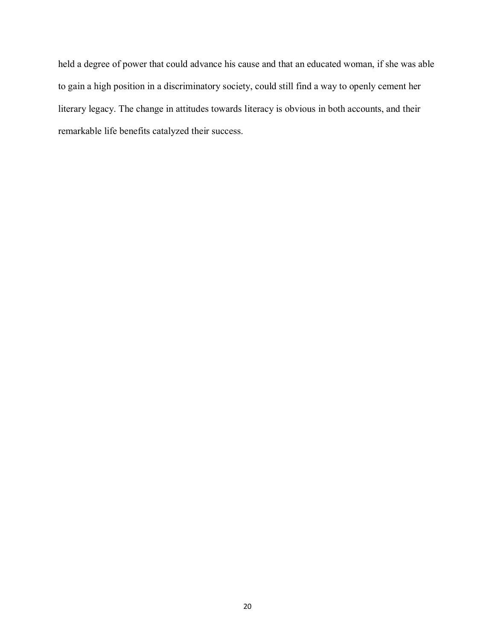held a degree of power that could advance his cause and that an educated woman, if she was able to gain a high position in a discriminatory society, could still find a way to openly cement her literary legacy. The change in attitudes towards literacy is obvious in both accounts, and their remarkable life benefits catalyzed their success.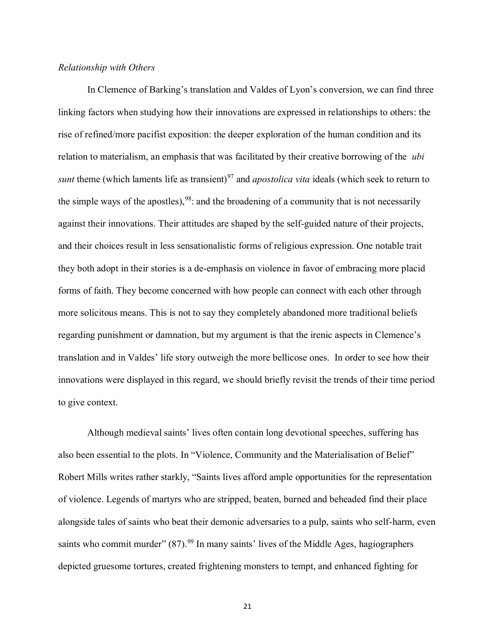#### *Relationship with Others*

In Clemence of Barking's translation and Valdes of Lyon's conversion, we can find three linking factors when studying how their innovations are expressed in relationships to others: the rise of refined/more pacifist exposition: the deeper exploration of the human condition and its relation to materialism, an emphasis that was facilitated by their creative borrowing of the *ubi sunt* theme (which laments life as transient)<sup>97</sup> and *apostolica vita* ideals (which seek to return to the simple ways of the apostles),  $98$ : and the broadening of a community that is not necessarily against their innovations. Their attitudes are shaped by the self-guided nature of their projects, and their choices result in less sensationalistic forms of religious expression. One notable trait they both adopt in their stories is a de-emphasis on violence in favor of embracing more placid forms of faith. They become concerned with how people can connect with each other through more solicitous means. This is not to say they completely abandoned more traditional beliefs regarding punishment or damnation, but my argument is that the irenic aspects in Clemence's translation and in Valdes' life story outweigh the more bellicose ones. In order to see how their innovations were displayed in this regard, we should briefly revisit the trends of their time period to give context.

Although medieval saints' lives often contain long devotional speeches, suffering has also been essential to the plots. In "Violence, Community and the Materialisation of Belief" Robert Mills writes rather starkly, "Saints lives afford ample opportunities for the representation of violence. Legends of martyrs who are stripped, beaten, burned and beheaded find their place alongside tales of saints who beat their demonic adversaries to a pulp, saints who self-harm, even saints who commit murder" (87).<sup>99</sup> In many saints' lives of the Middle Ages, hagiographers depicted gruesome tortures, created frightening monsters to tempt, and enhanced fighting for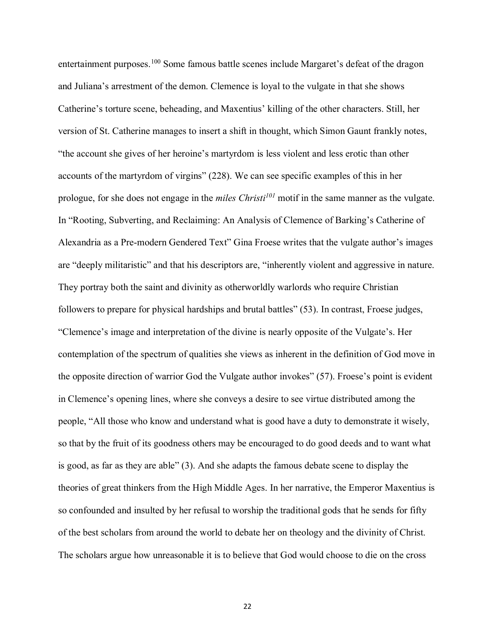entertainment purposes.<sup>100</sup> Some famous battle scenes include Margaret's defeat of the dragon and Juliana's arrestment of the demon. Clemence is loyal to the vulgate in that she shows Catherine's torture scene, beheading, and Maxentius' killing of the other characters. Still, her version of St. Catherine manages to insert a shift in thought, which Simon Gaunt frankly notes, "the account she gives of her heroine's martyrdom is less violent and less erotic than other accounts of the martyrdom of virgins" (228). We can see specific examples of this in her prologue, for she does not engage in the *miles Christi<sup>101</sup>* motif in the same manner as the vulgate. In "Rooting, Subverting, and Reclaiming: An Analysis of Clemence of Barking's Catherine of Alexandria as a Pre-modern Gendered Text" Gina Froese writes that the vulgate author's images are "deeply militaristic" and that his descriptors are, "inherently violent and aggressive in nature. They portray both the saint and divinity as otherworldly warlords who require Christian followers to prepare for physical hardships and brutal battles" (53). In contrast, Froese judges, "Clemence's image and interpretation of the divine is nearly opposite of the Vulgate's. Her contemplation of the spectrum of qualities she views as inherent in the definition of God move in the opposite direction of warrior God the Vulgate author invokes" (57). Froese's point is evident in Clemence's opening lines, where she conveys a desire to see virtue distributed among the people, "All those who know and understand what is good have a duty to demonstrate it wisely, so that by the fruit of its goodness others may be encouraged to do good deeds and to want what is good, as far as they are able" (3). And she adapts the famous debate scene to display the theories of great thinkers from the High Middle Ages. In her narrative, the Emperor Maxentius is so confounded and insulted by her refusal to worship the traditional gods that he sends for fifty of the best scholars from around the world to debate her on theology and the divinity of Christ. The scholars argue how unreasonable it is to believe that God would choose to die on the cross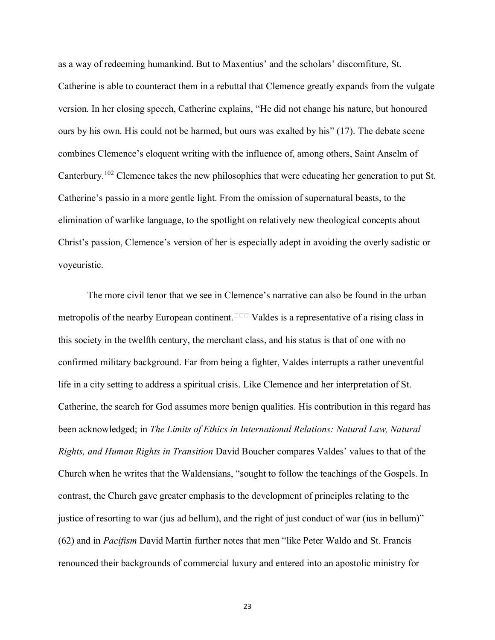as a way of redeeming humankind. But to Maxentius' and the scholars' discomfiture, St. Catherine is able to counteract them in a rebuttal that Clemence greatly expands from the vulgate version. In her closing speech, Catherine explains, "He did not change his nature, but honoured ours by his own. His could not be harmed, but ours was exalted by his" (17). The debate scene combines Clemence's eloquent writing with the influence of, among others, Saint Anselm of Canterbury.<sup>102</sup> Clemence takes the new philosophies that were educating her generation to put St. Catherine's passio in a more gentle light. From the omission of supernatural beasts, to the elimination of warlike language, to the spotlight on relatively new theological concepts about Christ's passion, Clemence's version of her is especially adept in avoiding the overly sadistic or voyeuristic.

The more civil tenor that we see in Clemence's narrative can also be found in the urban metropolis of the nearby European continent.<sup>103</sup> Valdes is a representative of a rising class in this society in the twelfth century, the merchant class, and his status is that of one with no confirmed military background. Far from being a fighter, Valdes interrupts a rather uneventful life in a city setting to address a spiritual crisis. Like Clemence and her interpretation of St. Catherine, the search for God assumes more benign qualities. His contribution in this regard has been acknowledged; in *The Limits of Ethics in International Relations: Natural Law, Natural Rights, and Human Rights in Transition* David Boucher compares Valdes' values to that of the Church when he writes that the Waldensians, "sought to follow the teachings of the Gospels. In contrast, the Church gave greater emphasis to the development of principles relating to the justice of resorting to war (jus ad bellum), and the right of just conduct of war (ius in bellum)" (62) and in *Pacifism* David Martin further notes that men "like Peter Waldo and St. Francis renounced their backgrounds of commercial luxury and entered into an apostolic ministry for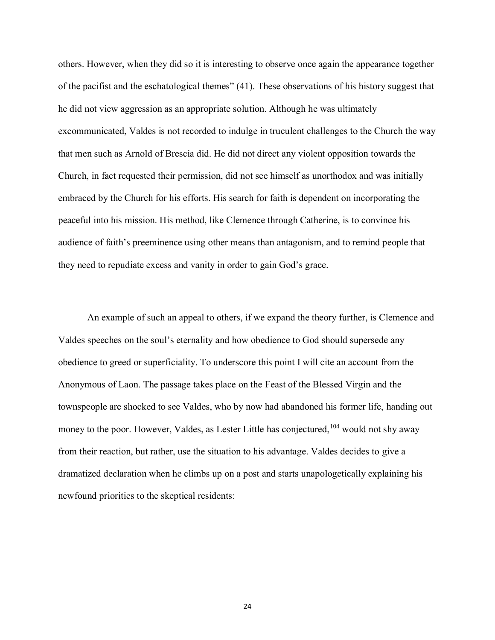others. However, when they did so it is interesting to observe once again the appearance together of the pacifist and the eschatological themes" (41). These observations of his history suggest that he did not view aggression as an appropriate solution. Although he was ultimately excommunicated, Valdes is not recorded to indulge in truculent challenges to the Church the way that men such as Arnold of Brescia did. He did not direct any violent opposition towards the Church, in fact requested their permission, did not see himself as unorthodox and was initially embraced by the Church for his efforts. His search for faith is dependent on incorporating the peaceful into his mission. His method, like Clemence through Catherine, is to convince his audience of faith's preeminence using other means than antagonism, and to remind people that they need to repudiate excess and vanity in order to gain God's grace.

An example of such an appeal to others, if we expand the theory further, is Clemence and Valdes speeches on the soul's eternality and how obedience to God should supersede any obedience to greed or superficiality. To underscore this point I will cite an account from the Anonymous of Laon. The passage takes place on the Feast of the Blessed Virgin and the townspeople are shocked to see Valdes, who by now had abandoned his former life, handing out money to the poor. However, Valdes, as Lester Little has conjectured, <sup>104</sup> would not shy away from their reaction, but rather, use the situation to his advantage. Valdes decides to give a dramatized declaration when he climbs up on a post and starts unapologetically explaining his newfound priorities to the skeptical residents: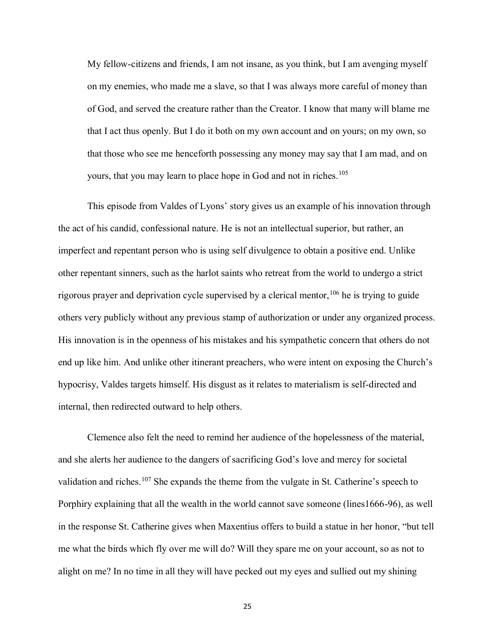My fellow-citizens and friends, I am not insane, as you think, but I am avenging myself on my enemies, who made me a slave, so that I was always more careful of money than of God, and served the creature rather than the Creator. I know that many will blame me that I act thus openly. But I do it both on my own account and on yours; on my own, so that those who see me henceforth possessing any money may say that I am mad, and on yours, that you may learn to place hope in God and not in riches.<sup>105</sup>

This episode from Valdes of Lyons' story gives us an example of his innovation through the act of his candid, confessional nature. He is not an intellectual superior, but rather, an imperfect and repentant person who is using self divulgence to obtain a positive end. Unlike other repentant sinners, such as the harlot saints who retreat from the world to undergo a strict rigorous prayer and deprivation cycle supervised by a clerical mentor,  $106$  he is trying to guide others very publicly without any previous stamp of authorization or under any organized process. His innovation is in the openness of his mistakes and his sympathetic concern that others do not end up like him. And unlike other itinerant preachers, who were intent on exposing the Church's hypocrisy, Valdes targets himself. His disgust as it relates to materialism is self-directed and internal, then redirected outward to help others.

Clemence also felt the need to remind her audience of the hopelessness of the material, and she alerts her audience to the dangers of sacrificing God's love and mercy for societal validation and riches.<sup>107</sup> She expands the theme from the vulgate in St. Catherine's speech to Porphiry explaining that all the wealth in the world cannot save someone (lines1666-96), as well in the response St. Catherine gives when Maxentius offers to build a statue in her honor, "but tell me what the birds which fly over me will do? Will they spare me on your account, so as not to alight on me? In no time in all they will have pecked out my eyes and sullied out my shining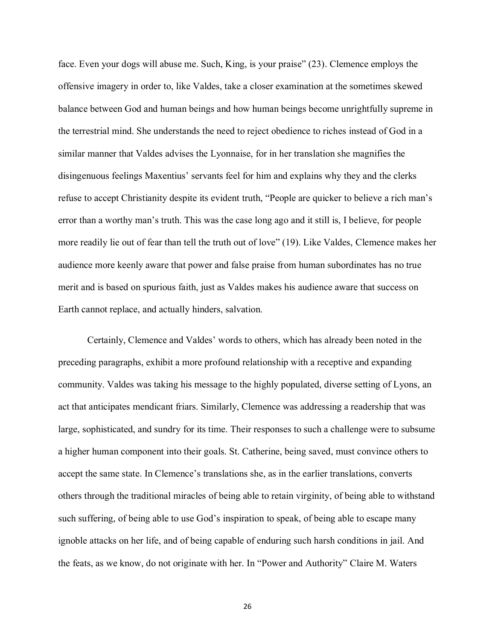face. Even your dogs will abuse me. Such, King, is your praise" (23). Clemence employs the offensive imagery in order to, like Valdes, take a closer examination at the sometimes skewed balance between God and human beings and how human beings become unrightfully supreme in the terrestrial mind. She understands the need to reject obedience to riches instead of God in a similar manner that Valdes advises the Lyonnaise, for in her translation she magnifies the disingenuous feelings Maxentius' servants feel for him and explains why they and the clerks refuse to accept Christianity despite its evident truth, "People are quicker to believe a rich man's error than a worthy man's truth. This was the case long ago and it still is, I believe, for people more readily lie out of fear than tell the truth out of love" (19). Like Valdes, Clemence makes her audience more keenly aware that power and false praise from human subordinates has no true merit and is based on spurious faith, just as Valdes makes his audience aware that success on Earth cannot replace, and actually hinders, salvation.

Certainly, Clemence and Valdes' words to others, which has already been noted in the preceding paragraphs, exhibit a more profound relationship with a receptive and expanding community. Valdes was taking his message to the highly populated, diverse setting of Lyons, an act that anticipates mendicant friars. Similarly, Clemence was addressing a readership that was large, sophisticated, and sundry for its time. Their responses to such a challenge were to subsume a higher human component into their goals. St. Catherine, being saved, must convince others to accept the same state. In Clemence's translations she, as in the earlier translations, converts others through the traditional miracles of being able to retain virginity, of being able to withstand such suffering, of being able to use God's inspiration to speak, of being able to escape many ignoble attacks on her life, and of being capable of enduring such harsh conditions in jail. And the feats, as we know, do not originate with her. In "Power and Authority" Claire M. Waters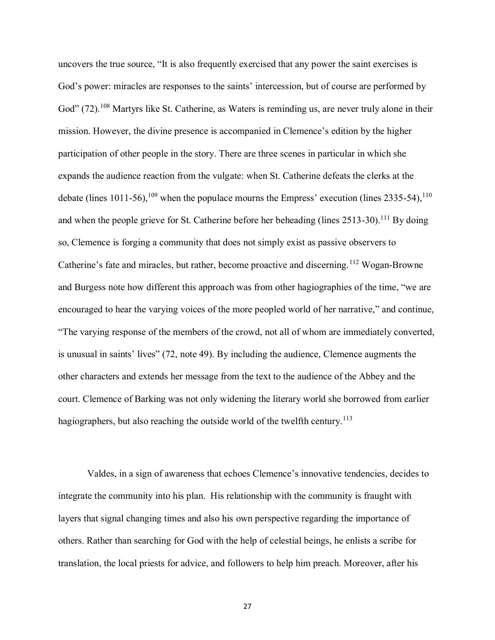uncovers the true source, "It is also frequently exercised that any power the saint exercises is God's power: miracles are responses to the saints' intercession, but of course are performed by God" (72).<sup>108</sup> Martyrs like St. Catherine, as Waters is reminding us, are never truly alone in their mission. However, the divine presence is accompanied in Clemence's edition by the higher participation of other people in the story. There are three scenes in particular in which she expands the audience reaction from the vulgate: when St. Catherine defeats the clerks at the debate (lines 1011-56),<sup>109</sup> when the populace mourns the Empress' execution (lines 2335-54),<sup>110</sup> and when the people grieve for St. Catherine before her beheading (lines  $2513-30$ ).<sup>111</sup> By doing so, Clemence is forging a community that does not simply exist as passive observers to Catherine's fate and miracles, but rather, become proactive and discerning.<sup>112</sup> Wogan-Browne and Burgess note how different this approach was from other hagiographies of the time, "we are encouraged to hear the varying voices of the more peopled world of her narrative," and continue, "The varying response of the members of the crowd, not all of whom are immediately converted, is unusual in saints' lives" (72, note 49). By including the audience, Clemence augments the other characters and extends her message from the text to the audience of the Abbey and the court. Clemence of Barking was not only widening the literary world she borrowed from earlier hagiographers, but also reaching the outside world of the twelfth century.<sup>113</sup>

Valdes, in a sign of awareness that echoes Clemence's innovative tendencies, decides to integrate the community into his plan. His relationship with the community is fraught with layers that signal changing times and also his own perspective regarding the importance of others. Rather than searching for God with the help of celestial beings, he enlists a scribe for translation, the local priests for advice, and followers to help him preach. Moreover, after his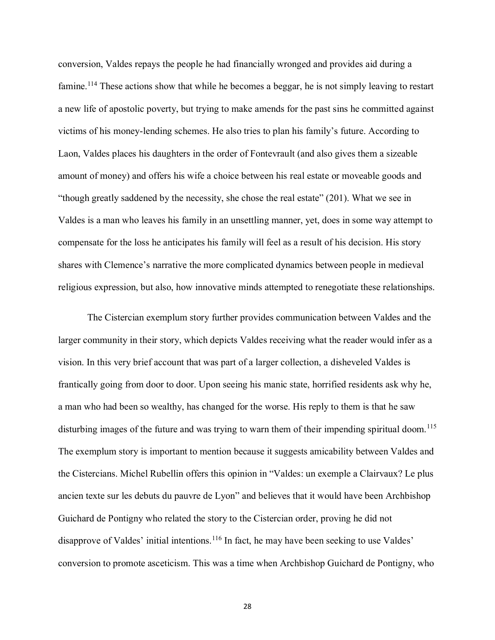conversion, Valdes repays the people he had financially wronged and provides aid during a famine.<sup>114</sup> These actions show that while he becomes a beggar, he is not simply leaving to restart a new life of apostolic poverty, but trying to make amends for the past sins he committed against victims of his money-lending schemes. He also tries to plan his family's future. According to Laon, Valdes places his daughters in the order of Fontevrault (and also gives them a sizeable amount of money) and offers his wife a choice between his real estate or moveable goods and "though greatly saddened by the necessity, she chose the real estate" (201). What we see in Valdes is a man who leaves his family in an unsettling manner, yet, does in some way attempt to compensate for the loss he anticipates his family will feel as a result of his decision. His story shares with Clemence's narrative the more complicated dynamics between people in medieval religious expression, but also, how innovative minds attempted to renegotiate these relationships.

The Cistercian exemplum story further provides communication between Valdes and the larger community in their story, which depicts Valdes receiving what the reader would infer as a vision. In this very brief account that was part of a larger collection, a disheveled Valdes is frantically going from door to door. Upon seeing his manic state, horrified residents ask why he, a man who had been so wealthy, has changed for the worse. His reply to them is that he saw disturbing images of the future and was trying to warn them of their impending spiritual doom.<sup>115</sup> The exemplum story is important to mention because it suggests amicability between Valdes and the Cistercians. Michel Rubellin offers this opinion in "Valdes: un exemple a Clairvaux? Le plus ancien texte sur les debuts du pauvre de Lyon" and believes that it would have been Archbishop Guichard de Pontigny who related the story to the Cistercian order, proving he did not disapprove of Valdes' initial intentions.<sup>116</sup> In fact, he may have been seeking to use Valdes' conversion to promote asceticism. This was a time when Archbishop Guichard de Pontigny, who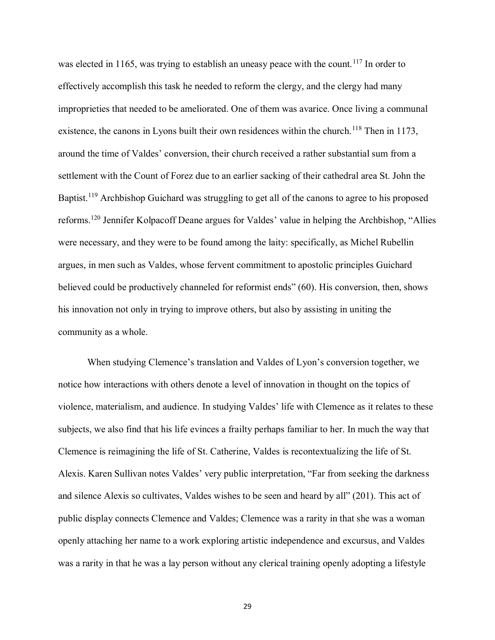was elected in 1165, was trying to establish an uneasy peace with the count.<sup>117</sup> In order to effectively accomplish this task he needed to reform the clergy, and the clergy had many improprieties that needed to be ameliorated. One of them was avarice. Once living a communal existence, the canons in Lyons built their own residences within the church.<sup>118</sup> Then in 1173, around the time of Valdes' conversion, their church received a rather substantial sum from a settlement with the Count of Forez due to an earlier sacking of their cathedral area St. John the Baptist.<sup>119</sup> Archbishop Guichard was struggling to get all of the canons to agree to his proposed reforms.<sup>120</sup> Jennifer Kolpacoff Deane argues for Valdes' value in helping the Archbishop, "Allies were necessary, and they were to be found among the laity: specifically, as Michel Rubellin argues, in men such as Valdes, whose fervent commitment to apostolic principles Guichard believed could be productively channeled for reformist ends" (60). His conversion, then, shows his innovation not only in trying to improve others, but also by assisting in uniting the community as a whole.

When studying Clemence's translation and Valdes of Lyon's conversion together, we notice how interactions with others denote a level of innovation in thought on the topics of violence, materialism, and audience. In studying Valdes' life with Clemence as it relates to these subjects, we also find that his life evinces a frailty perhaps familiar to her. In much the way that Clemence is reimagining the life of St. Catherine, Valdes is recontextualizing the life of St. Alexis. Karen Sullivan notes Valdes' very public interpretation, "Far from seeking the darkness and silence Alexis so cultivates, Valdes wishes to be seen and heard by all" (201). This act of public display connects Clemence and Valdes; Clemence was a rarity in that she was a woman openly attaching her name to a work exploring artistic independence and excursus, and Valdes was a rarity in that he was a lay person without any clerical training openly adopting a lifestyle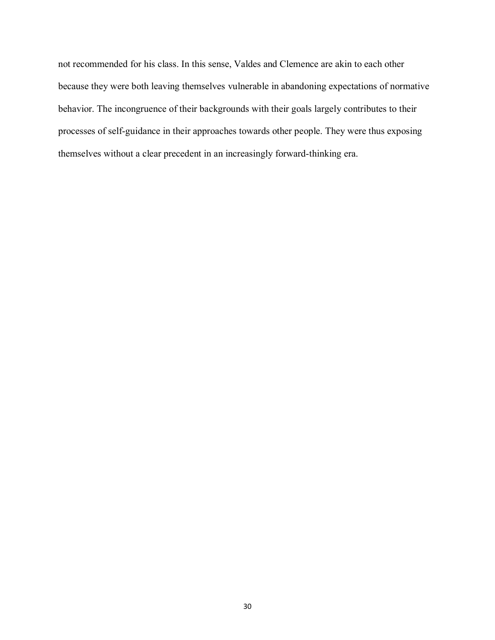not recommended for his class. In this sense, Valdes and Clemence are akin to each other because they were both leaving themselves vulnerable in abandoning expectations of normative behavior. The incongruence of their backgrounds with their goals largely contributes to their processes of self-guidance in their approaches towards other people. They were thus exposing themselves without a clear precedent in an increasingly forward-thinking era.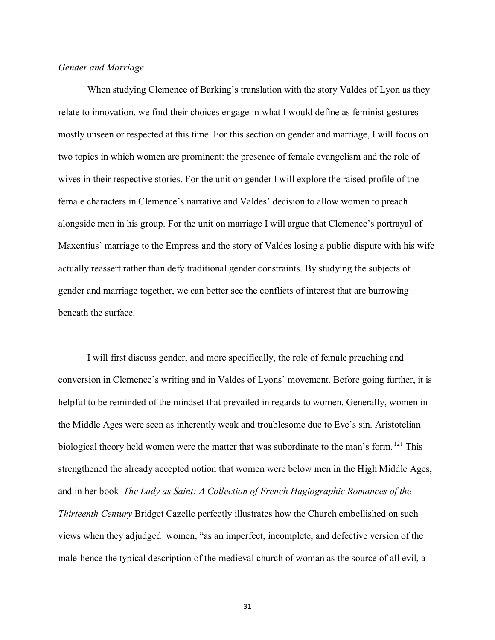## *Gender and Marriage*

When studying Clemence of Barking's translation with the story Valdes of Lyon as they relate to innovation, we find their choices engage in what I would define as feminist gestures mostly unseen or respected at this time. For this section on gender and marriage, I will focus on two topics in which women are prominent: the presence of female evangelism and the role of wives in their respective stories. For the unit on gender I will explore the raised profile of the female characters in Clemence's narrative and Valdes' decision to allow women to preach alongside men in his group. For the unit on marriage I will argue that Clemence's portrayal of Maxentius' marriage to the Empress and the story of Valdes losing a public dispute with his wife actually reassert rather than defy traditional gender constraints. By studying the subjects of gender and marriage together, we can better see the conflicts of interest that are burrowing beneath the surface.

I will first discuss gender, and more specifically, the role of female preaching and conversion in Clemence's writing and in Valdes of Lyons' movement. Before going further, it is helpful to be reminded of the mindset that prevailed in regards to women. Generally, women in the Middle Ages were seen as inherently weak and troublesome due to Eve's sin. Aristotelian biological theory held women were the matter that was subordinate to the man's form.<sup>121</sup> This strengthened the already accepted notion that women were below men in the High Middle Ages, and in her book *The Lady as Saint: A Collection of French Hagiographic Romances of the Thirteenth Century* Bridget Cazelle perfectly illustrates how the Church embellished on such views when they adjudged women, "as an imperfect, incomplete, and defective version of the male-hence the typical description of the medieval church of woman as the source of all evil, a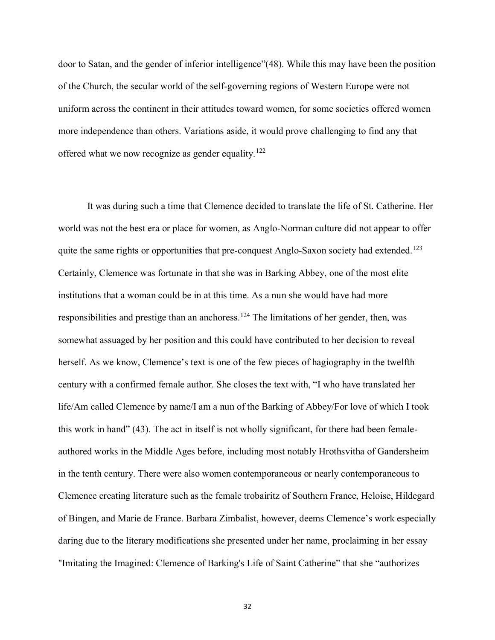door to Satan, and the gender of inferior intelligence"(48). While this may have been the position of the Church, the secular world of the self-governing regions of Western Europe were not uniform across the continent in their attitudes toward women, for some societies offered women more independence than others. Variations aside, it would prove challenging to find any that offered what we now recognize as gender equality.<sup>122</sup>

It was during such a time that Clemence decided to translate the life of St. Catherine. Her world was not the best era or place for women, as Anglo-Norman culture did not appear to offer quite the same rights or opportunities that pre-conquest Anglo-Saxon society had extended.<sup>123</sup> Certainly, Clemence was fortunate in that she was in Barking Abbey, one of the most elite institutions that a woman could be in at this time. As a nun she would have had more responsibilities and prestige than an anchoress.<sup>124</sup> The limitations of her gender, then, was somewhat assuaged by her position and this could have contributed to her decision to reveal herself. As we know, Clemence's text is one of the few pieces of hagiography in the twelfth century with a confirmed female author. She closes the text with, "I who have translated her life/Am called Clemence by name/I am a nun of the Barking of Abbey/For love of which I took this work in hand" (43). The act in itself is not wholly significant, for there had been femaleauthored works in the Middle Ages before, including most notably Hrothsvitha of Gandersheim in the tenth century. There were also women contemporaneous or nearly contemporaneous to Clemence creating literature such as the female trobairitz of Southern France, Heloise, Hildegard of Bingen, and Marie de France. Barbara Zimbalist, however, deems Clemence's work especially daring due to the literary modifications she presented under her name, proclaiming in her essay "Imitating the Imagined: Clemence of Barking's Life of Saint Catherine" that she "authorizes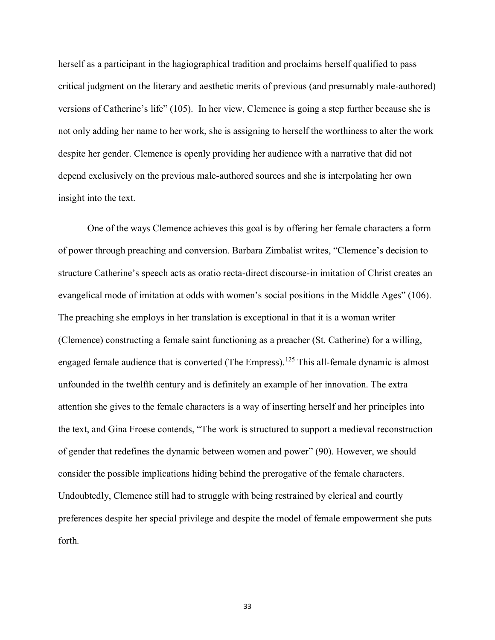herself as a participant in the hagiographical tradition and proclaims herself qualified to pass critical judgment on the literary and aesthetic merits of previous (and presumably male-authored) versions of Catherine's life" (105). In her view, Clemence is going a step further because she is not only adding her name to her work, she is assigning to herself the worthiness to alter the work despite her gender. Clemence is openly providing her audience with a narrative that did not depend exclusively on the previous male-authored sources and she is interpolating her own insight into the text.

One of the ways Clemence achieves this goal is by offering her female characters a form of power through preaching and conversion. Barbara Zimbalist writes, "Clemence's decision to structure Catherine's speech acts as oratio recta-direct discourse-in imitation of Christ creates an evangelical mode of imitation at odds with women's social positions in the Middle Ages" (106). The preaching she employs in her translation is exceptional in that it is a woman writer (Clemence) constructing a female saint functioning as a preacher (St. Catherine) for a willing, engaged female audience that is converted (The Empress).<sup>125</sup> This all-female dynamic is almost unfounded in the twelfth century and is definitely an example of her innovation. The extra attention she gives to the female characters is a way of inserting herself and her principles into the text, and Gina Froese contends, "The work is structured to support a medieval reconstruction of gender that redefines the dynamic between women and power" (90). However, we should consider the possible implications hiding behind the prerogative of the female characters. Undoubtedly, Clemence still had to struggle with being restrained by clerical and courtly preferences despite her special privilege and despite the model of female empowerment she puts forth.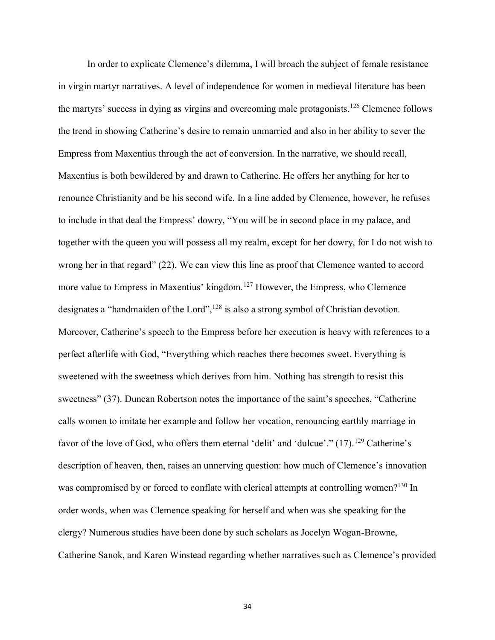In order to explicate Clemence's dilemma, I will broach the subject of female resistance in virgin martyr narratives. A level of independence for women in medieval literature has been the martyrs' success in dying as virgins and overcoming male protagonists.<sup>126</sup> Clemence follows the trend in showing Catherine's desire to remain unmarried and also in her ability to sever the Empress from Maxentius through the act of conversion. In the narrative, we should recall, Maxentius is both bewildered by and drawn to Catherine. He offers her anything for her to renounce Christianity and be his second wife. In a line added by Clemence, however, he refuses to include in that deal the Empress' dowry, "You will be in second place in my palace, and together with the queen you will possess all my realm, except for her dowry, for I do not wish to wrong her in that regard" (22). We can view this line as proof that Clemence wanted to accord more value to Empress in Maxentius' kingdom.<sup>127</sup> However, the Empress, who Clemence designates a "handmaiden of the Lord",<sup>128</sup> is also a strong symbol of Christian devotion. Moreover, Catherine's speech to the Empress before her execution is heavy with references to a perfect afterlife with God, "Everything which reaches there becomes sweet. Everything is sweetened with the sweetness which derives from him. Nothing has strength to resist this sweetness" (37). Duncan Robertson notes the importance of the saint's speeches, "Catherine calls women to imitate her example and follow her vocation, renouncing earthly marriage in favor of the love of God, who offers them eternal 'delit' and 'dulcue'."  $(17)$ .<sup>129</sup> Catherine's description of heaven, then, raises an unnerving question: how much of Clemence's innovation was compromised by or forced to conflate with clerical attempts at controlling women?<sup>130</sup> In order words, when was Clemence speaking for herself and when was she speaking for the clergy? Numerous studies have been done by such scholars as Jocelyn Wogan-Browne, Catherine Sanok, and Karen Winstead regarding whether narratives such as Clemence's provided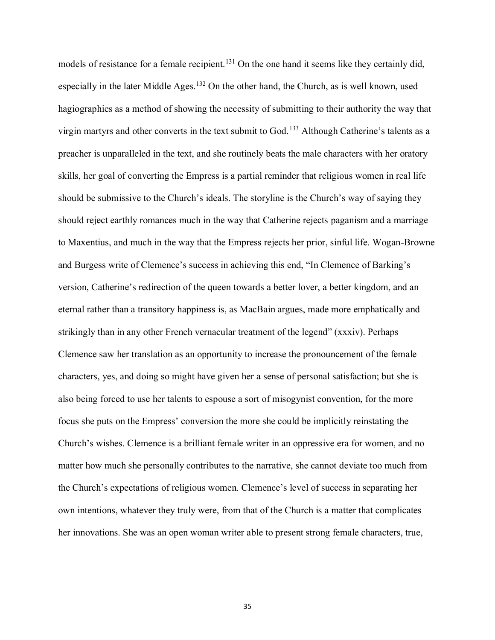models of resistance for a female recipient.<sup>131</sup> On the one hand it seems like they certainly did, especially in the later Middle Ages.<sup>132</sup> On the other hand, the Church, as is well known, used hagiographies as a method of showing the necessity of submitting to their authority the way that virgin martyrs and other converts in the text submit to God.<sup>133</sup> Although Catherine's talents as a preacher is unparalleled in the text, and she routinely beats the male characters with her oratory skills, her goal of converting the Empress is a partial reminder that religious women in real life should be submissive to the Church's ideals. The storyline is the Church's way of saying they should reject earthly romances much in the way that Catherine rejects paganism and a marriage to Maxentius, and much in the way that the Empress rejects her prior, sinful life. Wogan-Browne and Burgess write of Clemence's success in achieving this end, "In Clemence of Barking's version, Catherine's redirection of the queen towards a better lover, a better kingdom, and an eternal rather than a transitory happiness is, as MacBain argues, made more emphatically and strikingly than in any other French vernacular treatment of the legend" (xxxiv). Perhaps Clemence saw her translation as an opportunity to increase the pronouncement of the female characters, yes, and doing so might have given her a sense of personal satisfaction; but she is also being forced to use her talents to espouse a sort of misogynist convention, for the more focus she puts on the Empress' conversion the more she could be implicitly reinstating the Church's wishes. Clemence is a brilliant female writer in an oppressive era for women, and no matter how much she personally contributes to the narrative, she cannot deviate too much from the Church's expectations of religious women. Clemence's level of success in separating her own intentions, whatever they truly were, from that of the Church is a matter that complicates her innovations. She was an open woman writer able to present strong female characters, true,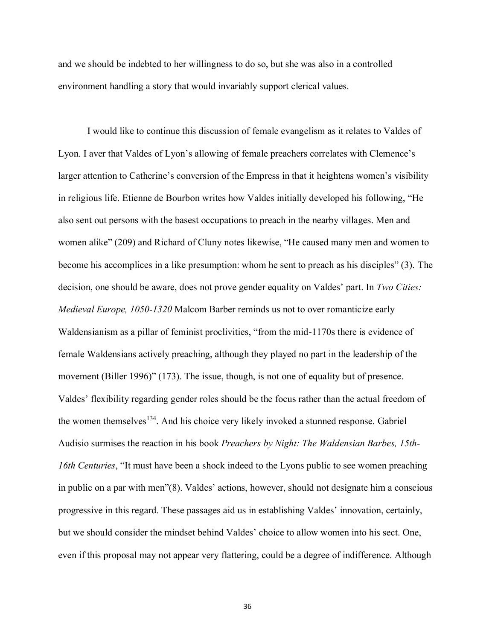and we should be indebted to her willingness to do so, but she was also in a controlled environment handling a story that would invariably support clerical values.

I would like to continue this discussion of female evangelism as it relates to Valdes of Lyon. I aver that Valdes of Lyon's allowing of female preachers correlates with Clemence's larger attention to Catherine's conversion of the Empress in that it heightens women's visibility in religious life. Etienne de Bourbon writes how Valdes initially developed his following, "He also sent out persons with the basest occupations to preach in the nearby villages. Men and women alike" (209) and Richard of Cluny notes likewise, "He caused many men and women to become his accomplices in a like presumption: whom he sent to preach as his disciples" (3). The decision, one should be aware, does not prove gender equality on Valdes' part. In *Two Cities: Medieval Europe, 1050-1320* Malcom Barber reminds us not to over romanticize early Waldensianism as a pillar of feminist proclivities, "from the mid-1170s there is evidence of female Waldensians actively preaching, although they played no part in the leadership of the movement (Biller 1996)" (173). The issue, though, is not one of equality but of presence. Valdes' flexibility regarding gender roles should be the focus rather than the actual freedom of the women themselves<sup>134</sup>. And his choice very likely invoked a stunned response. Gabriel Audisio surmises the reaction in his book *Preachers by Night: The Waldensian Barbes, 15th-16th Centuries*, "It must have been a shock indeed to the Lyons public to see women preaching in public on a par with men"(8). Valdes' actions, however, should not designate him a conscious progressive in this regard. These passages aid us in establishing Valdes' innovation, certainly, but we should consider the mindset behind Valdes' choice to allow women into his sect. One, even if this proposal may not appear very flattering, could be a degree of indifference. Although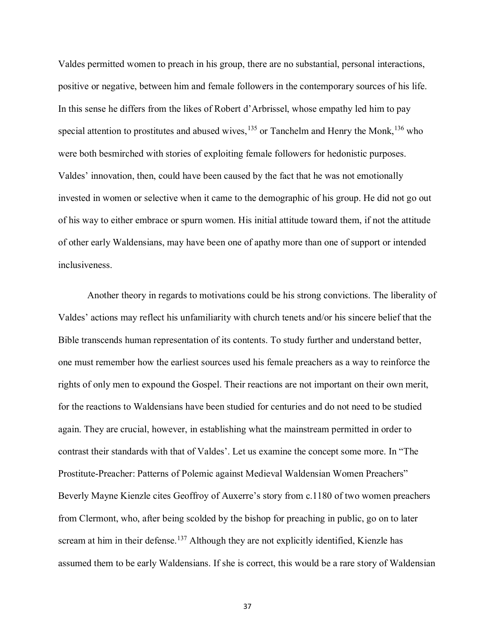Valdes permitted women to preach in his group, there are no substantial, personal interactions, positive or negative, between him and female followers in the contemporary sources of his life. In this sense he differs from the likes of Robert d'Arbrissel, whose empathy led him to pay special attention to prostitutes and abused wives,  $^{135}$  or Tanchelm and Henry the Monk,  $^{136}$  who were both besmirched with stories of exploiting female followers for hedonistic purposes. Valdes' innovation, then, could have been caused by the fact that he was not emotionally invested in women or selective when it came to the demographic of his group. He did not go out of his way to either embrace or spurn women. His initial attitude toward them, if not the attitude of other early Waldensians, may have been one of apathy more than one of support or intended inclusiveness.

Another theory in regards to motivations could be his strong convictions. The liberality of Valdes' actions may reflect his unfamiliarity with church tenets and/or his sincere belief that the Bible transcends human representation of its contents. To study further and understand better, one must remember how the earliest sources used his female preachers as a way to reinforce the rights of only men to expound the Gospel. Their reactions are not important on their own merit, for the reactions to Waldensians have been studied for centuries and do not need to be studied again. They are crucial, however, in establishing what the mainstream permitted in order to contrast their standards with that of Valdes'. Let us examine the concept some more. In "The Prostitute-Preacher: Patterns of Polemic against Medieval Waldensian Women Preachers" Beverly Mayne Kienzle cites Geoffroy of Auxerre's story from c.1180 of two women preachers from Clermont, who, after being scolded by the bishop for preaching in public, go on to later scream at him in their defense.<sup>137</sup> Although they are not explicitly identified, Kienzle has assumed them to be early Waldensians. If she is correct, this would be a rare story of Waldensian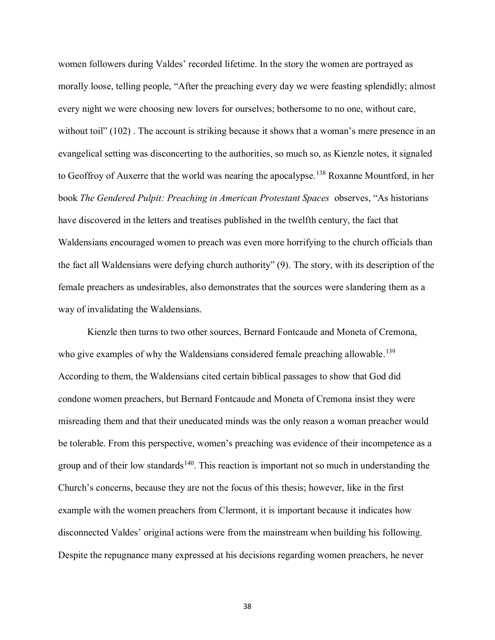women followers during Valdes' recorded lifetime. In the story the women are portrayed as morally loose, telling people, "After the preaching every day we were feasting splendidly; almost every night we were choosing new lovers for ourselves; bothersome to no one, without care, without toil" (102). The account is striking because it shows that a woman's mere presence in an evangelical setting was disconcerting to the authorities, so much so, as Kienzle notes, it signaled to Geoffroy of Auxerre that the world was nearing the apocalypse.<sup>138</sup> Roxanne Mountford, in her book *The Gendered Pulpit: Preaching in American Protestant Spaces* observes, "As historians have discovered in the letters and treatises published in the twelfth century, the fact that Waldensians encouraged women to preach was even more horrifying to the church officials than the fact all Waldensians were defying church authority" (9). The story, with its description of the female preachers as undesirables, also demonstrates that the sources were slandering them as a way of invalidating the Waldensians.

Kienzle then turns to two other sources, Bernard Fontcaude and Moneta of Cremona, who give examples of why the Waldensians considered female preaching allowable.<sup>139</sup> According to them, the Waldensians cited certain biblical passages to show that God did condone women preachers, but Bernard Fontcaude and Moneta of Cremona insist they were misreading them and that their uneducated minds was the only reason a woman preacher would be tolerable. From this perspective, women's preaching was evidence of their incompetence as a group and of their low standards<sup>140</sup>. This reaction is important not so much in understanding the Church's concerns, because they are not the focus of this thesis; however, like in the first example with the women preachers from Clermont, it is important because it indicates how disconnected Valdes' original actions were from the mainstream when building his following. Despite the repugnance many expressed at his decisions regarding women preachers, he never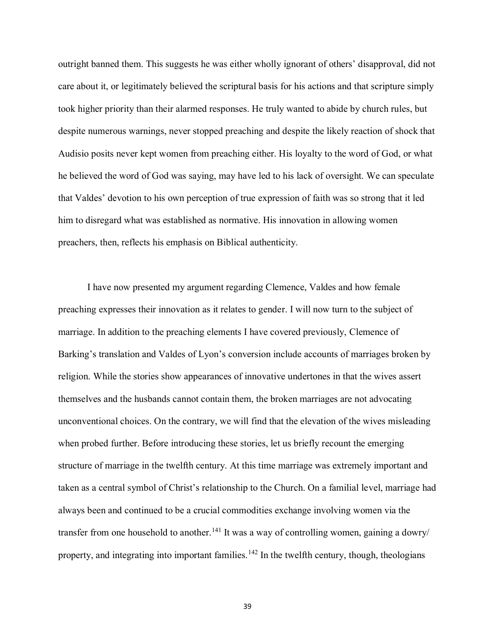outright banned them. This suggests he was either wholly ignorant of others' disapproval, did not care about it, or legitimately believed the scriptural basis for his actions and that scripture simply took higher priority than their alarmed responses. He truly wanted to abide by church rules, but despite numerous warnings, never stopped preaching and despite the likely reaction of shock that Audisio posits never kept women from preaching either. His loyalty to the word of God, or what he believed the word of God was saying, may have led to his lack of oversight. We can speculate that Valdes' devotion to his own perception of true expression of faith was so strong that it led him to disregard what was established as normative. His innovation in allowing women preachers, then, reflects his emphasis on Biblical authenticity.

I have now presented my argument regarding Clemence, Valdes and how female preaching expresses their innovation as it relates to gender. I will now turn to the subject of marriage. In addition to the preaching elements I have covered previously, Clemence of Barking's translation and Valdes of Lyon's conversion include accounts of marriages broken by religion. While the stories show appearances of innovative undertones in that the wives assert themselves and the husbands cannot contain them, the broken marriages are not advocating unconventional choices. On the contrary, we will find that the elevation of the wives misleading when probed further. Before introducing these stories, let us briefly recount the emerging structure of marriage in the twelfth century. At this time marriage was extremely important and taken as a central symbol of Christ's relationship to the Church. On a familial level, marriage had always been and continued to be a crucial commodities exchange involving women via the transfer from one household to another.<sup>141</sup> It was a way of controlling women, gaining a dowry/ property, and integrating into important families.<sup>142</sup> In the twelfth century, though, theologians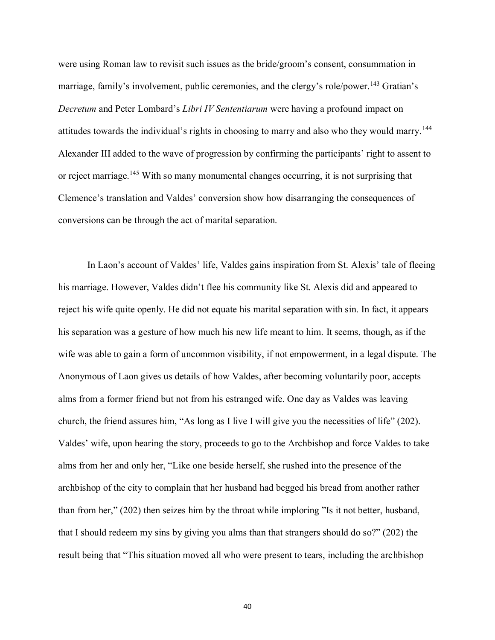were using Roman law to revisit such issues as the bride/groom's consent, consummation in marriage, family's involvement, public ceremonies, and the clergy's role/power.<sup>143</sup> Gratian's *Decretum* and Peter Lombard's *Libri IV Sententiarum* were having a profound impact on attitudes towards the individual's rights in choosing to marry and also who they would marry.<sup>144</sup> Alexander III added to the wave of progression by confirming the participants' right to assent to or reject marriage.<sup>145</sup> With so many monumental changes occurring, it is not surprising that Clemence's translation and Valdes' conversion show how disarranging the consequences of conversions can be through the act of marital separation.

In Laon's account of Valdes' life, Valdes gains inspiration from St. Alexis' tale of fleeing his marriage. However, Valdes didn't flee his community like St. Alexis did and appeared to reject his wife quite openly. He did not equate his marital separation with sin. In fact, it appears his separation was a gesture of how much his new life meant to him. It seems, though, as if the wife was able to gain a form of uncommon visibility, if not empowerment, in a legal dispute. The Anonymous of Laon gives us details of how Valdes, after becoming voluntarily poor, accepts alms from a former friend but not from his estranged wife. One day as Valdes was leaving church, the friend assures him, "As long as I live I will give you the necessities of life" (202). Valdes' wife, upon hearing the story, proceeds to go to the Archbishop and force Valdes to take alms from her and only her, "Like one beside herself, she rushed into the presence of the archbishop of the city to complain that her husband had begged his bread from another rather than from her," (202) then seizes him by the throat while imploring "Is it not better, husband, that I should redeem my sins by giving you alms than that strangers should do so?" (202) the result being that "This situation moved all who were present to tears, including the archbishop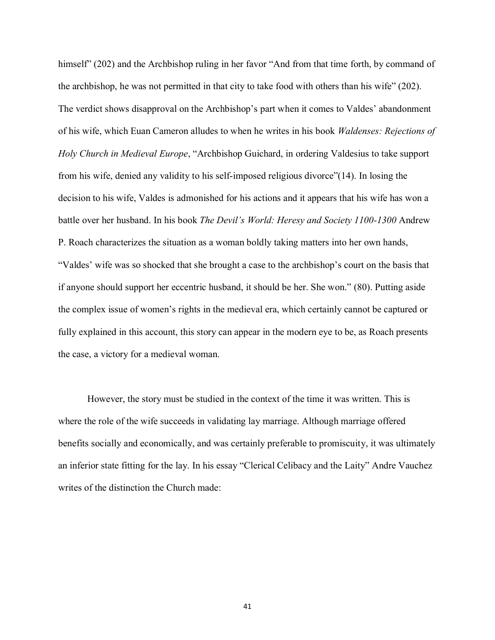himself" (202) and the Archbishop ruling in her favor "And from that time forth, by command of the archbishop, he was not permitted in that city to take food with others than his wife" (202). The verdict shows disapproval on the Archbishop's part when it comes to Valdes' abandonment of his wife, which Euan Cameron alludes to when he writes in his book *Waldenses: Rejections of Holy Church in Medieval Europe*, "Archbishop Guichard, in ordering Valdesius to take support from his wife, denied any validity to his self-imposed religious divorce"(14). In losing the decision to his wife, Valdes is admonished for his actions and it appears that his wife has won a battle over her husband. In his book *The Devil's World: Heresy and Society 1100-1300* Andrew P. Roach characterizes the situation as a woman boldly taking matters into her own hands, "Valdes' wife was so shocked that she brought a case to the archbishop's court on the basis that if anyone should support her eccentric husband, it should be her. She won." (80). Putting aside the complex issue of women's rights in the medieval era, which certainly cannot be captured or fully explained in this account, this story can appear in the modern eye to be, as Roach presents the case, a victory for a medieval woman.

However, the story must be studied in the context of the time it was written. This is where the role of the wife succeeds in validating lay marriage. Although marriage offered benefits socially and economically, and was certainly preferable to promiscuity, it was ultimately an inferior state fitting for the lay. In his essay "Clerical Celibacy and the Laity" Andre Vauchez writes of the distinction the Church made: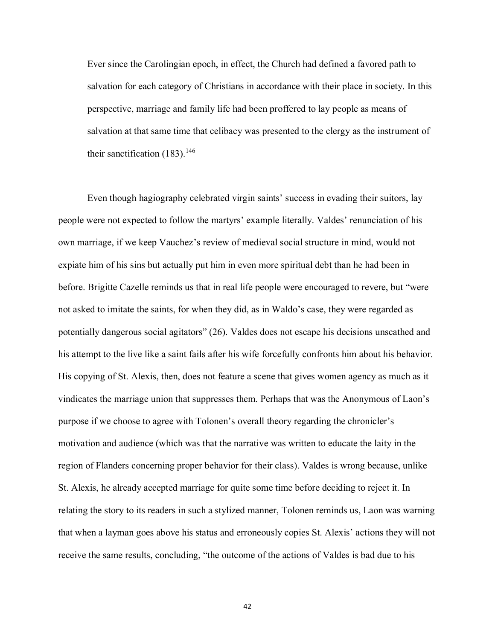Ever since the Carolingian epoch, in effect, the Church had defined a favored path to salvation for each category of Christians in accordance with their place in society. In this perspective, marriage and family life had been proffered to lay people as means of salvation at that same time that celibacy was presented to the clergy as the instrument of their sanctification  $(183)$ .<sup>146</sup>

Even though hagiography celebrated virgin saints' success in evading their suitors, lay people were not expected to follow the martyrs' example literally. Valdes' renunciation of his own marriage, if we keep Vauchez's review of medieval social structure in mind, would not expiate him of his sins but actually put him in even more spiritual debt than he had been in before. Brigitte Cazelle reminds us that in real life people were encouraged to revere, but "were not asked to imitate the saints, for when they did, as in Waldo's case, they were regarded as potentially dangerous social agitators" (26). Valdes does not escape his decisions unscathed and his attempt to the live like a saint fails after his wife forcefully confronts him about his behavior. His copying of St. Alexis, then, does not feature a scene that gives women agency as much as it vindicates the marriage union that suppresses them. Perhaps that was the Anonymous of Laon's purpose if we choose to agree with Tolonen's overall theory regarding the chronicler's motivation and audience (which was that the narrative was written to educate the laity in the region of Flanders concerning proper behavior for their class). Valdes is wrong because, unlike St. Alexis, he already accepted marriage for quite some time before deciding to reject it. In relating the story to its readers in such a stylized manner, Tolonen reminds us, Laon was warning that when a layman goes above his status and erroneously copies St. Alexis' actions they will not receive the same results, concluding, "the outcome of the actions of Valdes is bad due to his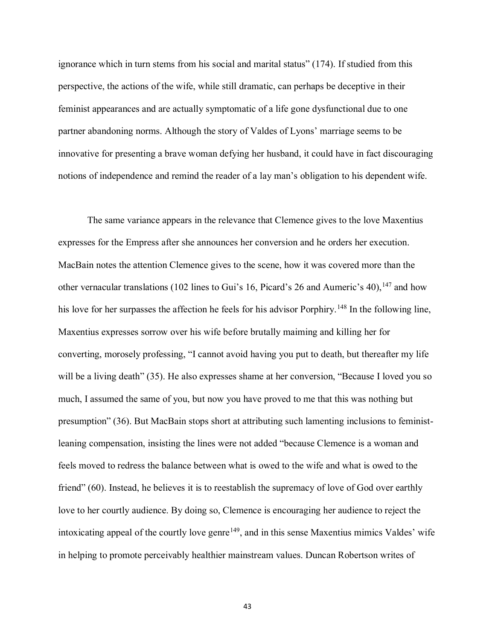ignorance which in turn stems from his social and marital status" (174). If studied from this perspective, the actions of the wife, while still dramatic, can perhaps be deceptive in their feminist appearances and are actually symptomatic of a life gone dysfunctional due to one partner abandoning norms. Although the story of Valdes of Lyons' marriage seems to be innovative for presenting a brave woman defying her husband, it could have in fact discouraging notions of independence and remind the reader of a lay man's obligation to his dependent wife.

The same variance appears in the relevance that Clemence gives to the love Maxentius expresses for the Empress after she announces her conversion and he orders her execution. MacBain notes the attention Clemence gives to the scene, how it was covered more than the other vernacular translations (102 lines to Gui's 16, Picard's 26 and Aumeric's 40),  $^{147}$  and how his love for her surpasses the affection he feels for his advisor Porphiry.<sup>148</sup> In the following line, Maxentius expresses sorrow over his wife before brutally maiming and killing her for converting, morosely professing, "I cannot avoid having you put to death, but thereafter my life will be a living death" (35). He also expresses shame at her conversion, "Because I loved you so much, I assumed the same of you, but now you have proved to me that this was nothing but presumption" (36). But MacBain stops short at attributing such lamenting inclusions to feministleaning compensation, insisting the lines were not added "because Clemence is a woman and feels moved to redress the balance between what is owed to the wife and what is owed to the friend" (60). Instead, he believes it is to reestablish the supremacy of love of God over earthly love to her courtly audience. By doing so, Clemence is encouraging her audience to reject the intoxicating appeal of the courtly love genre<sup> $149$ </sup>, and in this sense Maxentius mimics Valdes' wife in helping to promote perceivably healthier mainstream values. Duncan Robertson writes of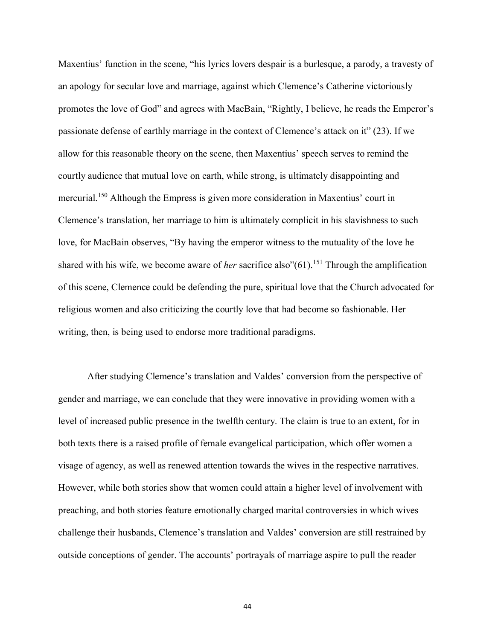Maxentius' function in the scene, "his lyrics lovers despair is a burlesque, a parody, a travesty of an apology for secular love and marriage, against which Clemence's Catherine victoriously promotes the love of God" and agrees with MacBain, "Rightly, I believe, he reads the Emperor's passionate defense of earthly marriage in the context of Clemence's attack on it" (23). If we allow for this reasonable theory on the scene, then Maxentius' speech serves to remind the courtly audience that mutual love on earth, while strong, is ultimately disappointing and mercurial.<sup>150</sup> Although the Empress is given more consideration in Maxentius' court in Clemence's translation, her marriage to him is ultimately complicit in his slavishness to such love, for MacBain observes, "By having the emperor witness to the mutuality of the love he shared with his wife, we become aware of *her* sacrifice also"(61).<sup>151</sup> Through the amplification of this scene, Clemence could be defending the pure, spiritual love that the Church advocated for religious women and also criticizing the courtly love that had become so fashionable. Her writing, then, is being used to endorse more traditional paradigms.

After studying Clemence's translation and Valdes' conversion from the perspective of gender and marriage, we can conclude that they were innovative in providing women with a level of increased public presence in the twelfth century. The claim is true to an extent, for in both texts there is a raised profile of female evangelical participation, which offer women a visage of agency, as well as renewed attention towards the wives in the respective narratives. However, while both stories show that women could attain a higher level of involvement with preaching, and both stories feature emotionally charged marital controversies in which wives challenge their husbands, Clemence's translation and Valdes' conversion are still restrained by outside conceptions of gender. The accounts' portrayals of marriage aspire to pull the reader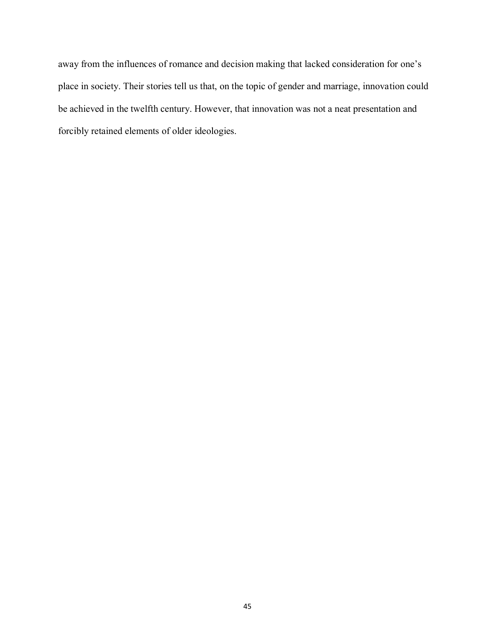away from the influences of romance and decision making that lacked consideration for one's place in society. Their stories tell us that, on the topic of gender and marriage, innovation could be achieved in the twelfth century. However, that innovation was not a neat presentation and forcibly retained elements of older ideologies.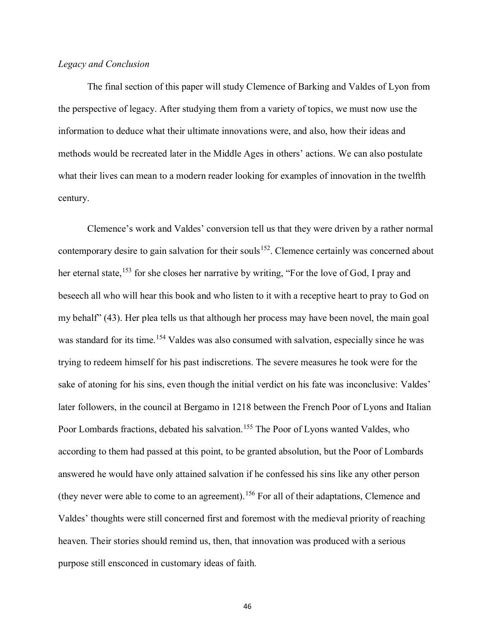## *Legacy and Conclusion*

The final section of this paper will study Clemence of Barking and Valdes of Lyon from the perspective of legacy. After studying them from a variety of topics, we must now use the information to deduce what their ultimate innovations were, and also, how their ideas and methods would be recreated later in the Middle Ages in others' actions. We can also postulate what their lives can mean to a modern reader looking for examples of innovation in the twelfth century.

Clemence's work and Valdes' conversion tell us that they were driven by a rather normal contemporary desire to gain salvation for their souls<sup>152</sup>. Clemence certainly was concerned about her eternal state,<sup>153</sup> for she closes her narrative by writing, "For the love of God, I pray and beseech all who will hear this book and who listen to it with a receptive heart to pray to God on my behalf" (43). Her plea tells us that although her process may have been novel, the main goal was standard for its time.<sup>154</sup> Valdes was also consumed with salvation, especially since he was trying to redeem himself for his past indiscretions. The severe measures he took were for the sake of atoning for his sins, even though the initial verdict on his fate was inconclusive: Valdes' later followers, in the council at Bergamo in 1218 between the French Poor of Lyons and Italian Poor Lombards fractions, debated his salvation.<sup>155</sup> The Poor of Lyons wanted Valdes, who according to them had passed at this point, to be granted absolution, but the Poor of Lombards answered he would have only attained salvation if he confessed his sins like any other person (they never were able to come to an agreement).<sup>156</sup> For all of their adaptations, Clemence and Valdes' thoughts were still concerned first and foremost with the medieval priority of reaching heaven. Their stories should remind us, then, that innovation was produced with a serious purpose still ensconced in customary ideas of faith.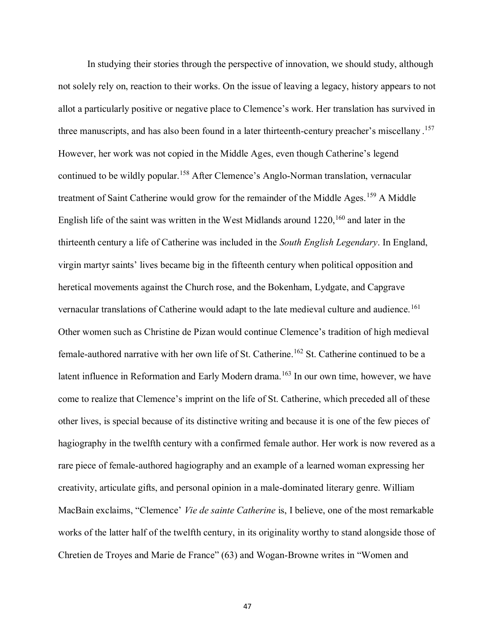In studying their stories through the perspective of innovation, we should study, although not solely rely on, reaction to their works. On the issue of leaving a legacy, history appears to not allot a particularly positive or negative place to Clemence's work. Her translation has survived in three manuscripts, and has also been found in a later thirteenth-century preacher's miscellany . 157 However, her work was not copied in the Middle Ages, even though Catherine's legend continued to be wildly popular.<sup>158</sup> After Clemence's Anglo-Norman translation, vernacular treatment of Saint Catherine would grow for the remainder of the Middle Ages.<sup>159</sup> A Middle English life of the saint was written in the West Midlands around  $1220$ ,  $160$  and later in the thirteenth century a life of Catherine was included in the *South English Legendary*. In England, virgin martyr saints' lives became big in the fifteenth century when political opposition and heretical movements against the Church rose, and the Bokenham, Lydgate, and Capgrave vernacular translations of Catherine would adapt to the late medieval culture and audience.<sup>161</sup> Other women such as Christine de Pizan would continue Clemence's tradition of high medieval female-authored narrative with her own life of St. Catherine. <sup>162</sup> St. Catherine continued to be a latent influence in Reformation and Early Modern drama.<sup>163</sup> In our own time, however, we have come to realize that Clemence's imprint on the life of St. Catherine, which preceded all of these other lives, is special because of its distinctive writing and because it is one of the few pieces of hagiography in the twelfth century with a confirmed female author. Her work is now revered as a rare piece of female-authored hagiography and an example of a learned woman expressing her creativity, articulate gifts, and personal opinion in a male-dominated literary genre. William MacBain exclaims, "Clemence' *Vie de sainte Catherine* is, I believe, one of the most remarkable works of the latter half of the twelfth century, in its originality worthy to stand alongside those of Chretien de Troyes and Marie de France" (63) and Wogan-Browne writes in "Women and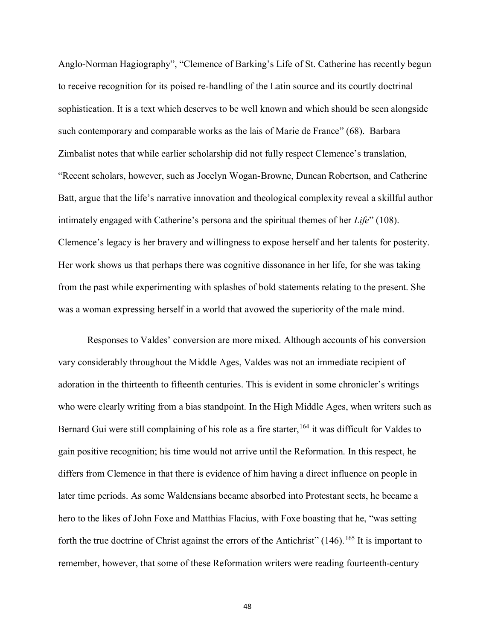Anglo-Norman Hagiography", "Clemence of Barking's Life of St. Catherine has recently begun to receive recognition for its poised re-handling of the Latin source and its courtly doctrinal sophistication. It is a text which deserves to be well known and which should be seen alongside such contemporary and comparable works as the lais of Marie de France" (68). Barbara Zimbalist notes that while earlier scholarship did not fully respect Clemence's translation, "Recent scholars, however, such as Jocelyn Wogan-Browne, Duncan Robertson, and Catherine Batt, argue that the life's narrative innovation and theological complexity reveal a skillful author intimately engaged with Catherine's persona and the spiritual themes of her *Life*" (108). Clemence's legacy is her bravery and willingness to expose herself and her talents for posterity. Her work shows us that perhaps there was cognitive dissonance in her life, for she was taking from the past while experimenting with splashes of bold statements relating to the present. She was a woman expressing herself in a world that avowed the superiority of the male mind.

Responses to Valdes' conversion are more mixed. Although accounts of his conversion vary considerably throughout the Middle Ages, Valdes was not an immediate recipient of adoration in the thirteenth to fifteenth centuries. This is evident in some chronicler's writings who were clearly writing from a bias standpoint. In the High Middle Ages, when writers such as Bernard Gui were still complaining of his role as a fire starter,<sup>164</sup> it was difficult for Valdes to gain positive recognition; his time would not arrive until the Reformation. In this respect, he differs from Clemence in that there is evidence of him having a direct influence on people in later time periods. As some Waldensians became absorbed into Protestant sects, he became a hero to the likes of John Foxe and Matthias Flacius, with Foxe boasting that he, "was setting forth the true doctrine of Christ against the errors of the Antichrist"  $(146)$ .<sup>165</sup> It is important to remember, however, that some of these Reformation writers were reading fourteenth-century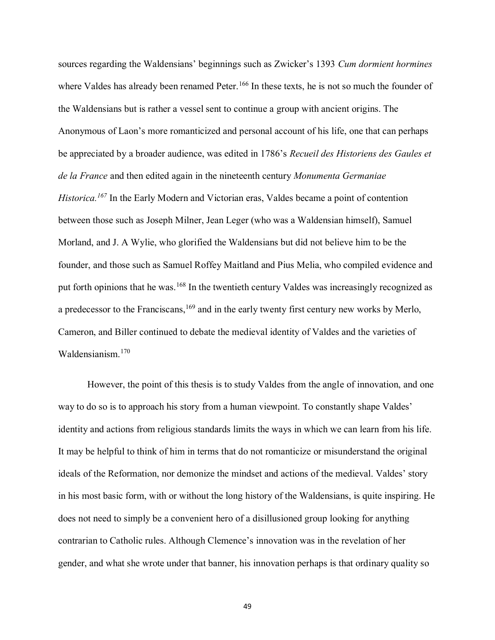sources regarding the Waldensians' beginnings such as Zwicker's 1393 *Cum dormient hormines* where Valdes has already been renamed Peter.<sup>166</sup> In these texts, he is not so much the founder of the Waldensians but is rather a vessel sent to continue a group with ancient origins. The Anonymous of Laon's more romanticized and personal account of his life, one that can perhaps be appreciated by a broader audience, was edited in 1786's *Recueil des Historiens des Gaules et de la France* and then edited again in the nineteenth century *Monumenta Germaniae Historica.<sup>167</sup>* In the Early Modern and Victorian eras, Valdes became a point of contention between those such as Joseph Milner, Jean Leger (who was a Waldensian himself), Samuel Morland, and J. A Wylie, who glorified the Waldensians but did not believe him to be the founder, and those such as Samuel Roffey Maitland and Pius Melia, who compiled evidence and put forth opinions that he was.<sup>168</sup> In the twentieth century Valdes was increasingly recognized as a predecessor to the Franciscans,<sup>169</sup> and in the early twenty first century new works by Merlo, Cameron, and Biller continued to debate the medieval identity of Valdes and the varieties of Waldensianism.<sup>170</sup>

However, the point of this thesis is to study Valdes from the angle of innovation, and one way to do so is to approach his story from a human viewpoint. To constantly shape Valdes' identity and actions from religious standards limits the ways in which we can learn from his life. It may be helpful to think of him in terms that do not romanticize or misunderstand the original ideals of the Reformation, nor demonize the mindset and actions of the medieval. Valdes' story in his most basic form, with or without the long history of the Waldensians, is quite inspiring. He does not need to simply be a convenient hero of a disillusioned group looking for anything contrarian to Catholic rules. Although Clemence's innovation was in the revelation of her gender, and what she wrote under that banner, his innovation perhaps is that ordinary quality so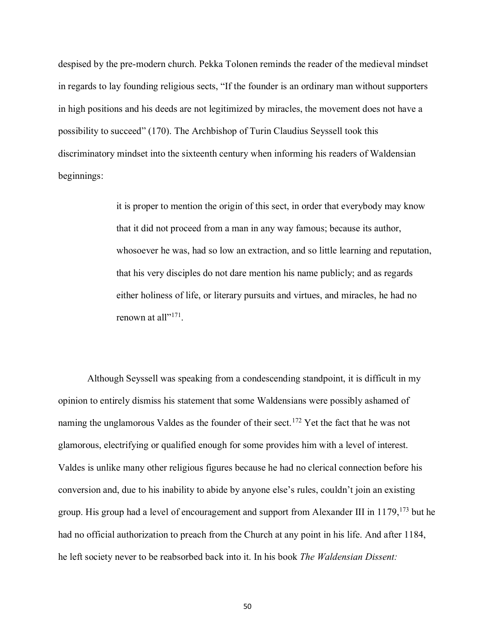despised by the pre-modern church. Pekka Tolonen reminds the reader of the medieval mindset in regards to lay founding religious sects, "If the founder is an ordinary man without supporters in high positions and his deeds are not legitimized by miracles, the movement does not have a possibility to succeed" (170). The Archbishop of Turin Claudius Seyssell took this discriminatory mindset into the sixteenth century when informing his readers of Waldensian beginnings:

> it is proper to mention the origin of this sect, in order that everybody may know that it did not proceed from a man in any way famous; because its author, whosoever he was, had so low an extraction, and so little learning and reputation, that his very disciples do not dare mention his name publicly; and as regards either holiness of life, or literary pursuits and virtues, and miracles, he had no renown at all"<sup>171</sup>.

Although Seyssell was speaking from a condescending standpoint, it is difficult in my opinion to entirely dismiss his statement that some Waldensians were possibly ashamed of naming the unglamorous Valdes as the founder of their sect.<sup>172</sup> Yet the fact that he was not glamorous, electrifying or qualified enough for some provides him with a level of interest. Valdes is unlike many other religious figures because he had no clerical connection before his conversion and, due to his inability to abide by anyone else's rules, couldn't join an existing group. His group had a level of encouragement and support from Alexander III in  $1179$ ,  $173$  but he had no official authorization to preach from the Church at any point in his life. And after 1184, he left society never to be reabsorbed back into it. In his book *The Waldensian Dissent:*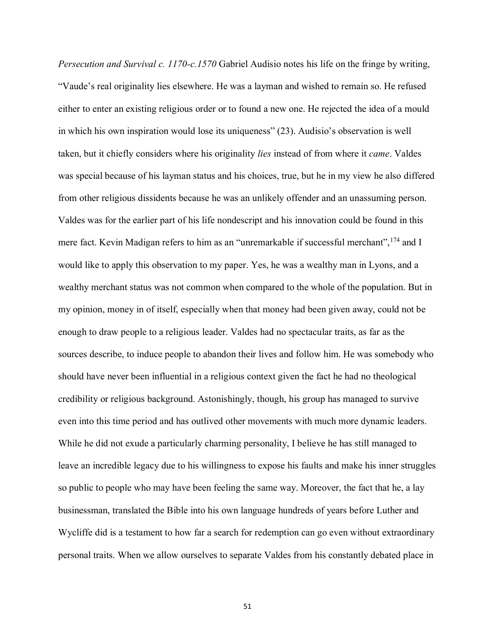*Persecution and Survival c. 1170-c.1570* Gabriel Audisio notes his life on the fringe by writing, "Vaude's real originality lies elsewhere. He was a layman and wished to remain so. He refused either to enter an existing religious order or to found a new one. He rejected the idea of a mould in which his own inspiration would lose its uniqueness" (23). Audisio's observation is well taken, but it chiefly considers where his originality *lies* instead of from where it *came*. Valdes was special because of his layman status and his choices, true, but he in my view he also differed from other religious dissidents because he was an unlikely offender and an unassuming person. Valdes was for the earlier part of his life nondescript and his innovation could be found in this mere fact. Kevin Madigan refers to him as an "unremarkable if successful merchant", <sup>174</sup> and I would like to apply this observation to my paper. Yes, he was a wealthy man in Lyons, and a wealthy merchant status was not common when compared to the whole of the population. But in my opinion, money in of itself, especially when that money had been given away, could not be enough to draw people to a religious leader. Valdes had no spectacular traits, as far as the sources describe, to induce people to abandon their lives and follow him. He was somebody who should have never been influential in a religious context given the fact he had no theological credibility or religious background. Astonishingly, though, his group has managed to survive even into this time period and has outlived other movements with much more dynamic leaders. While he did not exude a particularly charming personality, I believe he has still managed to leave an incredible legacy due to his willingness to expose his faults and make his inner struggles so public to people who may have been feeling the same way. Moreover, the fact that he, a lay businessman, translated the Bible into his own language hundreds of years before Luther and Wycliffe did is a testament to how far a search for redemption can go even without extraordinary personal traits. When we allow ourselves to separate Valdes from his constantly debated place in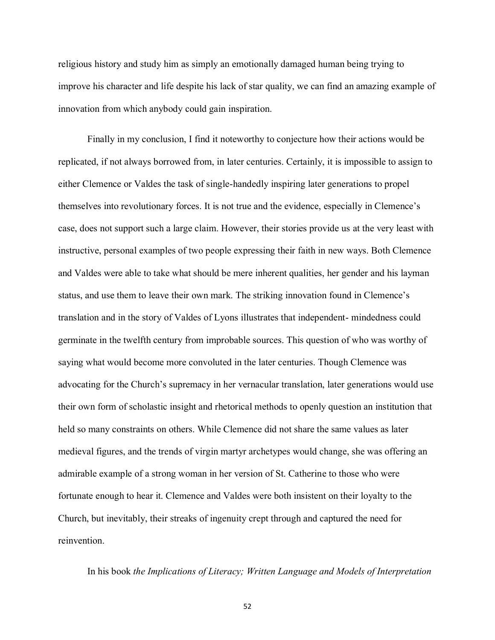religious history and study him as simply an emotionally damaged human being trying to improve his character and life despite his lack of star quality, we can find an amazing example of innovation from which anybody could gain inspiration.

Finally in my conclusion, I find it noteworthy to conjecture how their actions would be replicated, if not always borrowed from, in later centuries. Certainly, it is impossible to assign to either Clemence or Valdes the task of single-handedly inspiring later generations to propel themselves into revolutionary forces. It is not true and the evidence, especially in Clemence's case, does not support such a large claim. However, their stories provide us at the very least with instructive, personal examples of two people expressing their faith in new ways. Both Clemence and Valdes were able to take what should be mere inherent qualities, her gender and his layman status, and use them to leave their own mark. The striking innovation found in Clemence's translation and in the story of Valdes of Lyons illustrates that independent- mindedness could germinate in the twelfth century from improbable sources. This question of who was worthy of saying what would become more convoluted in the later centuries. Though Clemence was advocating for the Church's supremacy in her vernacular translation, later generations would use their own form of scholastic insight and rhetorical methods to openly question an institution that held so many constraints on others. While Clemence did not share the same values as later medieval figures, and the trends of virgin martyr archetypes would change, she was offering an admirable example of a strong woman in her version of St. Catherine to those who were fortunate enough to hear it. Clemence and Valdes were both insistent on their loyalty to the Church, but inevitably, their streaks of ingenuity crept through and captured the need for reinvention.

In his book *the Implications of Literacy; Written Language and Models of Interpretation*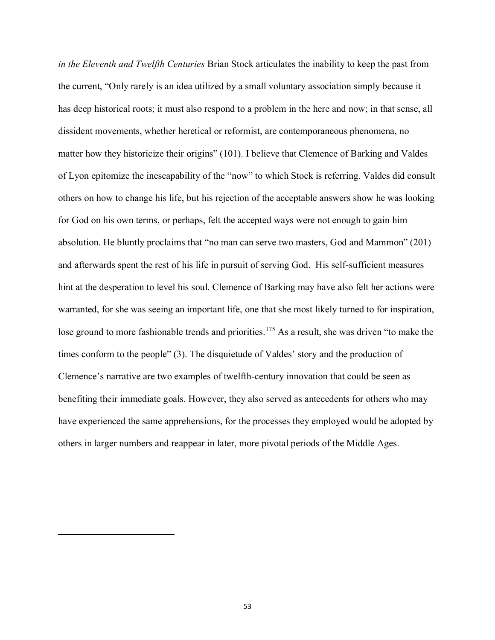*in the Eleventh and Twelfth Centuries* Brian Stock articulates the inability to keep the past from the current, "Only rarely is an idea utilized by a small voluntary association simply because it has deep historical roots; it must also respond to a problem in the here and now; in that sense, all dissident movements, whether heretical or reformist, are contemporaneous phenomena, no matter how they historicize their origins" (101). I believe that Clemence of Barking and Valdes of Lyon epitomize the inescapability of the "now" to which Stock is referring. Valdes did consult others on how to change his life, but his rejection of the acceptable answers show he was looking for God on his own terms, or perhaps, felt the accepted ways were not enough to gain him absolution. He bluntly proclaims that "no man can serve two masters, God and Mammon" (201) and afterwards spent the rest of his life in pursuit of serving God. His self-sufficient measures hint at the desperation to level his soul. Clemence of Barking may have also felt her actions were warranted, for she was seeing an important life, one that she most likely turned to for inspiration, lose ground to more fashionable trends and priorities.<sup>175</sup> As a result, she was driven "to make the times conform to the people" (3). The disquietude of Valdes' story and the production of Clemence's narrative are two examples of twelfth-century innovation that could be seen as benefiting their immediate goals. However, they also served as antecedents for others who may have experienced the same apprehensions, for the processes they employed would be adopted by others in larger numbers and reappear in later, more pivotal periods of the Middle Ages.

 $\overline{a}$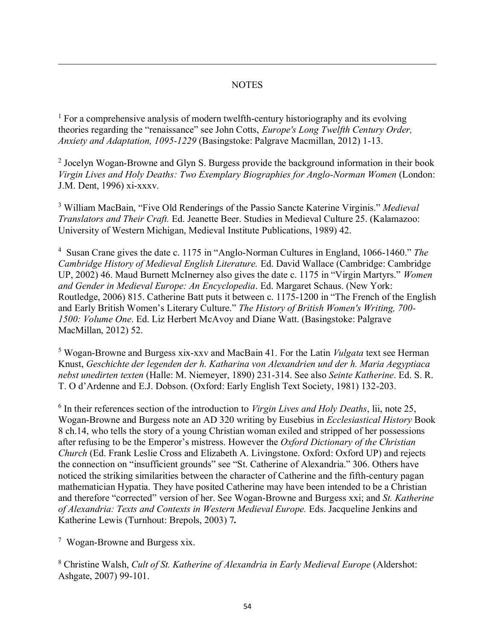## **NOTES**

 $<sup>1</sup>$  For a comprehensive analysis of modern twelfth-century historiography and its evolving</sup> theories regarding the "renaissance" see John Cotts, *Europe's Long Twelfth Century Order, Anxiety and Adaptation, 1095-1229* (Basingstoke: Palgrave Macmillan, 2012) 1-13.

<sup>2</sup> Jocelyn Wogan-Browne and Glyn S. Burgess provide the background information in their book *Virgin Lives and Holy Deaths: Two Exemplary Biographies for Anglo-Norman Women* (London: J.M. Dent, 1996) xi-xxxv.

<sup>3</sup> William MacBain, "Five Old Renderings of the Passio Sancte Katerine Virginis." *Medieval Translators and Their Craft.* Ed. Jeanette Beer. Studies in Medieval Culture 25. (Kalamazoo: University of Western Michigan, Medieval Institute Publications, 1989) 42.

4 Susan Crane gives the date c. 1175 in "Anglo-Norman Cultures in England, 1066-1460." *The Cambridge History of Medieval English Literature.* Ed. David Wallace (Cambridge: Cambridge UP, 2002) 46. Maud Burnett McInerney also gives the date c. 1175 in "Virgin Martyrs." *Women and Gender in Medieval Europe: An Encyclopedia*. Ed. Margaret Schaus. (New York: Routledge, 2006) 815. Catherine Batt puts it between c. 1175-1200 in "The French of the English and Early British Women's Literary Culture." *The History of British Women's Writing, 700- 1500: Volume One*. Ed. Liz Herbert McAvoy and Diane Watt. (Basingstoke: Palgrave MacMillan, 2012) 52.

<sup>5</sup> Wogan-Browne and Burgess xix-xxv and MacBain 41. For the Latin *Vulgata* text see Herman Knust, *Geschichte der legenden der h. Katharina von Alexandrien und der h. Maria Aegyptiaca nebst unedirten texten* (Halle: M. Niemeyer, 1890) 231-314. See also *Seinte Katherine*. Ed. S. R. T. O d'Ardenne and E.J. Dobson. (Oxford: Early English Text Society, 1981) 132-203.

6 In their references section of the introduction to *Virgin Lives and Holy Deaths*, lii, note 25, Wogan-Browne and Burgess note an AD 320 writing by Eusebius in *Ecclesiastical History* Book 8 ch.14, who tells the story of a young Christian woman exiled and stripped of her possessions after refusing to be the Emperor's mistress. However the *Oxford Dictionary of the Christian Church* (Ed. Frank Leslie Cross and Elizabeth A. Livingstone. Oxford: Oxford UP) and rejects the connection on "insufficient grounds" see "St. Catherine of Alexandria." 306. Others have noticed the striking similarities between the character of Catherine and the fifth-century pagan mathematician Hypatia. They have posited Catherine may have been intended to be a Christian and therefore "corrected" version of her. See Wogan-Browne and Burgess xxi; and *St. Katherine of Alexandria: Texts and Contexts in Western Medieval Europe.* Eds. Jacqueline Jenkins and Katherine Lewis (Turnhout: Brepols, 2003) 7*.* 

<sup>7</sup> Wogan-Browne and Burgess xix.

 $\overline{a}$ 

<sup>8</sup> Christine Walsh, *Cult of St. Katherine of Alexandria in Early Medieval Europe* (Aldershot: Ashgate, 2007) 99-101.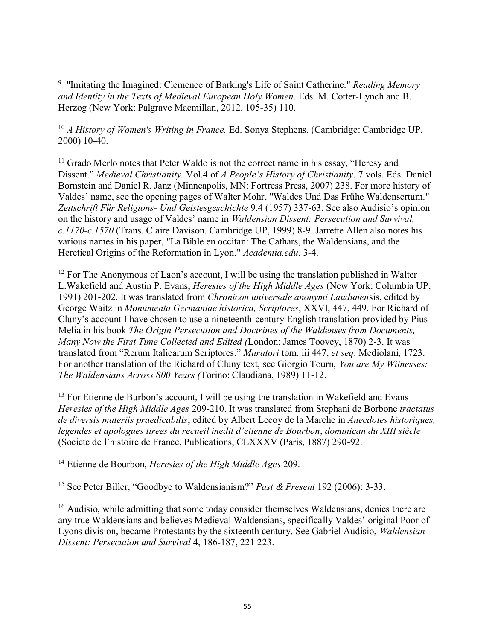<sup>9</sup> "Imitating the Imagined: Clemence of Barking's Life of Saint Catherine." *Reading Memory and Identity in the Texts of Medieval European Holy Women*. Eds. M. Cotter-Lynch and B. Herzog (New York: Palgrave Macmillan, 2012. 105-35) 110.

 $\overline{a}$ 

<sup>10</sup> *A History of Women's Writing in France.* Ed. Sonya Stephens. (Cambridge: Cambridge UP, 2000) 10-40.

 $<sup>11</sup>$  Grado Merlo notes that Peter Waldo is not the correct name in his essay, "Heresy and</sup> Dissent." *Medieval Christianity.* Vol.4 of *A People's History of Christianity*. 7 vols. Eds. Daniel Bornstein and Daniel R. Janz (Minneapolis, MN: Fortress Press, 2007) 238. For more history of Valdes' name, see the opening pages of Walter Mohr, "Waldes Und Das Frühe Waldensertum." *Zeitschrift Für Religions- Und Geistesgeschichte* 9.4 (1957) 337-63. See also Audisio's opinion on the history and usage of Valdes' name in *Waldensian Dissent: Persecution and Survival, c.1170-c.1570* (Trans. Claire Davison. Cambridge UP, 1999) 8-9. Jarrette Allen also notes his various names in his paper, "La Bible en occitan: The Cathars, the Waldensians, and the Heretical Origins of the Reformation in Lyon." *Academia.edu*. 3-4.

 $12$  For The Anonymous of Laon's account, I will be using the translation published in Walter L.Wakefield and Austin P. Evans, *Heresies of the High Middle Ages* (New York: Columbia UP, 1991) 201-202. It was translated from *Chronicon universale anonymi Laudunen*sis, edited by George Waitz in *Monumenta Germaniae historica, Scriptores*, XXVI, 447, 449. For Richard of Cluny's account I have chosen to use a nineteenth-century English translation provided by Pius Melia in his book *The Origin Persecution and Doctrines of the Waldenses from Documents, Many Now the First Time Collected and Edited (*London: James Toovey, 1870) 2-3. It was translated from "Rerum Italicarum Scriptores." *Muratori* tom. iii 447, *et seq*. Mediolani, 1723. For another translation of the Richard of Cluny text, see Giorgio Tourn, *You are My Witnesses: The Waldensians Across 800 Years (*Torino: Claudiana, 1989) 11-12.

<sup>13</sup> For Etienne de Burbon's account, I will be using the translation in Wakefield and Evans *Heresies of the High Middle Ages* 209-210. It was translated from Stephani de Borbone *tractatus de diversis materiis praedicabilis*, edited by Albert Lecoy de la Marche in *Anecdotes historiques, legendes et apologues tirees du recueil inedit d'etienne de Bourbon*, *dominican du XIII siècle* (Societe de l'histoire de France, Publications, CLXXXV (Paris, 1887) 290-92.

<sup>14</sup> Etienne de Bourbon, *Heresies of the High Middle Ages* 209.

<sup>15</sup> See Peter Biller, "Goodbye to Waldensianism?" *Past & Present* 192 (2006): 3-33.

<sup>16</sup> Audisio, while admitting that some today consider themselves Waldensians, denies there are any true Waldensians and believes Medieval Waldensians, specifically Valdes' original Poor of Lyons division, became Protestants by the sixteenth century. See Gabriel Audisio, *Waldensian Dissent: Persecution and Survival* 4, 186-187, 221 223.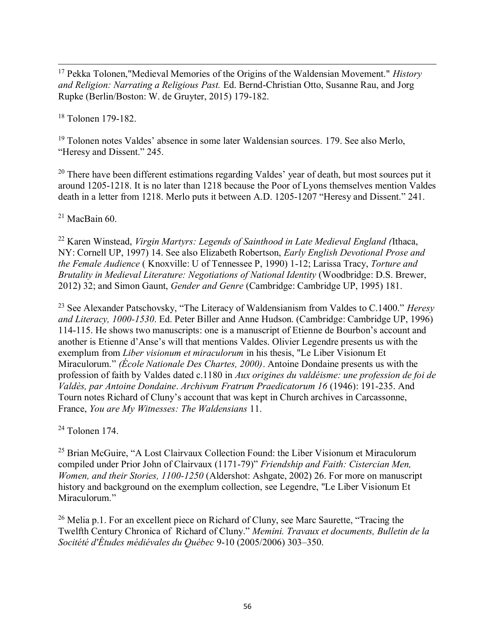$\overline{a}$ <sup>17</sup> Pekka Tolonen,"Medieval Memories of the Origins of the Waldensian Movement." *History and Religion: Narrating a Religious Past.* Ed. Bernd-Christian Otto, Susanne Rau, and Jorg Rupke (Berlin/Boston: W. de Gruyter, 2015) 179-182.

<sup>18</sup> Tolonen 179-182.

<sup>19</sup> Tolonen notes Valdes' absence in some later Waldensian sources*.* 179. See also Merlo, "Heresy and Dissent." 245.

<sup>20</sup> There have been different estimations regarding Valdes' year of death, but most sources put it around 1205-1218. It is no later than 1218 because the Poor of Lyons themselves mention Valdes death in a letter from 1218. Merlo puts it between A.D. 1205-1207 "Heresy and Dissent." 241.

 $21$  MacBain 60.

<sup>22</sup> Karen Winstead, *Virgin Martyrs: Legends of Sainthood in Late Medieval England (*Ithaca, NY: Cornell UP, 1997) 14. See also Elizabeth Robertson, *Early English Devotional Prose and the Female Audience* ( Knoxville: U of Tennessee P, 1990) 1-12; Larissa Tracy, *Torture and Brutality in Medieval Literature: Negotiations of National Identity* (Woodbridge: D.S. Brewer, 2012) 32; and Simon Gaunt, *Gender and Genre* (Cambridge: Cambridge UP, 1995) 181.

<sup>23</sup> See Alexander Patschovsky, "The Literacy of Waldensianism from Valdes to C.1400." *Heresy and Literacy, 1000-1530*. Ed. Peter Biller and Anne Hudson. (Cambridge: Cambridge UP, 1996) 114-115. He shows two manuscripts: one is a manuscript of Etienne de Bourbon's account and another is Etienne d'Anse's will that mentions Valdes. Olivier Legendre presents us with the exemplum from *Liber visionum et miraculorum* in his thesis, "Le Liber Visionum Et Miraculorum." *(École Nationale Des Chartes, 2000)*. Antoine Dondaine presents us with the profession of faith by Valdes dated c.1180 in *Aux origines du valdéisme: une profession de foi de Valdès, par Antoine Dondaine*. *Archivum Fratrum Praedicatorum 16* (1946): 191-235. And Tourn notes Richard of Cluny's account that was kept in Church archives in Carcassonne, France, *You are My Witnesses: The Waldensians* 11.

 $24$  Tolonen 174.

<sup>25</sup> Brian McGuire, "A Lost Clairvaux Collection Found: the Liber Visionum et Miraculorum compiled under Prior John of Clairvaux (1171-79)" *Friendship and Faith: Cistercian Men, Women, and their Stories, 1100-1250* (Aldershot: Ashgate, 2002) 26. For more on manuscript history and background on the exemplum collection, see Legendre, "Le Liber Visionum Et Miraculorum."

<sup>26</sup> Melia p.1. For an excellent piece on Richard of Cluny, see Marc Saurette, "Tracing the Twelfth Century Chronica of Richard of Cluny." *Memini. Travaux et documents, Bulletin de la Socitété d'Études médiévales du Québec* 9-10 (2005/2006) 303–350.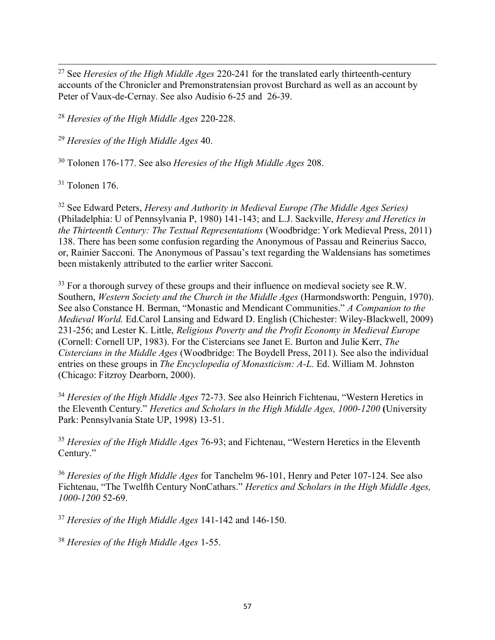$\overline{a}$ <sup>27</sup> See *Heresies of the High Middle Ages* 220-241 for the translated early thirteenth-century accounts of the Chronicler and Premonstratensian provost Burchard as well as an account by Peter of Vaux-de-Cernay. See also Audisio 6-25 and 26-39.

<sup>28</sup> *Heresies of the High Middle Ages* 220-228.

<sup>29</sup> *Heresies of the High Middle Ages* 40.

<sup>30</sup> Tolonen 176-177. See also *Heresies of the High Middle Ages* 208.

 $31$  Tolonen 176.

<sup>32</sup> See Edward Peters, *Heresy and Authority in Medieval Europe (The Middle Ages Series)* (Philadelphia: U of Pennsylvania P, 1980) 141-143; and L.J. Sackville, *Heresy and Heretics in the Thirteenth Century: The Textual Representations* (Woodbridge: York Medieval Press, 2011) 138. There has been some confusion regarding the Anonymous of Passau and Reinerius Sacco, or, Rainier Sacconi. The Anonymous of Passau's text regarding the Waldensians has sometimes been mistakenly attributed to the earlier writer Sacconi.

<sup>33</sup> For a thorough survey of these groups and their influence on medieval society see R.W. Southern, *Western Society and the Church in the Middle Ages* (Harmondsworth: Penguin, 1970). See also Constance H. Berman, "Monastic and Mendicant Communities." *A Companion to the Medieval World.* Ed.Carol Lansing and Edward D. English (Chichester: Wiley-Blackwell, 2009) 231-256; and Lester K. Little, *Religious Poverty and the Profit Economy in Medieval Europe*  (Cornell: Cornell UP, 1983). For the Cistercians see Janet E. Burton and Julie Kerr, *The Cistercians in the Middle Ages* (Woodbridge: The Boydell Press, 2011). See also the individual entries on these groups in *The Encyclopedia of Monasticism: A-L.* Ed. William M. Johnston (Chicago: Fitzroy Dearborn, 2000).

<sup>34</sup> *Heresies of the High Middle Ages* 72-73. See also Heinrich Fichtenau, "Western Heretics in the Eleventh Century." *Heretics and Scholars in the High Middle Ages, 1000-1200* (University Park: Pennsylvania State UP, 1998) 13-51.

<sup>35</sup> *Heresies of the High Middle Ages* 76-93; and Fichtenau, "Western Heretics in the Eleventh Century."

<sup>36</sup> *Heresies of the High Middle Ages* for Tanchelm 96-101, Henry and Peter 107-124. See also Fichtenau, "The Twelfth Century NonCathars." *Heretics and Scholars in the High Middle Ages, 1000-1200* 52-69.

<sup>37</sup> *Heresies of the High Middle Ages* 141-142 and 146-150.

<sup>38</sup> *Heresies of the High Middle Ages* 1-55.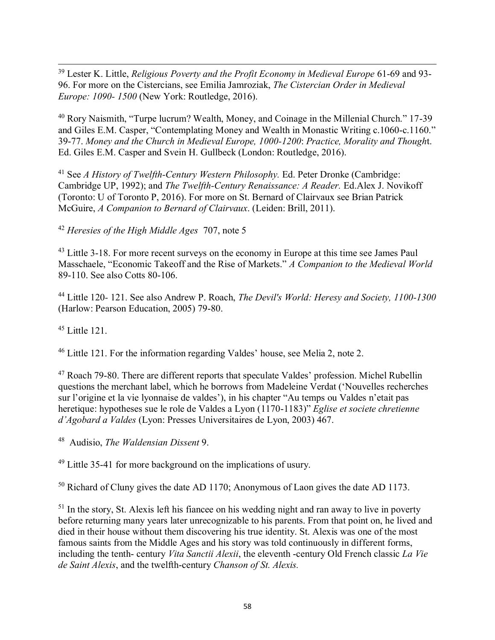$\overline{a}$ <sup>39</sup> Lester K. Little, *Religious Poverty and the Profit Economy in Medieval Europe* 61-69 and 93- 96. For more on the Cistercians, see Emilia Jamroziak, *The Cistercian Order in Medieval Europe: 1090- 1500* (New York: Routledge, 2016).

<sup>40</sup> Rory Naismith, "Turpe lucrum? Wealth, Money, and Coinage in the Millenial Church." 17-39 and Giles E.M. Casper, "Contemplating Money and Wealth in Monastic Writing c.1060-c.1160." 39-77. *Money and the Church in Medieval Europe, 1000-1200*: *Practice, Morality and Though*t. Ed. Giles E.M. Casper and Svein H. Gullbeck (London: Routledge, 2016).

<sup>41</sup> See *A History of Twelfth-Century Western Philosophy.* Ed. Peter Dronke (Cambridge: Cambridge UP, 1992); and *The Twelfth-Century Renaissance: A Reader.* Ed.Alex J. Novikoff (Toronto: U of Toronto P, 2016). For more on St. Bernard of Clairvaux see Brian Patrick McGuire, *A Companion to Bernard of Clairvaux*. (Leiden: Brill, 2011).

<sup>42</sup> *Heresies of the High Middle Ages* 707, note 5

<sup>43</sup> Little 3-18. For more recent surveys on the economy in Europe at this time see James Paul Masschaele, "Economic Takeoff and the Rise of Markets." *A Companion to the Medieval World* 89-110. See also Cotts 80-106.

<sup>44</sup> Little 120*-* 121. See also Andrew P. Roach, *The Devil's World: Heresy and Society, 1100-1300* (Harlow: Pearson Education, 2005) 79-80.

 $45$  Little 121.

<sup>46</sup> Little 121. For the information regarding Valdes' house, see Melia 2, note 2.

<sup>47</sup> Roach 79-80. There are different reports that speculate Valdes' profession. Michel Rubellin questions the merchant label, which he borrows from Madeleine Verdat ('Nouvelles recherches sur l'origine et la vie lyonnaise de valdes'), in his chapter "Au temps ou Valdes n'etait pas heretique: hypotheses sue le role de Valdes a Lyon (1170-1183)" *Eglise et societe chretienne d'Agobard a Valdes* (Lyon: Presses Universitaires de Lyon, 2003) 467.

48 Audisio, *The Waldensian Dissent* 9.

<sup>49</sup> Little 35-41 for more background on the implications of usury.

<sup>50</sup> Richard of Cluny gives the date AD 1170; Anonymous of Laon gives the date AD 1173.

<sup>51</sup> In the story, St. Alexis left his fiancee on his wedding night and ran away to live in poverty before returning many years later unrecognizable to his parents. From that point on, he lived and died in their house without them discovering his true identity. St. Alexis was one of the most famous saints from the Middle Ages and his story was told continuously in different forms, including the tenth- century *Vita Sanctii Alexii*, the eleventh -century Old French classic *La Vie de Saint Alexis*, and the twelfth-century *Chanson of St. Alexis.*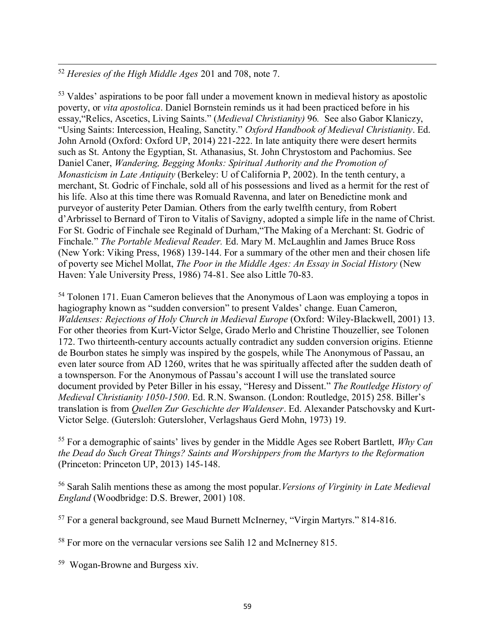$\overline{a}$ <sup>52</sup> *Heresies of the High Middle Ages* 201 and 708, note 7.

<sup>53</sup> Valdes' aspirations to be poor fall under a movement known in medieval history as apostolic poverty, or *vita apostolica*. Daniel Bornstein reminds us it had been practiced before in his essay,"Relics, Ascetics, Living Saints." (*Medieval Christianity)* 96*.* See also Gabor Klaniczy, "Using Saints: Intercession, Healing, Sanctity." *Oxford Handbook of Medieval Christianity*. Ed. John Arnold (Oxford: Oxford UP, 2014) 221-222. In late antiquity there were desert hermits such as St. Antony the Egyptian, St. Athanasius, St. John Chrystostom and Pachomius. See Daniel Caner, *Wandering, Begging Monks: Spiritual Authority and the Promotion of Monasticism in Late Antiquity* (Berkeley: U of California P, 2002). In the tenth century, a merchant, St. Godric of Finchale, sold all of his possessions and lived as a hermit for the rest of his life. Also at this time there was Romuald Ravenna, and later on Benedictine monk and purveyor of austerity Peter Damian. Others from the early twelfth century, from Robert d'Arbrissel to Bernard of Tiron to Vitalis of Savigny, adopted a simple life in the name of Christ. For St. Godric of Finchale see Reginald of Durham,"The Making of a Merchant: St. Godric of Finchale." *The Portable Medieval Reader.* Ed. Mary M. McLaughlin and James Bruce Ross (New York: Viking Press, 1968) 139-144. For a summary of the other men and their chosen life of poverty see Michel Mollat, *The Poor in the Middle Ages: An Essay in Social History* (New Haven: Yale University Press, 1986) 74-81. See also Little 70-83.

<sup>54</sup> Tolonen 171. Euan Cameron believes that the Anonymous of Laon was employing a topos in hagiography known as "sudden conversion" to present Valdes' change. Euan Cameron, *Waldenses: Rejections of Holy Church in Medieval Europe* (Oxford: Wiley-Blackwell, 2001) 13. For other theories from Kurt-Victor Selge, Grado Merlo and Christine Thouzellier, see Tolonen 172. Two thirteenth-century accounts actually contradict any sudden conversion origins. Etienne de Bourbon states he simply was inspired by the gospels, while The Anonymous of Passau, an even later source from AD 1260, writes that he was spiritually affected after the sudden death of a townsperson. For the Anonymous of Passau's account I will use the translated source document provided by Peter Biller in his essay, "Heresy and Dissent." *The Routledge History of Medieval Christianity 1050-1500*. Ed. R.N. Swanson. (London: Routledge, 2015) 258. Biller's translation is from *Quellen Zur Geschichte der Waldenser*. Ed. Alexander Patschovsky and Kurt-Victor Selge. (Gutersloh: Gutersloher, Verlagshaus Gerd Mohn, 1973) 19.

<sup>55</sup> For a demographic of saints' lives by gender in the Middle Ages see Robert Bartlett, *Why Can the Dead do Such Great Things? Saints and Worshippers from the Martyrs to the Reformation* (Princeton: Princeton UP, 2013) 145-148.

<sup>56</sup> Sarah Salih mentions these as among the most popular.*Versions of Virginity in Late Medieval England* (Woodbridge: D.S. Brewer, 2001) 108.

<sup>57</sup> For a general background, see Maud Burnett McInerney, "Virgin Martyrs." 814-816.

<sup>58</sup> For more on the vernacular versions see Salih 12 and McInerney 815.

<sup>59</sup> Wogan-Browne and Burgess xiv.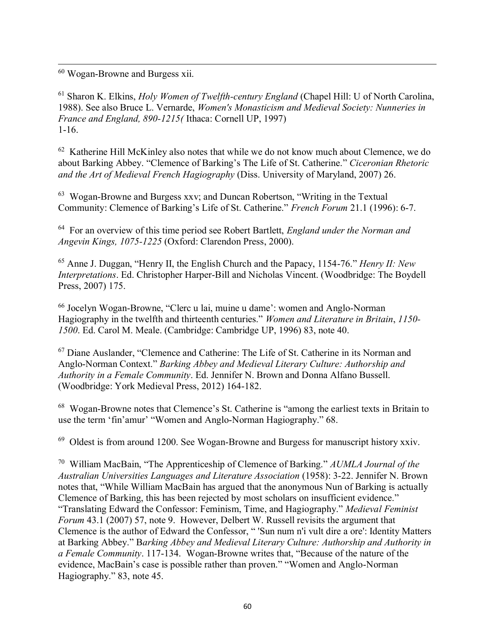$\overline{a}$ <sup>60</sup> Wogan-Browne and Burgess xii.

<sup>61</sup> Sharon K. Elkins, *Holy Women of Twelfth-century England* (Chapel Hill: U of North Carolina, 1988). See also Bruce L. Vernarde, *Women's Monasticism and Medieval Society: Nunneries in France and England, 890-1215(* Ithaca: Cornell UP, 1997) 1-16.

 $62$  Katherine Hill McKinley also notes that while we do not know much about Clemence, we do about Barking Abbey. "Clemence of Barking's The Life of St. Catherine." *Ciceronian Rhetoric and the Art of Medieval French Hagiography* (Diss. University of Maryland, 2007) 26.

63 Wogan-Browne and Burgess xxv; and Duncan Robertson, "Writing in the Textual Community: Clemence of Barking's Life of St. Catherine." *French Forum* 21.1 (1996): 6-7.

64 For an overview of this time period see Robert Bartlett, *England under the Norman and Angevin Kings, 1075-1225* (Oxford: Clarendon Press, 2000).

<sup>65</sup> Anne J. Duggan, "Henry II, the English Church and the Papacy, 1154-76." *Henry II: New Interpretations*. Ed. Christopher Harper-Bill and Nicholas Vincent. (Woodbridge: The Boydell Press, 2007) 175.

<sup>66</sup> Jocelyn Wogan-Browne, "Clerc u lai, muine u dame': women and Anglo-Norman Hagiography in the twelfth and thirteenth centuries." *Women and Literature in Britain*, *1150- 1500*. Ed. Carol M. Meale. (Cambridge: Cambridge UP, 1996) 83, note 40.

<sup>67</sup> Diane Auslander, "Clemence and Catherine: The Life of St. Catherine in its Norman and Anglo-Norman Context." *Barking Abbey and Medieval Literary Culture: Authorship and Authority in a Female Community*. Ed. Jennifer N. Brown and Donna Alfano Bussell. (Woodbridge: York Medieval Press, 2012) 164-182.

<sup>68</sup> Wogan-Browne notes that Clemence's St. Catherine is "among the earliest texts in Britain to use the term 'fin'amur' "Women and Anglo-Norman Hagiography." 68.

<sup>69</sup> Oldest is from around 1200. See Wogan-Browne and Burgess for manuscript history xxiv.

70 William MacBain, "The Apprenticeship of Clemence of Barking." *AUMLA Journal of the Australian Universities Languages and Literature Association* (1958): 3-22. Jennifer N. Brown notes that, "While William MacBain has argued that the anonymous Nun of Barking is actually Clemence of Barking, this has been rejected by most scholars on insufficient evidence." "Translating Edward the Confessor: Feminism, Time, and Hagiography." *Medieval Feminist Forum* 43.1 (2007) 57, note 9. However, Delbert W. Russell revisits the argument that Clemence is the author of Edward the Confessor, " 'Sun num n'i vult dire a ore': Identity Matters at Barking Abbey." B*arking Abbey and Medieval Literary Culture: Authorship and Authority in a Female Community*. 117-134. Wogan-Browne writes that, "Because of the nature of the evidence, MacBain's case is possible rather than proven." "Women and Anglo-Norman Hagiography." 83, note 45.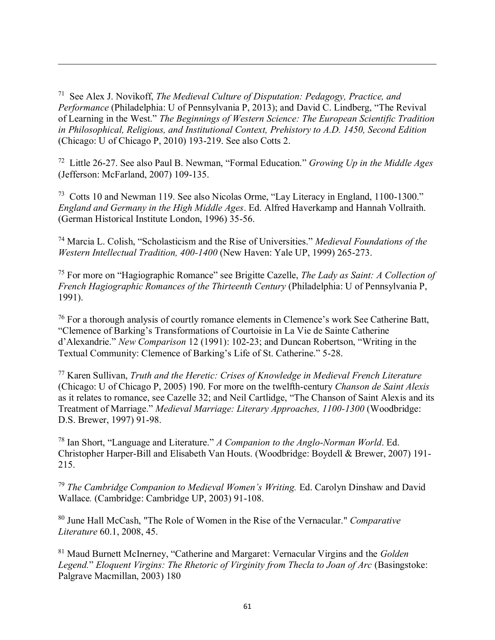71 See Alex J. Novikoff, *The Medieval Culture of Disputation: Pedagogy, Practice, and Performance* (Philadelphia: U of Pennsylvania P, 2013); and David C. Lindberg, "The Revival of Learning in the West." *The Beginnings of Western Science: The European Scientific Tradition in Philosophical, Religious, and Institutional Context, Prehistory to A.D. 1450, Second Edition* (Chicago: U of Chicago P, 2010) 193-219. See also Cotts 2.

 $\overline{a}$ 

72 Little 26-27. See also Paul B. Newman, "Formal Education." *Growing Up in the Middle Ages* (Jefferson: McFarland, 2007) 109-135.

<sup>73</sup> Cotts 10 and Newman 119. See also Nicolas Orme, "Lay Literacy in England, 1100-1300." *England and Germany in the High Middle Ages*. Ed. Alfred Haverkamp and Hannah Vollraith. (German Historical Institute London, 1996) 35-56.

<sup>74</sup> Marcia L. Colish, "Scholasticism and the Rise of Universities." *Medieval Foundations of the Western Intellectual Tradition, 400-1400* (New Haven: Yale UP, 1999) 265-273.

<sup>75</sup> For more on "Hagiographic Romance" see Brigitte Cazelle, *The Lady as Saint: A Collection of French Hagiographic Romances of the Thirteenth Century* (Philadelphia: U of Pennsylvania P, 1991).

<sup>76</sup> For a thorough analysis of courtly romance elements in Clemence's work See Catherine Batt, "Clemence of Barking's Transformations of Courtoisie in La Vie de Sainte Catherine d'Alexandrie." *New Comparison* 12 (1991): 102-23; and Duncan Robertson, "Writing in the Textual Community: Clemence of Barking's Life of St. Catherine." 5-28.

<sup>77</sup> Karen Sullivan, *Truth and the Heretic: Crises of Knowledge in Medieval French Literature* (Chicago: U of Chicago P, 2005) 190. For more on the twelfth-century *Chanson de Saint Alexis* as it relates to romance, see Cazelle 32; and Neil Cartlidge, "The Chanson of Saint Alexis and its Treatment of Marriage." *Medieval Marriage: Literary Approaches, 1100-1300* (Woodbridge: D.S. Brewer, 1997) 91-98.

<sup>78</sup> Ian Short, "Language and Literature." *A Companion to the Anglo-Norman World*. Ed. Christopher Harper-Bill and Elisabeth Van Houts. (Woodbridge: Boydell & Brewer, 2007) 191- 215.

<sup>79</sup> *The Cambridge Companion to Medieval Women's Writing.* Ed. Carolyn Dinshaw and David Wallace*.* (Cambridge: Cambridge UP, 2003) 91-108.

<sup>80</sup> June Hall McCash, "The Role of Women in the Rise of the Vernacular." *Comparative Literature* 60.1, 2008, 45.

<sup>81</sup> Maud Burnett McInerney, "Catherine and Margaret: Vernacular Virgins and the *Golden Legend.*" *Eloquent Virgins: The Rhetoric of Virginity from Thecla to Joan of Arc* (Basingstoke: Palgrave Macmillan, 2003) 180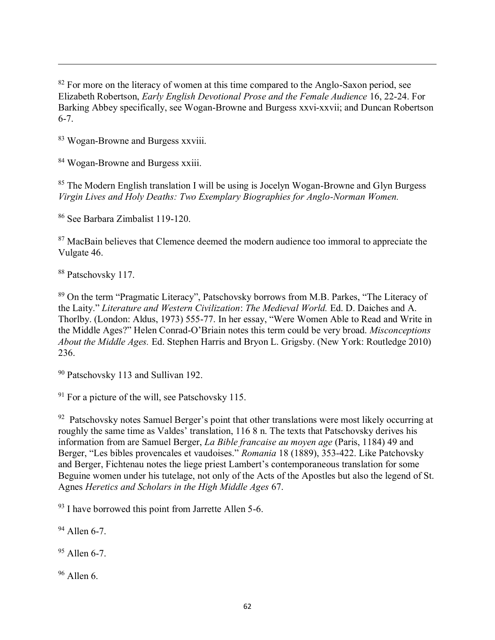<sup>82</sup> For more on the literacy of women at this time compared to the Anglo-Saxon period, see Elizabeth Robertson, *Early English Devotional Prose and the Female Audience* 16, 22-24. For Barking Abbey specifically, see Wogan-Browne and Burgess xxvi-xxvii; and Duncan Robertson 6-7.

<sup>83</sup> Wogan-Browne and Burgess xxviii.

<sup>84</sup> Wogan-Browne and Burgess xxiii.

<sup>85</sup> The Modern English translation I will be using is Jocelyn Wogan-Browne and Glyn Burgess *Virgin Lives and Holy Deaths: Two Exemplary Biographies for Anglo-Norman Women.*

<sup>86</sup> See Barbara Zimbalist 119-120.

<sup>87</sup> MacBain believes that Clemence deemed the modern audience too immoral to appreciate the Vulgate 46.

<sup>88</sup> Patschovsky 117.

 $\overline{a}$ 

<sup>89</sup> On the term "Pragmatic Literacy", Patschovsky borrows from M.B. Parkes, "The Literacy of the Laity." *Literature and Western Civilization*: *The Medieval World.* Ed. D. Daiches and A. Thorlby. (London: Aldus, 1973) 555-77. In her essay, "Were Women Able to Read and Write in the Middle Ages?" Helen Conrad-O'Briain notes this term could be very broad. *Misconceptions About the Middle Ages.* Ed. Stephen Harris and Bryon L. Grigsby. (New York: Routledge 2010) 236.

<sup>90</sup> Patschovsky 113 and Sullivan 192.

<sup>91</sup> For a picture of the will, see Patschovsky 115.

<sup>92</sup> Patschovsky notes Samuel Berger's point that other translations were most likely occurring at roughly the same time as Valdes' translation, 116 8 n. The texts that Patschovsky derives his information from are Samuel Berger, *La Bible francaise au moyen age* (Paris, 1184) 49 and Berger, "Les bibles provencales et vaudoises." *Romania* 18 (1889), 353-422. Like Patchovsky and Berger, Fichtenau notes the liege priest Lambert's contemporaneous translation for some Beguine women under his tutelage, not only of the Acts of the Apostles but also the legend of St. Agnes *Heretics and Scholars in the High Middle Ages* 67.

<sup>93</sup> I have borrowed this point from Jarrette Allen 5-6.

 $94$  Allen 6-7

 $95$  Allen 6-7.

 $96$  Allen 6.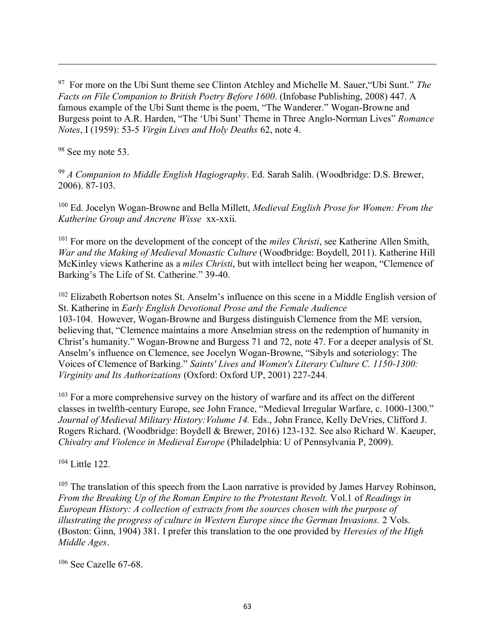97 For more on the Ubi Sunt theme see Clinton Atchley and Michelle M. Sauer,"Ubi Sunt." *The Facts on File Companion to British Poetry Before 1600*. (Infobase Publishing, 2008) 447. A famous example of the Ubi Sunt theme is the poem, "The Wanderer." Wogan-Browne and Burgess point to A.R. Harden, "The 'Ubi Sunt' Theme in Three Anglo-Norman Lives" *Romance Notes*, I (1959): 53-5 *Virgin Lives and Holy Deaths* 62, note 4.

<sup>98</sup> See my note 53.

 $\overline{a}$ 

<sup>99</sup> *A Companion to Middle English Hagiography*. Ed. Sarah Salih. (Woodbridge: D.S. Brewer, 2006). 87-103.

<sup>100</sup> Ed. Jocelyn Wogan-Browne and Bella Millett, *Medieval English Prose for Women: From the Katherine Group and Ancrene Wisse* xx-xxii.

<sup>101</sup> For more on the development of the concept of the *miles Christi*, see Katherine Allen Smith, *War and the Making of Medieval Monastic Culture* (Woodbridge: Boydell, 2011). Katherine Hill McKinley views Katherine as a *miles Christi*, but with intellect being her weapon, "Clemence of Barking's The Life of St. Catherine." 39-40.

<sup>102</sup> Elizabeth Robertson notes St. Anselm's influence on this scene in a Middle English version of St. Katherine in *Early English Devotional Prose and the Female Audience* 103-104. However, Wogan-Browne and Burgess distinguish Clemence from the ME version, believing that, "Clemence maintains a more Anselmian stress on the redemption of humanity in Christ's humanity." Wogan-Browne and Burgess 71 and 72, note 47. For a deeper analysis of St. Anselm's influence on Clemence, see Jocelyn Wogan-Browne, "Sibyls and soteriology: The Voices of Clemence of Barking." *Saints' Lives and Women's Literary Culture C. 1150-1300: Virginity and Its Authorizations* (Oxford: Oxford UP, 2001) 227-244.

<sup>103</sup> For a more comprehensive survey on the history of warfare and its affect on the different classes in twelfth-century Europe, see John France, "Medieval Irregular Warfare, c. 1000-1300." *Journal of Medieval Military History:Volume 14.* Eds., John France, Kelly DeVries, Clifford J. Rogers Richard. (Woodbridge: Boydell & Brewer, 2016) 123-132. See also Richard W. Kaeuper, *Chivalry and Violence in Medieval Europe* (Philadelphia: U of Pennsylvania P, 2009).

<sup>104</sup> Little 122.

<sup>105</sup> The translation of this speech from the Laon narrative is provided by James Harvey Robinson, *From the Breaking Up of the Roman Empire to the Protestant Revolt.* Vol.1 of *Readings in European History: A collection of extracts from the sources chosen with the purpose of illustrating the progress of culture in Western Europe since the German Invasions.* 2 Vols. (Boston: Ginn, 1904) 381. I prefer this translation to the one provided by *Heresies of the High Middle Ages*.

 $106$  See Cazelle 67-68.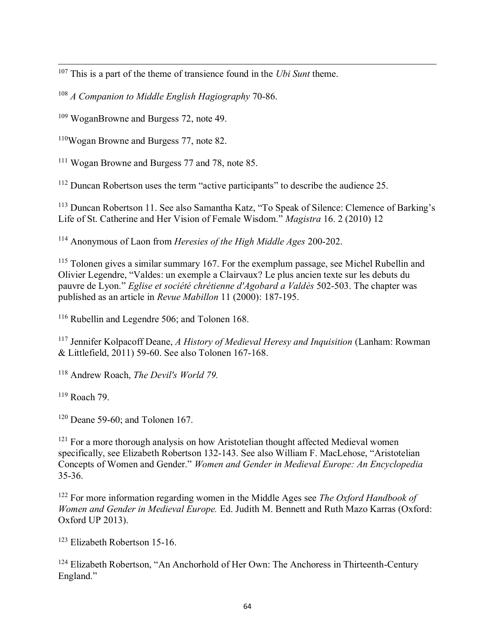$\overline{a}$ <sup>107</sup> This is a part of the theme of transience found in the *Ubi Sunt* theme.

<sup>108</sup> *A Companion to Middle English Hagiography* 70-86.

<sup>109</sup> WoganBrowne and Burgess 72, note 49.

<sup>110</sup>Wogan Browne and Burgess 77, note 82.

<sup>111</sup> Wogan Browne and Burgess 77 and 78, note 85.

<sup>112</sup> Duncan Robertson uses the term "active participants" to describe the audience 25.

<sup>113</sup> Duncan Robertson 11. See also Samantha Katz, "To Speak of Silence: Clemence of Barking's Life of St. Catherine and Her Vision of Female Wisdom." *Magistra* 16. 2 (2010) 12

<sup>114</sup> Anonymous of Laon from *Heresies of the High Middle Ages* 200-202.

<sup>115</sup> Tolonen gives a similar summary 167. For the exemplum passage, see Michel Rubellin and Olivier Legendre, "Valdes: un exemple a Clairvaux? Le plus ancien texte sur les debuts du pauvre de Lyon." *Eglise et société chrétienne d'Agobard a Valdès* 502-503. The chapter was published as an article in *Revue Mabillon* 11 (2000): 187-195.

<sup>116</sup> Rubellin and Legendre 506; and Tolonen 168.

<sup>117</sup> Jennifer Kolpacoff Deane, *A History of Medieval Heresy and Inquisition* (Lanham: Rowman & Littlefield, 2011) 59-60. See also Tolonen 167-168.

<sup>118</sup> Andrew Roach, *The Devil's World 79.* 

 $119$  Roach 79.

 $120$  Deane 59-60; and Tolonen 167.

<sup>121</sup> For a more thorough analysis on how Aristotelian thought affected Medieval women specifically, see Elizabeth Robertson 132-143. See also William F. MacLehose, "Aristotelian Concepts of Women and Gender." *Women and Gender in Medieval Europe: An Encyclopedia* 35-36.

<sup>122</sup> For more information regarding women in the Middle Ages see *The Oxford Handbook of Women and Gender in Medieval Europe.* Ed. Judith M. Bennett and Ruth Mazo Karras (Oxford: Oxford UP 2013).

<sup>123</sup> Elizabeth Robertson 15-16.

<sup>124</sup> Elizabeth Robertson, "An Anchorhold of Her Own: The Anchoress in Thirteenth-Century England."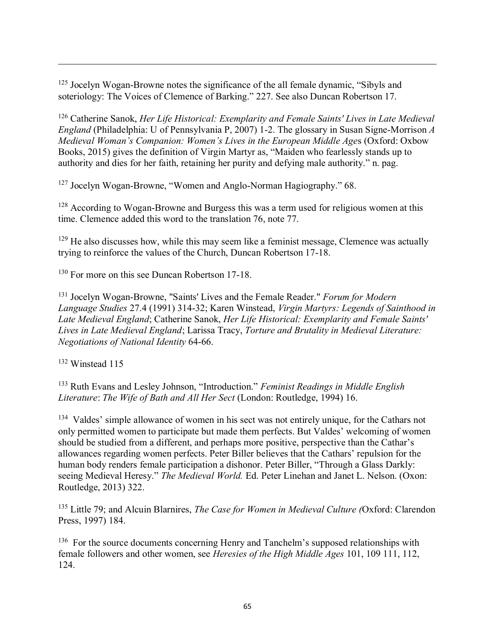<sup>125</sup> Jocelyn Wogan-Browne notes the significance of the all female dynamic, "Sibyls and soteriology: The Voices of Clemence of Barking." 227. See also Duncan Robertson 17.

<sup>126</sup> Catherine Sanok, *Her Life Historical: Exemplarity and Female Saints' Lives in Late Medieval England* (Philadelphia: U of Pennsylvania P, 2007) 1-2. The glossary in Susan Signe-Morrison *A Medieval Woman's Companion: Women's Lives in the European Middle Age*s (Oxford: Oxbow Books, 2015) gives the definition of Virgin Martyr as, "Maiden who fearlessly stands up to authority and dies for her faith, retaining her purity and defying male authority." n. pag.

<sup>127</sup> Jocelyn Wogan-Browne, "Women and Anglo-Norman Hagiography." 68.

<sup>128</sup> According to Wogan-Browne and Burgess this was a term used for religious women at this time. Clemence added this word to the translation 76, note 77.

 $129$  He also discusses how, while this may seem like a feminist message, Clemence was actually trying to reinforce the values of the Church, Duncan Robertson 17-18.

<sup>130</sup> For more on this see Duncan Robertson 17-18.

<sup>131</sup> Jocelyn Wogan-Browne, "Saints' Lives and the Female Reader." *Forum for Modern Language Studies* 27.4 (1991) 314-32; Karen Winstead, *Virgin Martyrs: Legends of Sainthood in Late Medieval England*; Catherine Sanok, *Her Life Historical: Exemplarity and Female Saints' Lives in Late Medieval England*; Larissa Tracy, *Torture and Brutality in Medieval Literature: Negotiations of National Identity* 64-66.

<sup>132</sup> Winstead 115

 $\overline{a}$ 

<sup>133</sup> Ruth Evans and Lesley Johnson, "Introduction." *Feminist Readings in Middle English Literature*: *The Wife of Bath and All Her Sect* (London: Routledge, 1994) 16.

<sup>134</sup> Valdes' simple allowance of women in his sect was not entirely unique, for the Cathars not only permitted women to participate but made them perfects. But Valdes' welcoming of women should be studied from a different, and perhaps more positive, perspective than the Cathar's allowances regarding women perfects. Peter Biller believes that the Cathars' repulsion for the human body renders female participation a dishonor. Peter Biller, "Through a Glass Darkly: seeing Medieval Heresy." *The Medieval World.* Ed. Peter Linehan and Janet L. Nelson. (Oxon: Routledge, 2013) 322.

<sup>135</sup> Little 79; and Alcuin Blarnires, *The Case for Women in Medieval Culture (*Oxford: Clarendon Press, 1997) 184.

<sup>136</sup> For the source documents concerning Henry and Tanchelm's supposed relationships with female followers and other women, see *Heresies of the High Middle Ages* 101, 109 111, 112, 124.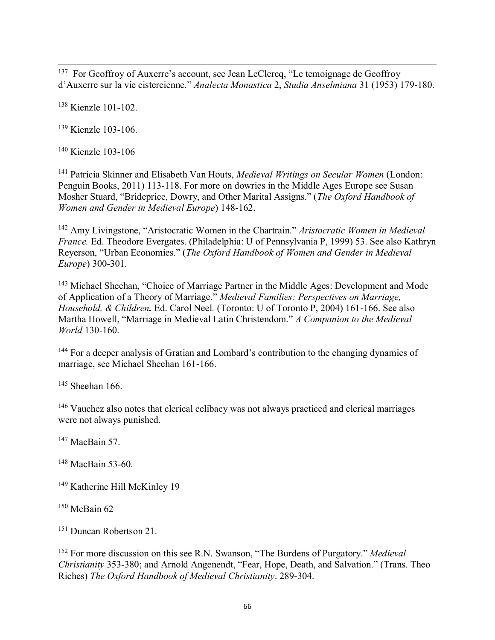$\overline{a}$ <sup>137</sup> For Geoffroy of Auxerre's account, see Jean LeClercq, "Le temoignage de Geoffroy d'Auxerre sur la vie cistercienne." *Analecta Monastica* 2, *Studia Anselmiana* 31 (1953) 179-180.

<sup>138</sup> Kienzle 101-102.

<sup>139</sup> Kienzle 103-106.

<sup>140</sup> Kienzle 103-106

<sup>141</sup> Patricia Skinner and Elisabeth Van Houts, *Medieval Writings on Secular Women* (London: Penguin Books, 2011) 113-118. For more on dowries in the Middle Ages Europe see Susan Mosher Stuard, "Brideprice, Dowry, and Other Marital Assigns." (*The Oxford Handbook of Women and Gender in Medieval Europe*) 148-162.

<sup>142</sup> Amy Livingstone, "Aristocratic Women in the Chartrain." *Aristocratic Women in Medieval France.* Ed. Theodore Evergates. (Philadelphia: U of Pennsylvania P, 1999) 53. See also Kathryn Reyerson, "Urban Economies." (*The Oxford Handbook of Women and Gender in Medieval Europe*) 300-301.

<sup>143</sup> Michael Sheehan, "Choice of Marriage Partner in the Middle Ages: Development and Mode of Application of a Theory of Marriage." *Medieval Families: Perspectives on Marriage, Household, & Children.* Ed. Carol Neel*.* (Toronto: U of Toronto P, 2004) 161-166. See also Martha Howell, "Marriage in Medieval Latin Christendom." *A Companion to the Medieval World* 130-160.

<sup>144</sup> For a deeper analysis of Gratian and Lombard's contribution to the changing dynamics of marriage, see Michael Sheehan 161-166.

 $145$  Sheehan 166.

<sup>146</sup> Vauchez also notes that clerical celibacy was not always practiced and clerical marriages were not always punished.

 $147$  MacBain 57.

<sup>148</sup> MacBain 53-60.

<sup>149</sup> Katherine Hill McKinley 19

 $150$  McBain 62

<sup>151</sup> Duncan Robertson 21.

<sup>152</sup> For more discussion on this see R.N. Swanson, "The Burdens of Purgatory." *Medieval Christianity* 353-380; and Arnold Angenendt, "Fear, Hope, Death, and Salvation." (Trans. Theo Riches) *The Oxford Handbook of Medieval Christianity*. 289-304.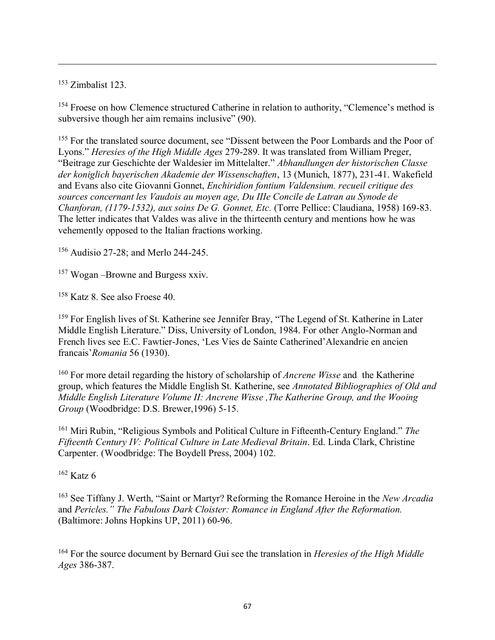<sup>153</sup> Zimbalist 123.

 $\overline{a}$ 

<sup>154</sup> Froese on how Clemence structured Catherine in relation to authority, "Clemence's method is subversive though her aim remains inclusive" (90).

<sup>155</sup> For the translated source document, see "Dissent between the Poor Lombards and the Poor of Lyons." *Heresies of the High Middle Ages* 279-289. It was translated from William Preger, "Beitrage zur Geschichte der Waldesier im Mittelalter." *Abhandlungen der historischen Classe der koniglich bayerischen Akademie der Wissenschaften*, 13 (Munich, 1877), 231-41. Wakefield and Evans also cite Giovanni Gonnet, *Enchiridion fontium Valdensium. recueil critique des sources concernant les Vaudois au moyen age, Du IIIe Concile de Latran au Synode de Chanforan, (1179-1532), aux soins De G. Gonnet, Etc.* (Torre Pellice: Claudiana, 1958) 169-83. The letter indicates that Valdes was alive in the thirteenth century and mentions how he was vehemently opposed to the Italian fractions working.

<sup>156</sup> Audisio 27-28; and Merlo 244-245.

<sup>157</sup> Wogan –Browne and Burgess xxiv.

<sup>158</sup> Katz 8. See also Froese 40.

<sup>159</sup> For English lives of St. Katherine see Jennifer Bray, "The Legend of St. Katherine in Later Middle English Literature." Diss, University of London, 1984. For other Anglo-Norman and French lives see E.C. Fawtier-Jones, 'Les Vies de Sainte Catherined'Alexandrie en ancien francais'*Romania* 56 (1930).

<sup>160</sup> For more detail regarding the history of scholarship of *Ancrene Wisse* and the Katherine group, which features the Middle English St. Katherine, see *Annotated Bibliographies of Old and Middle English Literature Volume II: Ancrene Wisse ,The Katherine Group, and the Wooing Group* (Woodbridge: D.S. Brewer,1996) 5-15.

<sup>161</sup> Miri Rubin, "Religious Symbols and Political Culture in Fifteenth-Century England." *The Fifteenth Century IV: Political Culture in Late Medieval Britain*. Ed. Linda Clark, Christine Carpenter. (Woodbridge: The Boydell Press, 2004) 102.

 $162$  Katz 6

<sup>163</sup> See Tiffany J. Werth, "Saint or Martyr? Reforming the Romance Heroine in the *New Arcadia* and *Pericles." The Fabulous Dark Cloister: Romance in England After the Reformation.*  (Baltimore: Johns Hopkins UP, 2011) 60-96.

<sup>164</sup> For the source document by Bernard Gui see the translation in *Heresies of the High Middle Ages* 386-387.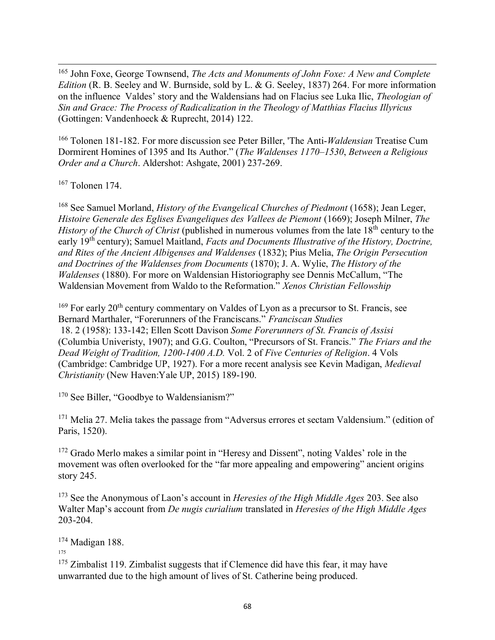$\overline{a}$ <sup>165</sup> John Foxe, George Townsend, *The Acts and Monuments of John Foxe: A New and Complete Edition* (R. B. Seeley and W. Burnside, sold by L. & G. Seeley, 1837) 264. For more information on the influence Valdes' story and the Waldensians had on Flacius see Luka Ilic, *Theologian of Sin and Grace: The Process of Radicalization in the Theology of Matthias Flacius Illyricus* (Gottingen: Vandenhoeck & Ruprecht, 2014) 122.

<sup>166</sup> Tolonen 181-182. For more discussion see Peter Biller, 'The Anti-*Waldensian* Treatise Cum Dormirent Homines of 1395 and Its Author." (*The Waldenses 1170–1530*, *Between a Religious Order and a Church*. Aldershot: Ashgate, 2001) 237-269.

 $167$  Tolonen 174.

<sup>168</sup> See Samuel Morland, *History of the Evangelical Churches of Piedmont* (1658); Jean Leger, *Histoire Generale des Eglises Evangeliques des Vallees de Piemont* (1669); Joseph Milner, *The History of the Church of Christ* (published in numerous volumes from the late 18<sup>th</sup> century to the early 19th century); Samuel Maitland, *Facts and Documents Illustrative of the History, Doctrine, and Rites of the Ancient Albigenses and Waldenses* (1832); Pius Melia, *The Origin Persecution and Doctrines of the Waldenses from Documents* (1870); J. A. Wylie, *The History of the Waldenses* (1880). For more on Waldensian Historiography see Dennis McCallum, "The Waldensian Movement from Waldo to the Reformation." *Xenos Christian Fellowship* 

 $169$  For early 20<sup>th</sup> century commentary on Valdes of Lyon as a precursor to St. Francis, see Bernard Marthaler, "Forerunners of the Franciscans." *Franciscan Studies* 18. 2 (1958): 133-142; Ellen Scott Davison *Some Forerunners of St. Francis of Assisi*  (Columbia Univeristy, 1907); and G.G. Coulton, "Precursors of St. Francis." *The Friars and the Dead Weight of Tradition, 1200-1400 A.D.* Vol. 2 of *Five Centuries of Religion*. 4 Vols (Cambridge: Cambridge UP, 1927). For a more recent analysis see Kevin Madigan, *Medieval Christianity* (New Haven:Yale UP, 2015) 189-190.

<sup>170</sup> See Biller, "Goodbye to Waldensianism?"

<sup>171</sup> Melia 27. Melia takes the passage from "Adversus errores et sectam Valdensium." (edition of Paris, 1520).

<sup>172</sup> Grado Merlo makes a similar point in "Heresy and Dissent", noting Valdes' role in the movement was often overlooked for the "far more appealing and empowering" ancient origins story 245.

<sup>173</sup> See the Anonymous of Laon's account in *Heresies of the High Middle Ages* 203. See also Walter Map's account from *De nugis curialium* translated in *Heresies of the High Middle Ages* 203-204.

<sup>174</sup> Madigan 188.

175

<sup>175</sup> Zimbalist 119. Zimbalist suggests that if Clemence did have this fear, it may have unwarranted due to the high amount of lives of St. Catherine being produced.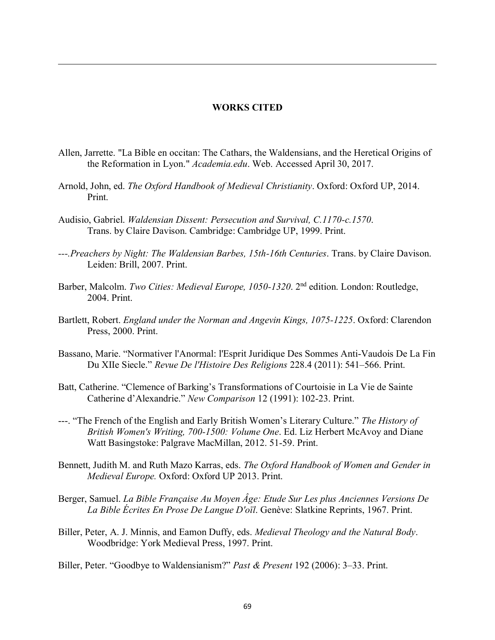## WORKS CITED

- Allen, Jarrette. "La Bible en occitan: The Cathars, the Waldensians, and the Heretical Origins of the Reformation in Lyon." *Academia.edu*. Web. Accessed April 30, 2017.
- Arnold, John, ed. *The Oxford Handbook of Medieval Christianity*. Oxford: Oxford UP, 2014. Print.
- Audisio, Gabriel. *Waldensian Dissent: Persecution and Survival, C.1170-c.1570*. Trans. by Claire Davison. Cambridge: Cambridge UP, 1999. Print.

 $\overline{a}$ 

- *---.Preachers by Night: The Waldensian Barbes, 15th-16th Centuries*. Trans. by Claire Davison. Leiden: Brill, 2007. Print.
- Barber, Malcolm. *Two Cities: Medieval Europe, 1050-1320*. 2nd edition. London: Routledge, 2004. Print.
- Bartlett, Robert. *England under the Norman and Angevin Kings, 1075-1225*. Oxford: Clarendon Press, 2000. Print.
- Bassano, Marie. "Normativer l'Anormal: l'Esprit Juridique Des Sommes Anti-Vaudois De La Fin Du XIIe Siecle." *Revue De l'Histoire Des Religions* 228.4 (2011): 541–566. Print.
- Batt, Catherine. "Clemence of Barking's Transformations of Courtoisie in La Vie de Sainte Catherine d'Alexandrie." *New Comparison* 12 (1991): 102-23. Print.
- ---. "The French of the English and Early British Women's Literary Culture." *The History of British Women's Writing, 700-1500: Volume One*. Ed. Liz Herbert McAvoy and Diane Watt Basingstoke: Palgrave MacMillan, 2012. 51-59. Print.
- Bennett, Judith M. and Ruth Mazo Karras, eds. *The Oxford Handbook of Women and Gender in Medieval Europe.* Oxford: Oxford UP 2013. Print.
- Berger, Samuel. *La Bible Française Au Moyen Âge: Etude Sur Les plus Anciennes Versions De La Bible Écrites En Prose De Langue D'oïl*. Genève: Slatkine Reprints, 1967. Print.
- Biller, Peter, A. J. Minnis, and Eamon Duffy, eds. *Medieval Theology and the Natural Body*. Woodbridge: York Medieval Press, 1997. Print.

Biller, Peter. "Goodbye to Waldensianism?" *Past & Present* 192 (2006): 3–33. Print.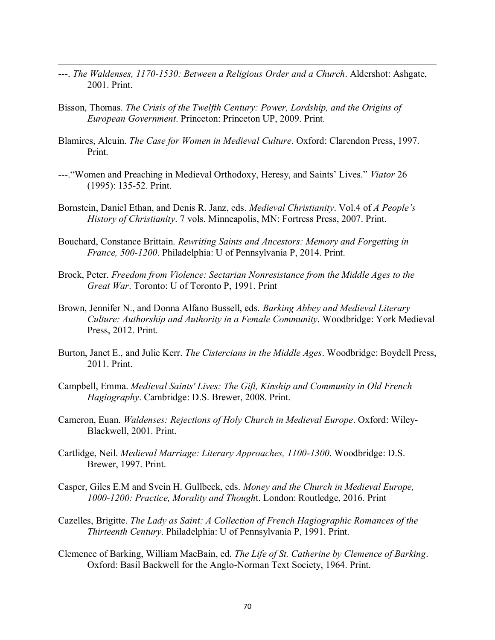- ---. *The Waldenses, 1170-1530: Between a Religious Order and a Church*. Aldershot: Ashgate, 2001. Print.
- Bisson, Thomas. *The Crisis of the Twelfth Century: Power, Lordship, and the Origins of European Government*. Princeton: Princeton UP, 2009. Print.

- Blamires, Alcuin. *The Case for Women in Medieval Culture*. Oxford: Clarendon Press, 1997. Print.
- ---."Women and Preaching in Medieval Orthodoxy, Heresy, and Saints' Lives." *Viator* 26 (1995): 135-52. Print.
- Bornstein, Daniel Ethan, and Denis R. Janz, eds. *Medieval Christianity*. Vol.4 of *A People's History of Christianity*. 7 vols. Minneapolis, MN: Fortress Press, 2007. Print.
- Bouchard, Constance Brittain. *Rewriting Saints and Ancestors: Memory and Forgetting in France, 500-1200*. Philadelphia: U of Pennsylvania P, 2014. Print.
- Brock, Peter. *Freedom from Violence: Sectarian Nonresistance from the Middle Ages to the Great War*. Toronto: U of Toronto P, 1991. Print
- Brown, Jennifer N., and Donna Alfano Bussell, eds. *Barking Abbey and Medieval Literary Culture: Authorship and Authority in a Female Community*. Woodbridge: York Medieval Press, 2012. Print.
- Burton, Janet E., and Julie Kerr. *The Cistercians in the Middle Ages*. Woodbridge: Boydell Press, 2011. Print.
- Campbell, Emma. *Medieval Saints' Lives: The Gift, Kinship and Community in Old French Hagiography*. Cambridge: D.S. Brewer, 2008. Print.
- Cameron, Euan. *Waldenses: Rejections of Holy Church in Medieval Europe*. Oxford: Wiley-Blackwell, 2001. Print.
- Cartlidge, Neil. *Medieval Marriage: Literary Approaches, 1100-1300*. Woodbridge: D.S. Brewer, 1997. Print.
- Casper, Giles E.M and Svein H. Gullbeck, eds. *Money and the Church in Medieval Europe, 1000-1200: Practice, Morality and Though*t. London: Routledge, 2016. Print
- Cazelles, Brigitte. *The Lady as Saint: A Collection of French Hagiographic Romances of the Thirteenth Century*. Philadelphia: U of Pennsylvania P, 1991. Print.
- Clemence of Barking, William MacBain, ed. *The Life of St. Catherine by Clemence of Barking*. Oxford: Basil Backwell for the Anglo-Norman Text Society, 1964. Print.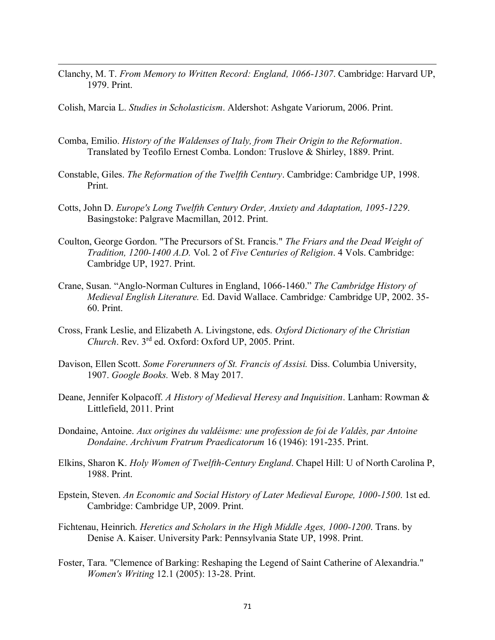Clanchy, M. T. *From Memory to Written Record: England, 1066-1307*. Cambridge: Harvard UP, 1979. Print.

Colish, Marcia L. *Studies in Scholasticism*. Aldershot: Ashgate Variorum, 2006. Print.

- Comba, Emilio. *History of the Waldenses of Italy, from Their Origin to the Reformation*. Translated by Teofilo Ernest Comba. London: Truslove & Shirley, 1889. Print.
- Constable, Giles. *The Reformation of the Twelfth Century*. Cambridge: Cambridge UP, 1998. Print.
- Cotts, John D. *Europe's Long Twelfth Century Order, Anxiety and Adaptation, 1095-1229*. Basingstoke: Palgrave Macmillan, 2012. Print.
- Coulton, George Gordon. "The Precursors of St. Francis." *The Friars and the Dead Weight of Tradition, 1200-1400 A.D.* Vol. 2 of *Five Centuries of Religion*. 4 Vols. Cambridge: Cambridge UP, 1927. Print.
- Crane, Susan. "Anglo-Norman Cultures in England, 1066-1460." *The Cambridge History of Medieval English Literature.* Ed. David Wallace. Cambridge*:* Cambridge UP, 2002. 35- 60. Print.
- Cross, Frank Leslie, and Elizabeth A. Livingstone, eds. *Oxford Dictionary of the Christian Church*. Rev. 3rd ed. Oxford: Oxford UP, 2005. Print.
- Davison, Ellen Scott. *Some Forerunners of St. Francis of Assisi.* Diss. Columbia University, 1907. *Google Books.* Web. 8 May 2017.
- Deane, Jennifer Kolpacoff. *A History of Medieval Heresy and Inquisition*. Lanham: Rowman & Littlefield, 2011. Print
- Dondaine, Antoine. *Aux origines du valdéisme: une profession de foi de Valdès, par Antoine Dondaine*. *Archivum Fratrum Praedicatorum* 16 (1946): 191-235. Print.
- Elkins, Sharon K. *Holy Women of Twelfth-Century England*. Chapel Hill: U of North Carolina P, 1988. Print.
- Epstein, Steven. *An Economic and Social History of Later Medieval Europe, 1000-1500*. 1st ed. Cambridge: Cambridge UP, 2009. Print.
- Fichtenau, Heinrich. *Heretics and Scholars in the High Middle Ages, 1000-1200*. Trans. by Denise A. Kaiser. University Park: Pennsylvania State UP, 1998. Print.
- Foster, Tara. "Clemence of Barking: Reshaping the Legend of Saint Catherine of Alexandria." *Women's Writing* 12.1 (2005): 13-28. Print.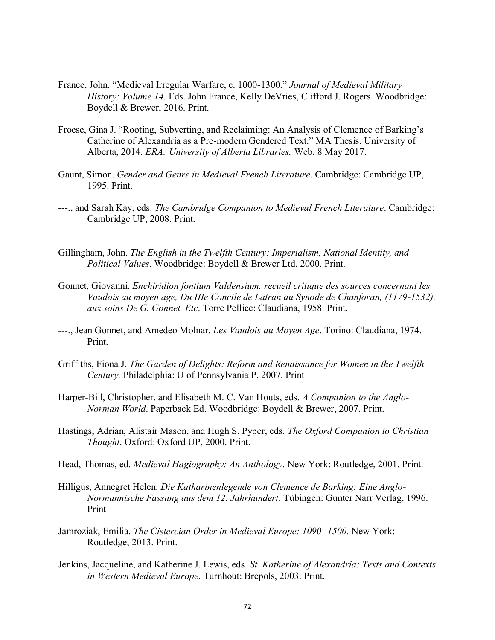France, John. "Medieval Irregular Warfare, c. 1000-1300." *Journal of Medieval Military History: Volume 14. Eds. John France, Kelly DeVries, Clifford J. Rogers. Woodbridge:* Boydell & Brewer, 2016. Print.

- Froese, Gina J. "Rooting, Subverting, and Reclaiming: An Analysis of Clemence of Barking's Catherine of Alexandria as a Pre-modern Gendered Text." MA Thesis. University of Alberta, 2014. *ERA: University of Alberta Libraries.* Web. 8 May 2017.
- Gaunt, Simon. *Gender and Genre in Medieval French Literature*. Cambridge: Cambridge UP, 1995. Print.
- ---., and Sarah Kay, eds. *The Cambridge Companion to Medieval French Literature*. Cambridge: Cambridge UP, 2008. Print.
- Gillingham, John. *The English in the Twelfth Century: Imperialism, National Identity, and Political Values*. Woodbridge: Boydell & Brewer Ltd, 2000. Print.
- Gonnet, Giovanni. *Enchiridion fontium Valdensium. recueil critique des sources concernant les Vaudois au moyen age, Du IIIe Concile de Latran au Synode de Chanforan, (1179-1532), aux soins De G. Gonnet, Etc*. Torre Pellice: Claudiana, 1958. Print.
- ---., Jean Gonnet, and Amedeo Molnar. *Les Vaudois au Moyen Age*. Torino: Claudiana, 1974. Print.
- Griffiths, Fiona J. *The Garden of Delights: Reform and Renaissance for Women in the Twelfth Century.* Philadelphia: U of Pennsylvania P, 2007. Print
- Harper-Bill, Christopher, and Elisabeth M. C. Van Houts, eds. *A Companion to the Anglo-Norman World*. Paperback Ed. Woodbridge: Boydell & Brewer, 2007. Print.
- Hastings, Adrian, Alistair Mason, and Hugh S. Pyper, eds. *The Oxford Companion to Christian Thought*. Oxford: Oxford UP, 2000. Print.
- Head, Thomas, ed. *Medieval Hagiography: An Anthology*. New York: Routledge, 2001. Print.
- Hilligus, Annegret Helen. *Die Katharinenlegende von Clemence de Barking: Eine Anglo-Normannische Fassung aus dem 12. Jahrhundert*. Tübingen: Gunter Narr Verlag, 1996. Print
- Jamroziak, Emilia. *The Cistercian Order in Medieval Europe: 1090- 1500.* New York: Routledge, 2013. Print.
- Jenkins, Jacqueline, and Katherine J. Lewis, eds. *St. Katherine of Alexandria: Texts and Contexts in Western Medieval Europe*. Turnhout: Brepols, 2003. Print.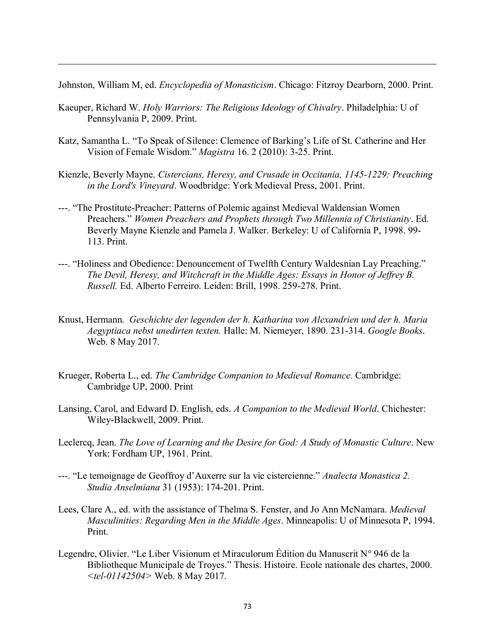Johnston, William M, ed. *Encyclopedia of Monasticism*. Chicago: Fitzroy Dearborn, 2000. Print.

Kaeuper, Richard W. *Holy Warriors: The Religious Ideology of Chivalry*. Philadelphia: U of Pennsylvania P, 2009. Print.

- Katz, Samantha L. "To Speak of Silence: Clemence of Barking's Life of St. Catherine and Her Vision of Female Wisdom." *Magistra* 16. 2 (2010): 3-25. Print.
- Kienzle, Beverly Mayne. *Cistercians, Heresy, and Crusade in Occitania, 1145-1229: Preaching in the Lord's Vineyard*. Woodbridge: York Medieval Press, 2001. Print.
- ---. "The Prostitute-Preacher: Patterns of Polemic against Medieval Waldensian Women Preachers." *Women Preachers and Prophets through Two Millennia of Christianity*. Ed. Beverly Mayne Kienzle and Pamela J. Walker. Berkeley: U of California P, 1998. 99- 113. Print.
- ---. "Holiness and Obedience: Denouncement of Twelfth Century Waldesnian Lay Preaching." *The Devil, Heresy, and Witchcraft in the Middle Ages: Essays in Honor of Jeffrey B. Russell.* Ed. Alberto Ferreiro. Leiden: Brill, 1998. 259-278. Print.
- Knust, Hermann. *Geschichte der legenden der h. Katharina von Alexandrien und der h. Maria Aegyptiaca nebst unedirten texten.* Halle: M. Niemeyer, 1890. 231-314. *Google Books*. Web. 8 May 2017.
- Krueger, Roberta L., ed. *The Cambridge Companion to Medieval Romance.* Cambridge: Cambridge UP, 2000. Print
- Lansing, Carol, and Edward D. English, eds. *A Companion to the Medieval World*. Chichester: Wiley-Blackwell, 2009. Print.
- Leclercq, Jean. *The Love of Learning and the Desire for God: A Study of Monastic Culture*. New York: Fordham UP, 1961. Print.
- ---. "Le temoignage de Geoffroy d'Auxerre sur la vie cistercienne." *Analecta Monastica 2. Studia Anselmiana* 31 (1953): 174-201. Print.
- Lees, Clare A., ed. with the assistance of Thelma S. Fenster, and Jo Ann McNamara. *Medieval Masculinities: Regarding Men in the Middle Ages*. Minneapolis: U of Minnesota P, 1994. Print.
- Legendre, Olivier. "Le Liber Visionum et Miraculorum Édition du Manuscrit N° 946 de la Bibliotheque Municipale de Troyes." Thesis. Histoire. Ecole nationale des chartes, 2000. *<tel-01142504>* Web. 8 May 2017.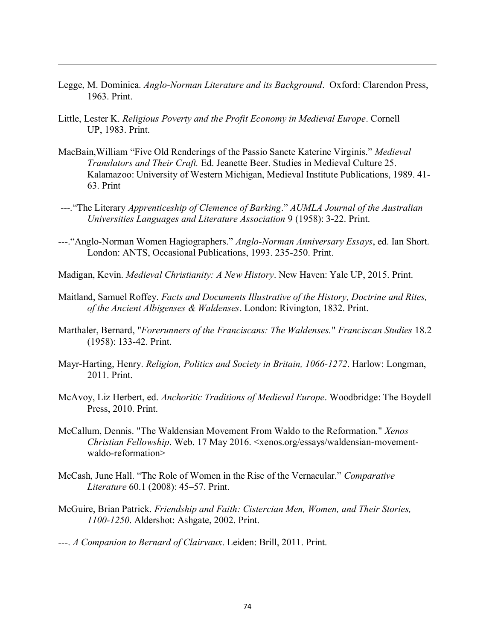- Legge, M. Dominica. *Anglo-Norman Literature and its Background*. Oxford: Clarendon Press, 1963. Print.
- Little, Lester K. *Religious Poverty and the Profit Economy in Medieval Europe*. Cornell UP, 1983. Print.

- MacBain,William "Five Old Renderings of the Passio Sancte Katerine Virginis." *Medieval Translators and Their Craft.* Ed. Jeanette Beer. Studies in Medieval Culture 25. Kalamazoo: University of Western Michigan, Medieval Institute Publications, 1989. 41- 63. Print
- *---.*"The Literary *Apprenticeship of Clemence of Barking*." *AUMLA Journal of the Australian Universities Languages and Literature Association* 9 (1958): 3-22. Print.
- ---."Anglo-Norman Women Hagiographers." *Anglo-Norman Anniversary Essays*, ed. Ian Short. London: ANTS, Occasional Publications, 1993. 235-250. Print.
- Madigan, Kevin. *Medieval Christianity: A New History*. New Haven: Yale UP, 2015. Print.
- Maitland, Samuel Roffey. *Facts and Documents Illustrative of the History, Doctrine and Rites, of the Ancient Albigenses & Waldenses*. London: Rivington, 1832. Print.
- Marthaler, Bernard, "*Forerunners of the Franciscans: The Waldenses.*" *Franciscan Studies* 18.2 (1958): 133-42. Print.
- Mayr-Harting, Henry. *Religion, Politics and Society in Britain, 1066-1272*. Harlow: Longman, 2011. Print.
- McAvoy, Liz Herbert, ed. *Anchoritic Traditions of Medieval Europe*. Woodbridge: The Boydell Press, 2010. Print.
- McCallum, Dennis. "The Waldensian Movement From Waldo to the Reformation." *Xenos Christian Fellowship*. Web. 17 May 2016. <xenos.org/essays/waldensian-movementwaldo-reformation>
- McCash, June Hall. "The Role of Women in the Rise of the Vernacular." *Comparative Literature* 60.1 (2008): 45–57. Print.
- McGuire, Brian Patrick. *Friendship and Faith: Cistercian Men, Women, and Their Stories, 1100-1250*. Aldershot: Ashgate, 2002. Print.
- ---. *A Companion to Bernard of Clairvaux*. Leiden: Brill, 2011. Print.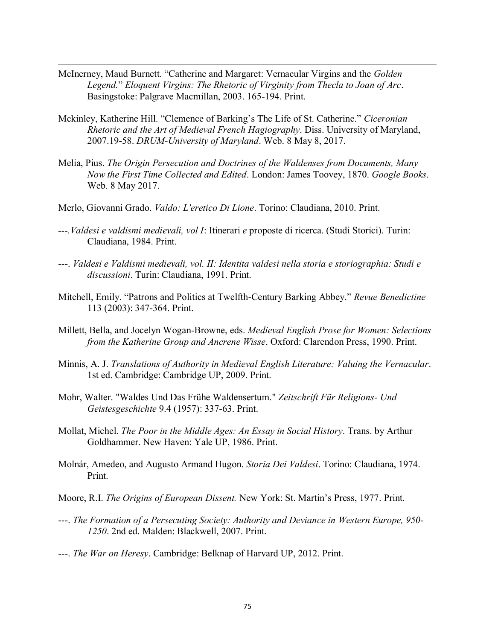McInerney, Maud Burnett. "Catherine and Margaret: Vernacular Virgins and the *Golden Legend.*" *Eloquent Virgins: The Rhetoric of Virginity from Thecla to Joan of Arc*. Basingstoke: Palgrave Macmillan, 2003. 165-194. Print.

- Mckinley, Katherine Hill. "Clemence of Barking's The Life of St. Catherine." *Ciceronian Rhetoric and the Art of Medieval French Hagiography*. Diss. University of Maryland, 2007.19-58. *DRUM-University of Maryland*. Web. 8 May 8, 2017.
- Melia, Pius. *The Origin Persecution and Doctrines of the Waldenses from Documents, Many Now the First Time Collected and Edited*. London: James Toovey, 1870. *Google Books*. Web. 8 May 2017.
- Merlo, Giovanni Grado. *Valdo: L'eretico Di Lione*. Torino: Claudiana, 2010. Print.
- *---.Valdesi e valdismi medievali, vol I*: Itinerari *e* proposte di ricerca. (Studi Storici). Turin: Claudiana, 1984. Print.
- ---. *Valdesi e Valdismi medievali, vol. II: Identita valdesi nella storia e storiographia: Studi e discussioni*. Turin: Claudiana, 1991. Print.
- Mitchell, Emily. "Patrons and Politics at Twelfth-Century Barking Abbey." *Revue Benedictine* 113 (2003): 347-364. Print.
- Millett, Bella, and Jocelyn Wogan-Browne, eds. *Medieval English Prose for Women: Selections from the Katherine Group and Ancrene Wisse*. Oxford: Clarendon Press, 1990. Print.
- Minnis, A. J. *Translations of Authority in Medieval English Literature: Valuing the Vernacular*. 1st ed. Cambridge: Cambridge UP, 2009. Print.
- Mohr, Walter. "Waldes Und Das Frühe Waldensertum." *Zeitschrift Für Religions- Und Geistesgeschichte* 9.4 (1957): 337-63. Print.
- Mollat, Michel. *The Poor in the Middle Ages: An Essay in Social History*. Trans. by Arthur Goldhammer. New Haven: Yale UP, 1986. Print.
- Molnár, Amedeo, and Augusto Armand Hugon. *Storia Dei Valdesi*. Torino: Claudiana, 1974. Print.
- Moore, R.I. *The Origins of European Dissent.* New York: St. Martin's Press, 1977. Print.
- ---. *The Formation of a Persecuting Society: Authority and Deviance in Western Europe, 950- 1250*. 2nd ed. Malden: Blackwell, 2007. Print.
- ---. *The War on Heresy*. Cambridge: Belknap of Harvard UP, 2012. Print.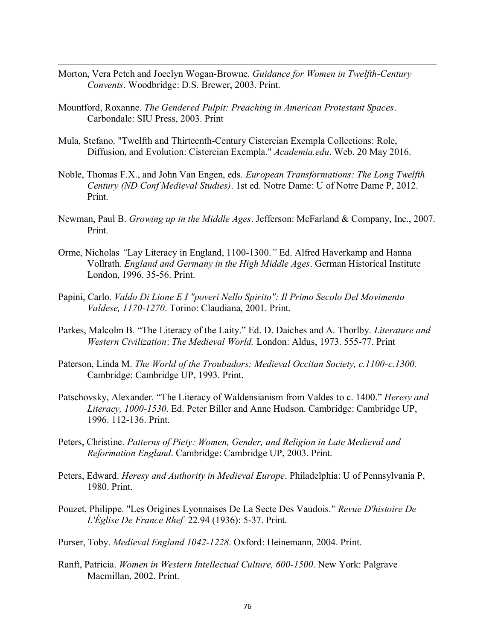- Morton, Vera Petch and Jocelyn Wogan-Browne. *Guidance for Women in Twelfth-Century Convents*. Woodbridge: D.S. Brewer, 2003. Print.
- Mountford, Roxanne. *The Gendered Pulpit: Preaching in American Protestant Spaces*. Carbondale: SIU Press, 2003. Print

- Mula, Stefano. "Twelfth and Thirteenth-Century Cistercian Exempla Collections: Role, Diffusion, and Evolution: Cistercian Exempla." *Academia.edu*. Web. 20 May 2016.
- Noble, Thomas F.X., and John Van Engen, eds. *European Transformations: The Long Twelfth Century (ND Conf Medieval Studies)*. 1st ed. Notre Dame: U of Notre Dame P, 2012. Print.
- Newman, Paul B. *Growing up in the Middle Ages*. Jefferson: McFarland & Company, Inc., 2007. Print.
- Orme, Nicholas *"*Lay Literacy in England, 1100-1300.*"* Ed. Alfred Haverkamp and Hanna Vollrath*. England and Germany in the High Middle Ages*. German Historical Institute London, 1996. 35-56. Print.
- Papini, Carlo. *Valdo Di Lione E I "poveri Nello Spirito": Il Primo Secolo Del Movimento Valdese, 1170-1270*. Torino: Claudiana, 2001. Print.
- Parkes, Malcolm B. "The Literacy of the Laity." Ed. D. Daiches and A. Thorlby. *Literature and Western Civilization*: *The Medieval World.* London: Aldus, 1973. 555-77. Print
- Paterson, Linda M. *The World of the Troubadors: Medieval Occitan Society, c.1100-c.1300.*  Cambridge: Cambridge UP, 1993. Print.
- Patschovsky, Alexander. "The Literacy of Waldensianism from Valdes to c. 1400." *Heresy and Literacy, 1000-1530*. Ed. Peter Biller and Anne Hudson. Cambridge: Cambridge UP, 1996. 112-136. Print.
- Peters, Christine. *Patterns of Piety: Women, Gender, and Religion in Late Medieval and Reformation England*. Cambridge: Cambridge UP, 2003. Print.
- Peters, Edward. *Heresy and Authority in Medieval Europe*. Philadelphia: U of Pennsylvania P, 1980. Print.
- Pouzet, Philippe. "Les Origines Lyonnaises De La Secte Des Vaudois." *Revue D'histoire De L'Église De France Rhef* 22.94 (1936): 5-37. Print.
- Purser, Toby. *Medieval England 1042-1228*. Oxford: Heinemann, 2004. Print.
- Ranft, Patricia. *Women in Western Intellectual Culture, 600-1500*. New York: Palgrave Macmillan, 2002. Print.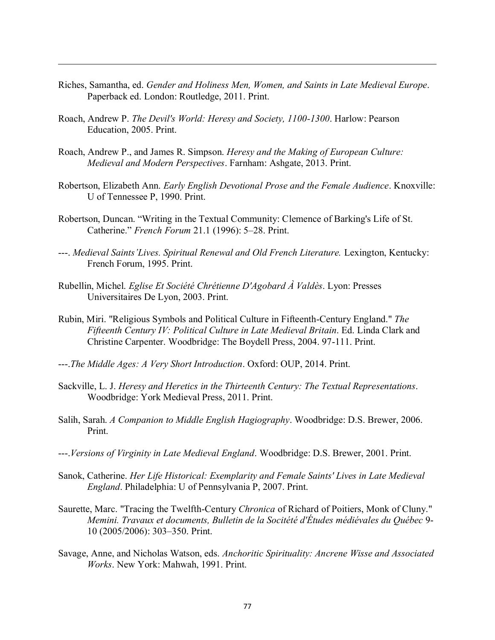- Riches, Samantha, ed. *Gender and Holiness Men, Women, and Saints in Late Medieval Europe*. Paperback ed. London: Routledge, 2011. Print.
- Roach, Andrew P. *The Devil's World: Heresy and Society, 1100-1300*. Harlow: Pearson Education, 2005. Print.

- Roach, Andrew P., and James R. Simpson. *Heresy and the Making of European Culture: Medieval and Modern Perspectives*. Farnham: Ashgate, 2013. Print.
- Robertson, Elizabeth Ann. *Early English Devotional Prose and the Female Audience*. Knoxville: U of Tennessee P, 1990. Print.
- Robertson, Duncan. "Writing in the Textual Community: Clemence of Barking's Life of St. Catherine." *French Forum* 21.1 (1996): 5–28. Print.
- ---. *Medieval Saints'Lives. Spiritual Renewal and Old French Literature.* Lexington, Kentucky: French Forum, 1995. Print.
- Rubellin, Michel. *Eglise Et Société Chrétienne D'Agobard À Valdès*. Lyon: Presses Universitaires De Lyon, 2003. Print.
- Rubin, Miri. "Religious Symbols and Political Culture in Fifteenth-Century England." *The Fifteenth Century IV: Political Culture in Late Medieval Britain*. Ed. Linda Clark and Christine Carpenter. Woodbridge: The Boydell Press, 2004. 97-111. Print.
- ---.*The Middle Ages: A Very Short Introduction*. Oxford: OUP, 2014. Print.
- Sackville, L. J. *Heresy and Heretics in the Thirteenth Century: The Textual Representations*. Woodbridge: York Medieval Press, 2011. Print.
- Salih, Sarah. *A Companion to Middle English Hagiography*. Woodbridge: D.S. Brewer, 2006. Print.
- ---.*Versions of Virginity in Late Medieval England*. Woodbridge: D.S. Brewer, 2001. Print.
- Sanok, Catherine. *Her Life Historical: Exemplarity and Female Saints' Lives in Late Medieval England*. Philadelphia: U of Pennsylvania P, 2007. Print.
- Saurette, Marc. "Tracing the Twelfth-Century *Chronica* of Richard of Poitiers, Monk of Cluny." *Memini. Travaux et documents, Bulletin de la Socitété d'Études médiévales du Québec* 9- 10 (2005/2006): 303–350. Print.
- Savage, Anne, and Nicholas Watson, eds. *Anchoritic Spirituality: Ancrene Wisse and Associated Works*. New York: Mahwah, 1991. Print.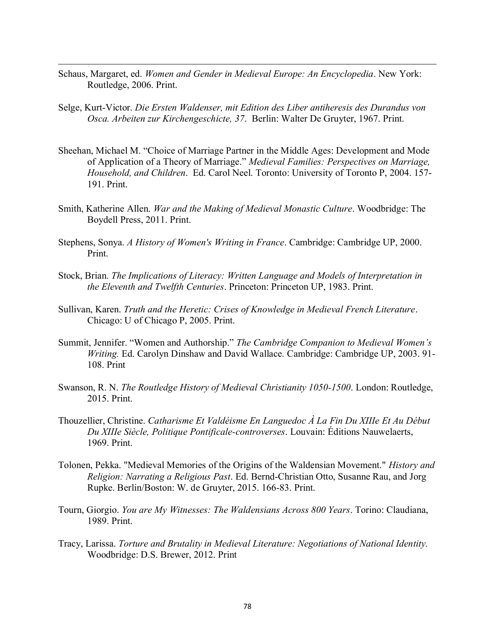Schaus, Margaret, ed. *Women and Gender in Medieval Europe: An Encyclopedia*. New York: Routledge, 2006. Print.

- Selge, Kurt-Victor. *Die Ersten Waldenser, mit Edition des Liber antiheresis des Durandus von Osca. Arbeiten zur Kirchengeschicte, 37*. Berlin: Walter De Gruyter, 1967. Print.
- Sheehan, Michael M. "Choice of Marriage Partner in the Middle Ages: Development and Mode of Application of a Theory of Marriage." *Medieval Families: Perspectives on Marriage, Household, and Children*. Ed. Carol Neel. Toronto: University of Toronto P, 2004. 157- 191. Print.
- Smith, Katherine Allen. *War and the Making of Medieval Monastic Culture*. Woodbridge: The Boydell Press, 2011. Print.
- Stephens, Sonya. *A History of Women's Writing in France*. Cambridge: Cambridge UP, 2000. Print.
- Stock, Brian. *The Implications of Literacy: Written Language and Models of Interpretation in the Eleventh and Twelfth Centuries*. Princeton: Princeton UP, 1983. Print.
- Sullivan, Karen. *Truth and the Heretic: Crises of Knowledge in Medieval French Literature*. Chicago: U of Chicago P, 2005. Print.
- Summit, Jennifer. "Women and Authorship." *The Cambridge Companion to Medieval Women's Writing.* Ed. Carolyn Dinshaw and David Wallace*.* Cambridge: Cambridge UP, 2003. 91- 108. Print
- Swanson, R. N. *The Routledge History of Medieval Christianity 1050-1500*. London: Routledge, 2015. Print.
- Thouzellier, Christine. *Catharisme Et Valdéisme En Languedoc À La Fin Du XIIIe Et Au Début Du XIIIe Siècle, Politique Pontificale-controverses*. Louvain: Éditions Nauwelaerts, 1969. Print.
- Tolonen, Pekka. "Medieval Memories of the Origins of the Waldensian Movement." *History and Religion: Narrating a Religious Past*. Ed. Bernd-Christian Otto, Susanne Rau, and Jorg Rupke. Berlin/Boston: W. de Gruyter, 2015. 166-83. Print.
- Tourn, Giorgio. *You are My Witnesses: The Waldensians Across 800 Years*. Torino: Claudiana, 1989. Print.
- Tracy, Larissa. *Torture and Brutality in Medieval Literature: Negotiations of National Identity.*  Woodbridge: D.S. Brewer, 2012. Print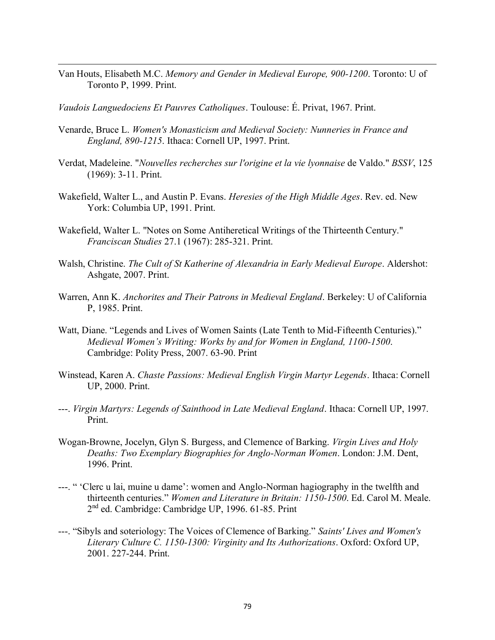Van Houts, Elisabeth M.C. *Memory and Gender in Medieval Europe, 900-1200*. Toronto: U of Toronto P, 1999. Print.

*Vaudois Languedociens Et Pauvres Catholiques*. Toulouse: É. Privat, 1967. Print.

- Venarde, Bruce L. *Women's Monasticism and Medieval Society: Nunneries in France and England, 890-1215*. Ithaca: Cornell UP, 1997. Print.
- Verdat, Madeleine. "*Nouvelles recherches sur l'origine et la vie lyonnaise* de Valdo." *BSSV*, 125 (1969): 3-11. Print.
- Wakefield, Walter L., and Austin P. Evans. *Heresies of the High Middle Ages*. Rev. ed. New York: Columbia UP, 1991. Print.
- Wakefield, Walter L. "Notes on Some Antiheretical Writings of the Thirteenth Century." *Franciscan Studies* 27.1 (1967): 285-321. Print.
- Walsh, Christine. *The Cult of St Katherine of Alexandria in Early Medieval Europe*. Aldershot: Ashgate, 2007. Print.
- Warren, Ann K. *Anchorites and Their Patrons in Medieval England*. Berkeley: U of California P, 1985. Print.
- Watt, Diane. "Legends and Lives of Women Saints (Late Tenth to Mid-Fifteenth Centuries)." *Medieval Women's Writing: Works by and for Women in England, 1100-1500*. Cambridge: Polity Press, 2007. 63-90. Print
- Winstead, Karen A. *Chaste Passions: Medieval English Virgin Martyr Legends*. Ithaca: Cornell UP, 2000. Print.
- ---. *Virgin Martyrs: Legends of Sainthood in Late Medieval England*. Ithaca: Cornell UP, 1997. Print.
- Wogan-Browne, Jocelyn, Glyn S. Burgess, and Clemence of Barking. *Virgin Lives and Holy Deaths: Two Exemplary Biographies for Anglo-Norman Women*. London: J.M. Dent, 1996. Print.
- ---. " 'Clerc u lai, muine u dame': women and Anglo-Norman hagiography in the twelfth and thirteenth centuries." *Women and Literature in Britain: 1150-1500*. Ed. Carol M. Meale. 2<sup>nd</sup> ed. Cambridge: Cambridge UP, 1996. 61-85. Print
- ---. "Sibyls and soteriology: The Voices of Clemence of Barking." *Saints' Lives and Women's Literary Culture C. 1150-1300: Virginity and Its Authorizations*. Oxford: Oxford UP, 2001. 227-244. Print.